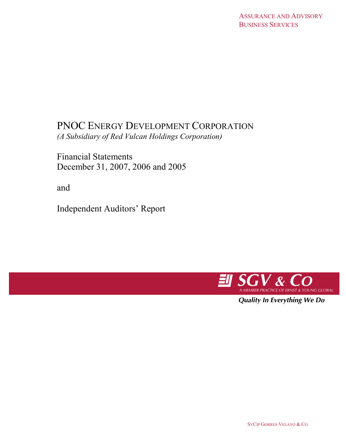ASSURANCE AND ADVISORY BUSINESS SERVICES

# PNOC ENERGY DEVELOPMENT CORPORATION *(A Subsidiary of Red Vulcan Holdings Corporation)*

Financial Statements December 31, 2007, 2006 and 2005

and

Independent Auditors' Report



*Quality In Everything We Do*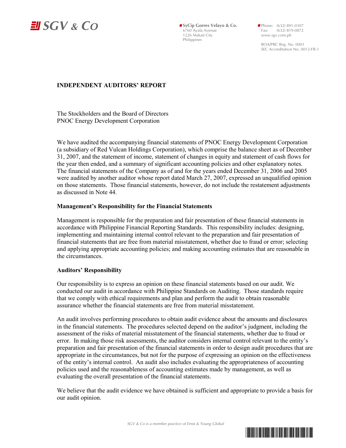# **SGV & CO SyCip** Gorres Velayo & Co.

6760 Ayala Avenue 1226 Makati City Philippines

**Phone:** (632) 891-0307 Fax: (632) 819-0872 www.sgv.com.ph

BOA/PRC Reg. No. 0001 SEC Accreditation No. 0012-FR-1

## **INDEPENDENT AUDITORS' REPORT**

The Stockholders and the Board of Directors PNOC Energy Development Corporation

We have audited the accompanying financial statements of PNOC Energy Development Corporation (a subsidiary of Red Vulcan Holdings Corporation), which comprise the balance sheet as of December 31, 2007, and the statement of income, statement of changes in equity and statement of cash flows for the year then ended, and a summary of significant accounting policies and other explanatory notes. The financial statements of the Company as of and for the years ended December 31, 2006 and 2005 were audited by another auditor whose report dated March 27, 2007, expressed an unqualified opinion on those statements. Those financial statements, however, do not include the restatement adjustments as discussed in Note 44.

## **Management's Responsibility for the Financial Statements**

Management is responsible for the preparation and fair presentation of these financial statements in accordance with Philippine Financial Reporting Standards. This responsibility includes: designing, implementing and maintaining internal control relevant to the preparation and fair presentation of financial statements that are free from material misstatement, whether due to fraud or error; selecting and applying appropriate accounting policies; and making accounting estimates that are reasonable in the circumstances.

### **Auditors' Responsibility**

Our responsibility is to express an opinion on these financial statements based on our audit. We conducted our audit in accordance with Philippine Standards on Auditing. Those standards require that we comply with ethical requirements and plan and perform the audit to obtain reasonable assurance whether the financial statements are free from material misstatement.

An audit involves performing procedures to obtain audit evidence about the amounts and disclosures in the financial statements. The procedures selected depend on the auditor's judgment, including the assessment of the risks of material misstatement of the financial statements, whether due to fraud or error. In making those risk assessments, the auditor considers internal control relevant to the entity's preparation and fair presentation of the financial statements in order to design audit procedures that are appropriate in the circumstances, but not for the purpose of expressing an opinion on the effectiveness of the entity's internal control. An audit also includes evaluating the appropriateness of accounting policies used and the reasonableness of accounting estimates made by management, as well as evaluating the overall presentation of the financial statements.

We believe that the audit evidence we have obtained is sufficient and appropriate to provide a basis for our audit opinion.

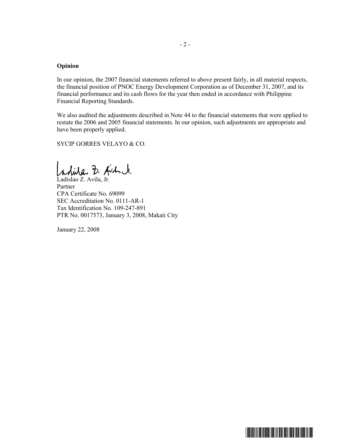## **Opinion**

In our opinion, the 2007 financial statements referred to above present fairly, in all material respects, the financial position of PNOC Energy Development Corporation as of December 31, 2007, and its financial performance and its cash flows for the year then ended in accordance with Philippine Financial Reporting Standards.

We also audited the adjustments described in Note 44 to the financial statements that were applied to restate the 2006 and 2005 financial statements. In our opinion, such adjustments are appropriate and have been properly applied.

SYCIP GORRES VELAYO & CO.

while B. Ash d.

Ladislao Z. Avila, Jr. Partner CPA Certificate No. 69099 SEC Accreditation No. 0111-AR-1 Tax Identification No. 109-247-891 PTR No. 0017573, January 3, 2008, Makati City

January 22, 2008

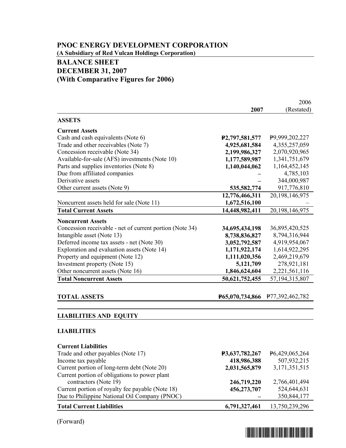# **PNOC ENERGY DEVELOPMENT CORPORATION (A Subsidiary of Red Vulcan Holdings Corporation)**

# **BALANCE SHEET DECEMBER 31, 2007 (With Comparative Figures for 2006)**

|                                                          |                                 | 2006           |
|----------------------------------------------------------|---------------------------------|----------------|
|                                                          | 2007                            | (Restated)     |
| <b>ASSETS</b>                                            |                                 |                |
|                                                          |                                 |                |
| <b>Current Assets</b>                                    |                                 |                |
| Cash and cash equivalents (Note 6)                       | P <sub>2</sub> , 797, 581, 577  | P9,999,202,227 |
| Trade and other receivables (Note 7)                     | 4,925,681,584                   | 4,355,257,059  |
| Concession receivable (Note 34)                          | 2,199,986,327                   | 2,070,920,965  |
| Available-for-sale (AFS) investments (Note 10)           | 1,177,589,987                   | 1,341,751,679  |
| Parts and supplies inventories (Note 8)                  | 1,140,044,062                   | 1,164,452,145  |
| Due from affiliated companies                            |                                 | 4,785,103      |
| Derivative assets                                        |                                 | 344,000,987    |
| Other current assets (Note 9)                            | 535, 582, 774                   | 917,776,810    |
|                                                          | 12,776,466,311                  | 20,198,146,975 |
| Noncurrent assets held for sale (Note 11)                | 1,672,516,100                   |                |
| <b>Total Current Assets</b>                              | 14,448,982,411                  | 20,198,146,975 |
| <b>Noncurrent Assets</b>                                 |                                 |                |
| Concession receivable - net of current portion (Note 34) | 34,695,434,198                  | 36,895,420,525 |
| Intangible asset (Note 13)                               | 8,738,836,827                   | 8,794,316,944  |
| Deferred income tax assets - net (Note 30)               | 3,052,792,587                   | 4,919,954,067  |
| Exploration and evaluation assets (Note 14)              | 1,171,922,174                   | 1,614,922,295  |
| Property and equipment (Note 12)                         | 1,111,020,356                   | 2,469,219,679  |
| Investment property (Note 15)                            | 5,121,709                       | 278,921,181    |
| Other noncurrent assets (Note 16)                        | 1,846,624,604                   | 2,221,561,116  |
| <b>Total Noncurrent Assets</b>                           | 50,621,752,455                  | 57,194,315,807 |
|                                                          |                                 |                |
|                                                          |                                 |                |
| <b>TOTAL ASSETS</b>                                      | P65,070,734,866 P77,392,462,782 |                |
|                                                          |                                 |                |
| <b>LIABILITIES AND EQUITY</b>                            |                                 |                |
| <b>LIABILITIES</b>                                       |                                 |                |
|                                                          |                                 |                |
| <b>Current Liabilities</b>                               |                                 | P6,429,065,264 |
| Trade and other payables (Note 17)                       | P3,637,782,267                  |                |
| Income tax payable                                       | 418,986,388                     | 507,932,215    |
| Current portion of long-term debt (Note 20)              | 2,031,565,879                   | 3,171,351,515  |
| Current portion of obligations to power plant            |                                 |                |
| contractors (Note 19)                                    | 246,719,220                     | 2,766,401,494  |
| Current portion of royalty fee payable (Note 18)         | 456,273,707                     | 524,644,631    |
| Due to Philippine National Oil Company (PNOC)            |                                 | 350,844,177    |
| <b>Total Current Liabilities</b>                         | 6,791,327,461                   | 13,750,239,296 |

(Forward)

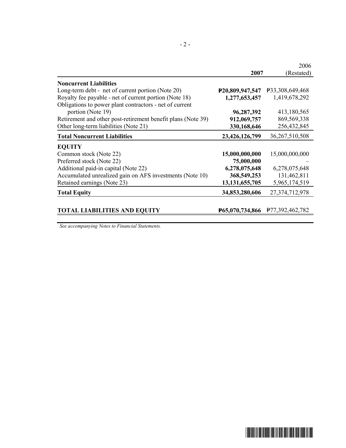|                                                              |                                        | 2006            |
|--------------------------------------------------------------|----------------------------------------|-----------------|
|                                                              | 2007                                   | (Restated)      |
| <b>Noncurrent Liabilities</b>                                |                                        |                 |
| Long-term debt - net of current portion (Note 20)            | P20,809,947,547                        | P33,308,649,468 |
| Royalty fee payable - net of current portion (Note 18)       | 1,277,653,457                          | 1,419,678,292   |
| Obligations to power plant contractors - net of current      |                                        |                 |
| portion (Note 19)                                            | 96,287,392                             | 413,180,565     |
| Retirement and other post-retirement benefit plans (Note 39) | 912,069,757                            | 869,569,338     |
| Other long-term liabilities (Note 21)                        | 330,168,646                            | 256,432,845     |
| <b>Total Noncurrent Liabilities</b>                          | 23,426,126,799                         | 36,267,510,508  |
| <b>EQUITY</b>                                                |                                        |                 |
| Common stock (Note 22)                                       | 15,000,000,000                         | 15,000,000,000  |
| Preferred stock (Note 22)                                    | 75,000,000                             |                 |
| Additional paid-in capital (Note 22)                         | 6,278,075,648                          | 6,278,075,648   |
| Accumulated unrealized gain on AFS investments (Note 10)     | 368,549,253                            | 131,462,811     |
| Retained earnings (Note 23)                                  | 13, 131, 655, 705                      | 5,965,174,519   |
| <b>Total Equity</b>                                          | 34,853,280,606                         | 27,374,712,978  |
|                                                              |                                        |                 |
| <b>TOTAL LIABILITIES AND EQUITY</b>                          | <b>P65,070,734,866</b> P77,392,462,782 |                 |

*See accompanying Notes to Financial Statements.* 

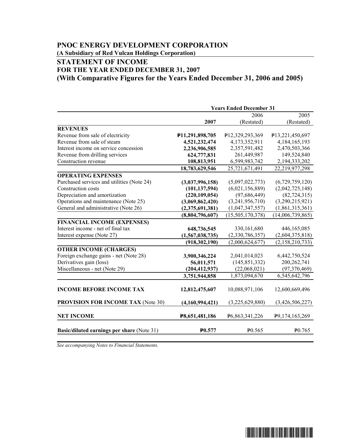# **PNOC ENERGY DEVELOPMENT CORPORATION**

**(A Subsidiary of Red Vulcan Holdings Corporation)**

# **STATEMENT OF INCOME**

**FOR THE YEAR ENDED DECEMBER 31, 2007** 

**(With Comparative Figures for the Years Ended December 31, 2006 and 2005)** 

|                                            | <b>Years Ended December 31</b> |                    |                                |  |
|--------------------------------------------|--------------------------------|--------------------|--------------------------------|--|
|                                            |                                | 2006               | 2005                           |  |
|                                            | 2007                           | (Restated)         | (Restated)                     |  |
| <b>REVENUES</b>                            |                                |                    |                                |  |
| Revenue from sale of electricity           | P11,291,898,705                | P12,329,293,369    | P13,221,450,697                |  |
| Revenue from sale of steam                 | 4,521,232,474                  | 4,173,352,911      | 4, 184, 165, 193               |  |
| Interest income on service concession      | 2,236,906,585                  | 2,357,591,482      | 2,470,503,366                  |  |
| Revenue from drilling services             | 624,777,831                    | 261,449,987        | 149,524,840                    |  |
| Construction revenue                       | 108,813,951                    | 6,599,983,742      | 2,194,333,202                  |  |
|                                            | 18,783,629,546                 | 25,721,671,491     | 22,219,977,298                 |  |
| <b>OPERATING EXPENSES</b>                  |                                |                    |                                |  |
| Purchased services and utilities (Note 24) | (3,037,996,158)                | (5,097,022,773)    | (6,729,759,120)                |  |
| Construction costs                         | (101, 137, 594)                | (6,021,156,889)    | (2,042,725,148)                |  |
| Depreciation and amortization              | (220, 109, 054)                | (97,686,449)       | (82, 724, 315)                 |  |
| Operations and maintenance (Note 25)       | (3,069,862,420)                | (3,241,956,710)    | (3,290,215,921)                |  |
| General and administrative (Note 26)       | (2,375,691,381)                | (1,047,347,557)    | (1,861,315,361)                |  |
|                                            | (8,804,796,607)                | (15,505,170,378)   | (14,006,739,865)               |  |
| <b>FINANCIAL INCOME (EXPENSES)</b>         |                                |                    |                                |  |
| Interest income - net of final tax         | 648,736,545                    | 330,161,680        | 446,165,085                    |  |
| Interest expense (Note 27)                 | (1, 567, 038, 735)             | (2,330,786,357)    | (2,604,375,818)                |  |
|                                            | (918, 302, 190)                | (2,000,624,677)    | (2,158,210,733)                |  |
| <b>OTHER INCOME (CHARGES)</b>              |                                |                    |                                |  |
| Foreign exchange gains - net (Note 28)     | 3,900,346,224                  | 2,041,014,023      | 6,442,750,524                  |  |
| Derivatives gain (loss)                    | 56,011,571                     | (145, 851, 332)    | 200, 262, 741                  |  |
| Miscellaneous - net (Note 29)              | (204, 412, 937)                | (22,068,021)       | (97,370,469)                   |  |
|                                            | 3,751,944,858                  | 1,873,094,670      | 6,545,642,796                  |  |
|                                            |                                |                    |                                |  |
| <b>INCOME BEFORE INCOME TAX</b>            | 12,812,475,607                 | 10,088,971,106     | 12,600,669,496                 |  |
|                                            |                                |                    |                                |  |
| <b>PROVISION FOR INCOME TAX (Note 30)</b>  | (4,160,994,421)                | (3,225,629,880)    | (3,426,506,227)                |  |
| <b>NET INCOME</b>                          | P8,651,481,186                 | P6,863,341,226     | P <sub>9</sub> , 174, 163, 269 |  |
|                                            |                                |                    |                                |  |
| Basic/diluted earnings per share (Note 31) | <b>P0.577</b>                  | P <sub>0.565</sub> | 40.765                         |  |

*See accompanying Notes to Financial Statements.*

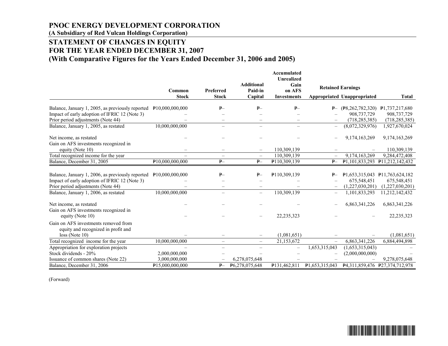# **PNOC ENERGY DEVELOPMENT CORPORATION**

**(A Subsidiary of Red Vulcan Holdings Corporation)**

# **STATEMENT OF CHANGES IN EQUITY FOR THE YEAR ENDED DECEMBER 31, 2007 (With Comparative Figures for the Years Ended December 31, 2006 and 2005)**

|                                                                  |                 |                          |                              | Accumulated<br><b>Unrealized</b> |                             |                                    |                                |
|------------------------------------------------------------------|-----------------|--------------------------|------------------------------|----------------------------------|-----------------------------|------------------------------------|--------------------------------|
|                                                                  | Common          | Preferred                | <b>Additional</b><br>Paid-in | Gain<br>on AFS                   |                             | <b>Retained Earnings</b>           |                                |
|                                                                  | <b>Stock</b>    | <b>Stock</b>             | Capital                      | <b>Investments</b>               |                             | <b>Appropriated Unappropriated</b> | <b>Total</b>                   |
| Balance, January 1, 2005, as previously reported P10,000,000,000 |                 | P                        | $P-$                         | P                                | P                           | (P8,262,782,320) P1,737,217,680    |                                |
| Impact of early adoption of IFRIC 12 (Note 3)                    |                 |                          |                              |                                  |                             | 908,737,729                        | 908,737,729                    |
| Prior period adjustments (Note 44)                               |                 |                          |                              |                                  |                             | (718, 285, 385)                    | (718, 285, 385)                |
| Balance, January 1, 2005, as restated                            | 10,000,000,000  |                          | $\overline{\phantom{0}}$     |                                  | $\overline{\phantom{0}}$    | (8,072,329,976)                    | 1,927,670,024                  |
| Net income, as restated<br>Gain on AFS investments recognized in |                 |                          |                              |                                  | $\qquad \qquad -$           | 9,174,163,269                      | 9,174,163,269                  |
| equity (Note 10)                                                 |                 |                          |                              | 110,309,139                      |                             |                                    | 110,309,139                    |
| Total recognized income for the year                             |                 | $\overline{\phantom{0}}$ |                              | 110.309.139                      | $\overline{\phantom{0}}$    | 9,174,163,269                      | 9,284,472,408                  |
| Balance, December 31, 2005                                       | ₽10.000.000.000 | $P -$                    | $P-$                         | P110.309.139                     | P                           |                                    | P1,101,833,293 P11,212,142,432 |
|                                                                  |                 |                          |                              |                                  |                             |                                    |                                |
| Balance, January 1, 2006, as previously reported P10,000,000,000 |                 | $P -$                    | P                            | P110,309,139                     | P                           |                                    | P1,653,315,043 P11,763,624,182 |
| Impact of early adoption of IFRIC 12 (Note 3)                    |                 |                          |                              |                                  |                             | 675,548,451                        | 675,548,451                    |
| Prior period adjustments (Note 44)                               |                 |                          |                              |                                  | $\overline{\phantom{m}}$    | (1,227,030,201)                    | (1,227,030,201)                |
| Balance, January 1, 2006, as restated                            | 10,000,000,000  |                          | $\overline{\phantom{0}}$     | 110,309,139                      | $\overline{\phantom{0}}$    | 1,101,833,293                      | 11,212,142,432                 |
|                                                                  |                 |                          |                              |                                  |                             |                                    |                                |
| Net income, as restated                                          |                 |                          |                              |                                  |                             | 6,863,341,226                      | 6,863,341,226                  |
| Gain on AFS investments recognized in                            |                 |                          |                              |                                  |                             |                                    |                                |
| equity (Note 10)                                                 |                 |                          |                              | 22, 235, 323                     |                             |                                    | 22, 235, 323                   |
| Gain on AFS investments removed from                             |                 |                          |                              |                                  |                             |                                    |                                |
| equity and recognized in profit and                              |                 |                          |                              |                                  |                             |                                    |                                |
| loss (Note 10)                                                   |                 |                          |                              | (1,081,651)                      |                             |                                    | (1,081,651)                    |
| Total recognized income for the year                             | 10.000.000.000  | $\overline{\phantom{0}}$ | $-$                          | 21,153,672                       | $\overline{\phantom{m}}$    | 6,863,341,226                      | 6,884,494,898                  |
| Appropriation for exploration projects                           |                 |                          |                              |                                  | 1,653,315,043               | (1,653,315,043)                    |                                |
| Stock dividends - 20%                                            | 2,000,000,000   |                          |                              |                                  |                             | (2,000,000,000)                    |                                |
| Issuance of common shares (Note 22)                              | 3,000,000,000   |                          | 6,278,075,648                |                                  |                             |                                    | 9,278,075,648                  |
| Balance, December 31, 2006                                       | P15,000,000,000 | $P-$                     | P6,278,075,648               |                                  | P131,462,811 P1,653,315,043 |                                    | P4,311,859,476 P27,374,712,978 |

(Forward)

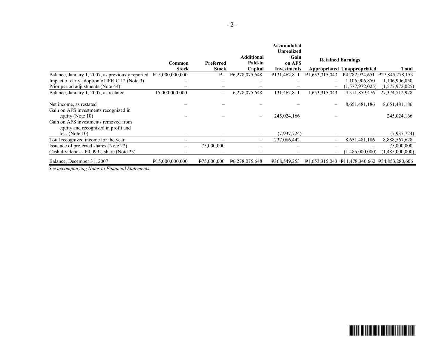|                                                                             |                              |                          |                             | Accumulated<br><b>Unrealized</b> |                          |                                    |                                                |
|-----------------------------------------------------------------------------|------------------------------|--------------------------|-----------------------------|----------------------------------|--------------------------|------------------------------------|------------------------------------------------|
|                                                                             | Common                       | Preferred                | Additional<br>Paid-in       | Gain<br>on AFS                   |                          | <b>Retained Earnings</b>           |                                                |
|                                                                             | <b>Stock</b>                 | <b>Stock</b>             | Capital                     | Investments                      |                          | <b>Appropriated Unappropriated</b> | Total                                          |
| Balance, January 1, 2007, as previously reported                            | P15,000,000,000              | $P-$                     | P <sub>6</sub> ,278,075,648 | P131,462,811                     | P1,653,315,043           | P <sub>4</sub> 782,924,651         | P27,845,778,153                                |
| Impact of early adoption of IFRIC 12 (Note 3)                               |                              |                          |                             |                                  | $\overline{\phantom{0}}$ | 1,106,906,850                      | 1,106,906,850                                  |
| Prior period adjustments (Note 44)                                          |                              |                          |                             |                                  | $\overline{\phantom{0}}$ | (1,577,972,025)                    | (1,577,972,025)                                |
| Balance, January 1, 2007, as restated                                       | 15,000,000,000               | $\qquad \qquad -$        | 6,278,075,648               | 131,462,811                      | 1,653,315,043            | 4,311,859,476                      | 27,374,712,978                                 |
| Net income, as restated                                                     |                              |                          |                             |                                  | $\overline{\phantom{0}}$ | 8,651,481,186                      | 8,651,481,186                                  |
| Gain on AFS investments recognized in                                       |                              |                          |                             |                                  |                          |                                    |                                                |
| equity (Note 10)                                                            |                              |                          |                             | 245,024,166                      |                          |                                    | 245,024,166                                    |
| Gain on AFS investments removed from<br>equity and recognized in profit and |                              |                          |                             |                                  |                          |                                    |                                                |
| loss (Note 10)                                                              |                              |                          |                             | (7,937,724)                      |                          |                                    | (7,937,724)                                    |
| Total recognized income for the year                                        | —                            |                          | -                           | 237,086,442                      | $\overline{\phantom{0}}$ | 8,651,481,186                      | 8,888,567,628                                  |
| Issuance of preferred shares (Note 22)                                      |                              | 75,000,000               |                             |                                  |                          |                                    | 75,000,000                                     |
| Cash dividends - P0.099 a share (Note 23)                                   |                              |                          |                             |                                  | $\overline{\phantom{m}}$ | (1,485,000,000)                    | (1,485,000,000)                                |
| Balance, December 31, 2007                                                  | P <sub>15</sub> ,000,000,000 | P <sub>75</sub> ,000,000 | P <sub>6</sub> ,278,075,648 | P368,549,253                     |                          |                                    | P1.653.315.043 P11.478.340.662 P34.853.280.606 |

*See accompanying Notes to Financial Statements.*

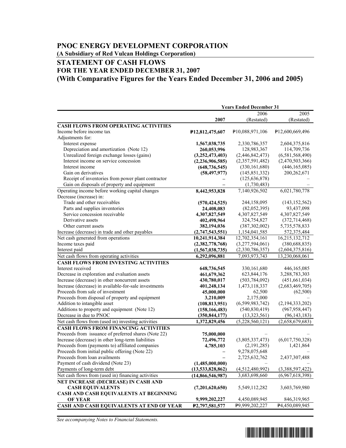# **PNOC ENERGY DEVELOPMENT CORPORATION**

**(A Subsidiary of Red Vulcan Holdings Corporation)**

## **STATEMENT OF CASH FLOWS FOR THE YEAR ENDED DECEMBER 31, 2007**

**(With Comparative Figures for the Years Ended December 31, 2006 and 2005)** 

|                                                                                                         | <b>Years Ended December 31</b>     |                                    |                                   |  |
|---------------------------------------------------------------------------------------------------------|------------------------------------|------------------------------------|-----------------------------------|--|
|                                                                                                         |                                    | 2006                               | 2005                              |  |
|                                                                                                         | 2007                               | (Restated)                         | (Restated)                        |  |
| <b>CASH FLOWS FROM OPERATING ACTIVITIES</b>                                                             |                                    |                                    |                                   |  |
| Income before income tax                                                                                | P <sub>12</sub> ,812,475,607       | P10,088,971,106                    | P <sub>12</sub> ,600,669,496      |  |
| Adjustments for:                                                                                        |                                    |                                    |                                   |  |
| Interest expense                                                                                        | 1,567,038,735                      | 2,330,786,357                      | 2,604,375,816                     |  |
| Depreciation and amortization (Note 12)                                                                 | 260,053,996                        | 128,983,367                        | 114,709,736                       |  |
| Unrealized foreign exchange losses (gains)                                                              | (3,252,473,403)                    | (2,446,842,473)                    | (6,581,568,490)                   |  |
| Interest income on service concession<br>Interest income                                                | (2, 236, 906, 585)                 | (2,357,591,482)                    | (2,470,503,366)                   |  |
| Gain on derivatives                                                                                     | (648, 736, 545)                    | (330, 161, 680)                    | (446, 165, 085)<br>200, 262, 671  |  |
| Receipt of inventories from power plant contractor                                                      | (58, 497, 977)                     | (145, 851, 332)<br>(125, 636, 878) |                                   |  |
| Gain on disposals of property and equipment                                                             |                                    | (1,730,483)                        |                                   |  |
|                                                                                                         |                                    |                                    | 6,021,780,778                     |  |
| Operating income before working capital changes<br>Decrease (increase) in:                              | 8,442,953,828                      | 7,140,926,502                      |                                   |  |
| Trade and other receivables                                                                             |                                    |                                    |                                   |  |
|                                                                                                         | (570, 424, 525)<br>24,408,083      | 244,158,095                        | (143, 152, 562)<br>93,437,098     |  |
| Parts and supplies inventories<br>Service concession receivable                                         |                                    | (82,052,395)                       |                                   |  |
| Derivative assets                                                                                       | 4,307,827,549                      | 4,307,827,549                      | 4,307,827,549                     |  |
|                                                                                                         | 402,498,964                        | 324,754,827                        | (372, 714, 468)                   |  |
| Other current assets<br>Increase (decrease) in trade and other payables                                 | 382,194,036                        | (387, 302, 002)<br>1,154,041,585   | 5,735,578,833<br>572,375,484      |  |
| Net cash generated from operations                                                                      | (2,747,543,551)                    | 12,702,354,161                     | 16,215,132,712                    |  |
| Income taxes paid                                                                                       | 10,241,914,384                     | (3,277,594,061)                    | (380, 688, 835)                   |  |
| Interest paid                                                                                           | (2,382,778,768)<br>(1,567,038,735) | (2,330,786,357)                    | (2,604,375,816)                   |  |
| Net cash flows from operating activities                                                                | 6,292,096,881                      | 7,093,973,743                      | 13,230,068,061                    |  |
| <b>CASH FLOWS FROM INVESTING ACTIVITIES</b>                                                             |                                    |                                    |                                   |  |
| Interest received                                                                                       |                                    |                                    |                                   |  |
|                                                                                                         | 648,736,545                        | 330,161,680<br>623,844,176         | 446,165,085                       |  |
| Decrease in exploration and evaluation assets                                                           | 461,679,362                        |                                    | 3,288,783,303                     |  |
| Increase (decrease) in other noncurrent assets<br>Increase (decrease) in available-for-sale investments | 430,780,017                        | (503, 784, 092)                    | (451, 661, 034)                   |  |
|                                                                                                         | 401,248,134                        | 1,473,118,337                      | (2,683,469,705)                   |  |
| Proceeds from sale of investment                                                                        | 45,000,000                         | 62,500                             | (62, 500)                         |  |
| Proceeds from disposal of property and equipment<br>Addition to intangible asset                        | 3,210,009                          | 2,175,000<br>(6,599,983,742)       |                                   |  |
|                                                                                                         | (108, 813, 951)                    |                                    | (2,194,333,202)                   |  |
| Additions to property and equipment (Note 12)<br>Decrease in due to PNOC                                | (158, 166, 483)                    | (540, 830, 419)<br>(13,323,561)    | (967, 958, 447)<br>(96, 143, 183) |  |
| Net cash flows from (used in) investing activities                                                      | (350, 844, 177)                    | (5,228,560,121)                    | (2,658,679,683)                   |  |
|                                                                                                         | 1,372,829,456                      |                                    |                                   |  |
| <b>CASH FLOWS FROM FINANCING ACTIVITIES</b>                                                             |                                    |                                    |                                   |  |
| Proceeds from issuance of preferred shares (Note 22)                                                    | 75,000,000                         |                                    |                                   |  |
| Increase (decrease) in other long-term liabilities                                                      | 72,496,772                         | (3,805,337,473)                    | (6,017,750,328)                   |  |
| Proceeds from (payments to) affiliated companies                                                        | 4,785,103                          | (2,191,285)                        | 1,421,864                         |  |
| Proceeds from initial public offering (Note 22)                                                         |                                    | 9,278,075,648                      |                                   |  |
| Proceeds from loan availments                                                                           |                                    | 2,725,632,762                      | 2,437,307,488                     |  |
| Payment of cash dividend (Note 23)<br>Payments of long-term debt                                        | (1,485,000,000)                    |                                    |                                   |  |
|                                                                                                         | (13,533,828,862)                   | (4,512,480,992)                    | (3,388,597,422)                   |  |
| Net cash flows from (used in) financing activities                                                      | (14,866,546,987)                   | 3,683,698,660                      | (6,967,618,398)                   |  |
| NET INCREASE (DECREASE) IN CASH AND                                                                     |                                    |                                    |                                   |  |
| <b>CASH EQUIVALENTS</b>                                                                                 | (7,201,620,650)                    | 5,549,112,282                      | 3,603,769,980                     |  |
| CASH AND CASH EQUIVALENTS AT BEGINNING                                                                  |                                    |                                    | 846,319,965                       |  |
| <b>OF YEAR</b><br>CASH AND CASH EQUIVALENTS AT END OF YEAR                                              | 9,999,202,227                      | 4,450,089,945<br>P9.999.202.227    | P4,450,089,945                    |  |
|                                                                                                         | P <sub>2</sub> ,797,581,577        |                                    |                                   |  |

*See accompanying Notes to Financial Statements.*

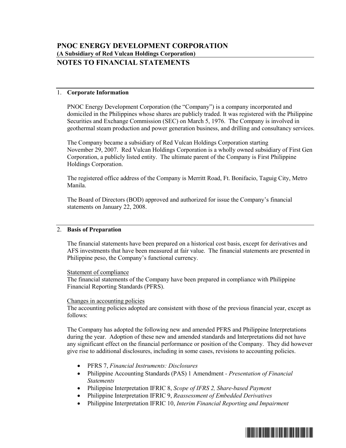### 1. **Corporate Information**

PNOC Energy Development Corporation (the "Company") is a company incorporated and domiciled in the Philippines whose shares are publicly traded. It was registered with the Philippine Securities and Exchange Commission (SEC) on March 5, 1976. The Company is involved in geothermal steam production and power generation business, and drilling and consultancy services.

The Company became a subsidiary of Red Vulcan Holdings Corporation starting November 29, 2007. Red Vulcan Holdings Corporation is a wholly owned subsidiary of First Gen Corporation, a publicly listed entity. The ultimate parent of the Company is First Philippine Holdings Corporation.

The registered office address of the Company is Merritt Road, Ft. Bonifacio, Taguig City, Metro Manila.

The Board of Directors (BOD) approved and authorized for issue the Company's financial statements on January 22, 2008.

## 2. **Basis of Preparation**

The financial statements have been prepared on a historical cost basis, except for derivatives and AFS investments that have been measured at fair value. The financial statements are presented in Philippine peso, the Company's functional currency.

#### Statement of compliance

The financial statements of the Company have been prepared in compliance with Philippine Financial Reporting Standards (PFRS).

#### Changes in accounting policies

The accounting policies adopted are consistent with those of the previous financial year, except as follows:

The Company has adopted the following new and amended PFRS and Philippine Interpretations during the year. Adoption of these new and amended standards and Interpretations did not have any significant effect on the financial performance or position of the Company. They did however give rise to additional disclosures, including in some cases, revisions to accounting policies.

- · PFRS 7, *Financial Instruments: Disclosures*
- · Philippine Accounting Standards (PAS) 1 Amendment *- Presentation of Financial Statements*
- · Philippine Interpretation IFRIC 8, *Scope of IFRS 2, Share-based Payment*
- · Philippine Interpretation IFRIC 9, *Reassessment of Embedded Derivatives*
- · Philippine Interpretation IFRIC 10, *Interim Financial Reporting and Impairment*

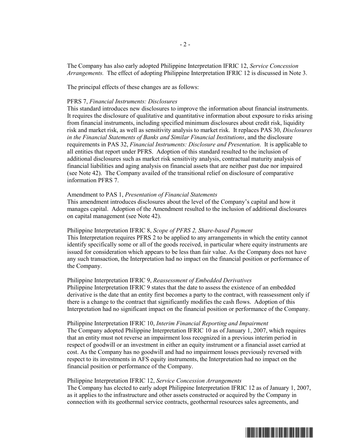The Company has also early adopted Philippine Interpretation IFRIC 12, *Service Concession Arrangements.* The effect of adopting Philippine Interpretation IFRIC 12 is discussed in Note 3.

The principal effects of these changes are as follows:

#### PFRS 7, *Financial Instruments: Disclosures*

This standard introduces new disclosures to improve the information about financial instruments. It requires the disclosure of qualitative and quantitative information about exposure to risks arising from financial instruments, including specified minimum disclosures about credit risk, liquidity risk and market risk, as well as sensitivity analysis to market risk. It replaces PAS 30, *Disclosures in the Financial Statements of Banks and Similar Financial Institutions*, and the disclosure requirements in PAS 32, *Financial Instruments: Disclosure and Presentation*. It is applicable to all entities that report under PFRS. Adoption of this standard resulted to the inclusion of additional disclosures such as market risk sensitivity analysis, contractual maturity analysis of financial liabilities and aging analysis on financial assets that are neither past due nor impaired (see Note 42). The Company availed of the transitional relief on disclosure of comparative information PFRS 7.

#### Amendment to PAS 1, *Presentation of Financial Statements*

This amendment introduces disclosures about the level of the Company's capital and how it manages capital. Adoption of the Amendment resulted to the inclusion of additional disclosures on capital management (see Note 42).

## Philippine Interpretation IFRIC 8, *Scope of PFRS 2, Share-based Payment*

This Interpretation requires PFRS 2 to be applied to any arrangements in which the entity cannot identify specifically some or all of the goods received, in particular where equity instruments are issued for consideration which appears to be less than fair value. As the Company does not have any such transaction, the Interpretation had no impact on the financial position or performance of the Company.

#### Philippine Interpretation IFRIC 9, *Reassessment of Embedded Derivatives*

Philippine Interpretation IFRIC 9 states that the date to assess the existence of an embedded derivative is the date that an entity first becomes a party to the contract, with reassessment only if there is a change to the contract that significantly modifies the cash flows. Adoption of this Interpretation had no significant impact on the financial position or performance of the Company.

#### Philippine Interpretation IFRIC 10, *Interim Financial Reporting and Impairment*

The Company adopted Philippine Interpretation IFRIC 10 as of January 1, 2007, which requires that an entity must not reverse an impairment loss recognized in a previous interim period in respect of goodwill or an investment in either an equity instrument or a financial asset carried at cost. As the Company has no goodwill and had no impairment losses previously reversed with respect to its investments in AFS equity instruments, the Interpretation had no impact on the financial position or performance of the Company.

### Philippine Interpretation IFRIC 12, *Service Concession Arrangements*

The Company has elected to early adopt Philippine Interpretation IFRIC 12 as of January 1, 2007, as it applies to the infrastructure and other assets constructed or acquired by the Company in connection with its geothermal service contracts, geothermal resources sales agreements, and

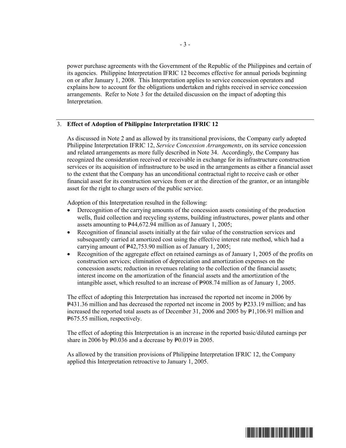power purchase agreements with the Government of the Republic of the Philippines and certain of its agencies. Philippine Interpretation IFRIC 12 becomes effective for annual periods beginning on or after January 1, 2008. This Interpretation applies to service concession operators and explains how to account for the obligations undertaken and rights received in service concession arrangements. Refer to Note 3 for the detailed discussion on the impact of adopting this Interpretation.

## 3. **Effect of Adoption of Philippine Interpretation IFRIC 12**

As discussed in Note 2 and as allowed by its transitional provisions, the Company early adopted Philippine Interpretation IFRIC 12, *Service Concession Arrangements*, on its service concession and related arrangements as more fully described in Note 34. Accordingly, the Company has recognized the consideration received or receivable in exchange for its infrastructure construction services or its acquisition of infrastructure to be used in the arrangements as either a financial asset to the extent that the Company has an unconditional contractual right to receive cash or other financial asset for its construction services from or at the direction of the grantor, or an intangible asset for the right to charge users of the public service.

Adoption of this Interpretation resulted in the following:

- Derecognition of the carrying amounts of the concession assets consisting of the production wells, fluid collection and recycling systems, building infrastructures, power plants and other assets amounting to  $P$ 44,672.94 million as of January 1, 2005;
- Recognition of financial assets initially at the fair value of the construction services and subsequently carried at amortized cost using the effective interest rate method, which had a carrying amount of  $P42,753.90$  million as of January 1, 2005;
- Recognition of the aggregate effect on retained earnings as of January 1, 2005 of the profits on construction services; elimination of depreciation and amortization expenses on the concession assets; reduction in revenues relating to the collection of the financial assets; interest income on the amortization of the financial assets and the amortization of the intangible asset, which resulted to an increase of  $\text{P908.74}$  million as of January 1, 2005.

The effect of adopting this Interpretation has increased the reported net income in 2006 by P431.36 million and has decreased the reported net income in 2005 by P233.19 million; and has increased the reported total assets as of December 31, 2006 and 2005 by  $P1,106.91$  million and P675.55 million, respectively.

The effect of adopting this Interpretation is an increase in the reported basic/diluted earnings per share in 2006 by  $\overline{P}0.036$  and a decrease by  $\overline{P}0.019$  in 2005.

As allowed by the transition provisions of Philippine Interpretation IFRIC 12, the Company applied this Interpretation retroactive to January 1, 2005.

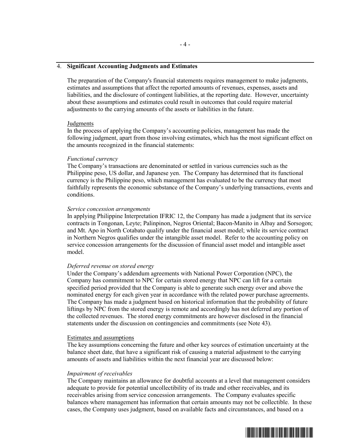## 4. **Significant Accounting Judgments and Estimates**

The preparation of the Company's financial statements requires management to make judgments, estimates and assumptions that affect the reported amounts of revenues, expenses, assets and liabilities, and the disclosure of contingent liabilities, at the reporting date. However, uncertainty about these assumptions and estimates could result in outcomes that could require material adjustments to the carrying amounts of the assets or liabilities in the future.

#### **Judgments**

In the process of applying the Company's accounting policies, management has made the following judgment, apart from those involving estimates, which has the most significant effect on the amounts recognized in the financial statements:

#### *Functional currency*

The Company's transactions are denominated or settled in various currencies such as the Philippine peso, US dollar, and Japanese yen. The Company has determined that its functional currency is the Philippine peso, which management has evaluated to be the currency that most faithfully represents the economic substance of the Company's underlying transactions, events and conditions.

#### *Service concession arrangements*

In applying Philippine Interpretation IFRIC 12, the Company has made a judgment that its service contracts in Tongonan, Leyte; Palinpinon, Negros Oriental; Bacon-Manito in Albay and Sorsogon; and Mt. Apo in North Cotabato qualify under the financial asset model; while its service contract in Northern Negros qualifies under the intangible asset model. Refer to the accounting policy on service concession arrangements for the discussion of financial asset model and intangible asset model.

#### *Deferred revenue on stored energy*

Under the Company's addendum agreements with National Power Corporation (NPC), the Company has commitment to NPC for certain stored energy that NPC can lift for a certain specified period provided that the Company is able to generate such energy over and above the nominated energy for each given year in accordance with the related power purchase agreements. The Company has made a judgment based on historical information that the probability of future liftings by NPC from the stored energy is remote and accordingly has not deferred any portion of the collected revenues. The stored energy commitments are however disclosed in the financial statements under the discussion on contingencies and commitments (see Note 43).

#### Estimates and assumptions

The key assumptions concerning the future and other key sources of estimation uncertainty at the balance sheet date, that have a significant risk of causing a material adjustment to the carrying amounts of assets and liabilities within the next financial year are discussed below:

#### *Impairment of receivables*

The Company maintains an allowance for doubtful accounts at a level that management considers adequate to provide for potential uncollectibility of its trade and other receivables, and its receivables arising from service concession arrangements. The Company evaluates specific balances where management has information that certain amounts may not be collectible. In these cases, the Company uses judgment, based on available facts and circumstances, and based on a

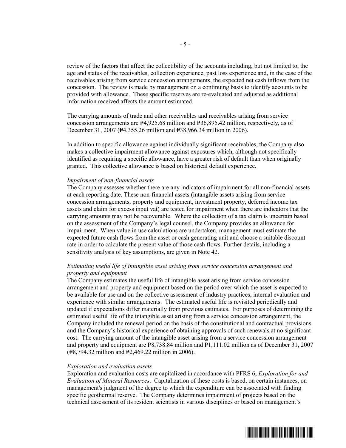review of the factors that affect the collectibility of the accounts including, but not limited to, the age and status of the receivables, collection experience, past loss experience and, in the case of the receivables arising from service concession arrangements, the expected net cash inflows from the concession. The review is made by management on a continuing basis to identify accounts to be provided with allowance. These specific reserves are re-evaluated and adjusted as additional information received affects the amount estimated.

The carrying amounts of trade and other receivables and receivables arising from service concession arrangements are  $P4,925.68$  million and  $P36,895.42$  million, respectively, as of December 31, 2007 (P4,355.26 million and P38,966.34 million in 2006).

In addition to specific allowance against individually significant receivables, the Company also makes a collective impairment allowance against exposures which, although not specifically identified as requiring a specific allowance, have a greater risk of default than when originally granted. This collective allowance is based on historical default experience.

## *Impairment of non-financial assets*

The Company assesses whether there are any indicators of impairment for all non-financial assets at each reporting date. These non-financial assets (intangible assets arising from service concession arrangements, property and equipment, investment property, deferred income tax assets and claim for excess input vat) are tested for impairment when there are indicators that the carrying amounts may not be recoverable. Where the collection of a tax claim is uncertain based on the assessment of the Company's legal counsel, the Company provides an allowance for impairment. When value in use calculations are undertaken, management must estimate the expected future cash flows from the asset or cash generating unit and choose a suitable discount rate in order to calculate the present value of those cash flows. Further details, including a sensitivity analysis of key assumptions, are given in Note 42.

## *Estimating useful life of intangible asset arising from service concession arrangement and property and equipment*

The Company estimates the useful life of intangible asset arising from service concession arrangement and property and equipment based on the period over which the asset is expected to be available for use and on the collective assessment of industry practices, internal evaluation and experience with similar arrangements. The estimated useful life is revisited periodically and updated if expectations differ materially from previous estimates. For purposes of determining the estimated useful life of the intangible asset arising from a service concession arrangement, the Company included the renewal period on the basis of the constitutional and contractual provisions and the Company's historical experience of obtaining approvals of such renewals at no significant cost. The carrying amount of the intangible asset arising from a service concession arrangement and property and equipment are  $P_{8,738.84}$  million and  $P_{1,111.02}$  million as of December 31, 2007  $(P8, 794.32 \text{ million and } P2, 469.22 \text{ million in } 2006).$ 

#### *Exploration and evaluation assets*

Exploration and evaluation costs are capitalized in accordance with PFRS 6, *Exploration for and Evaluation of Mineral Resources*. Capitalization of these costs is based, on certain instances, on management's judgment of the degree to which the expenditure can be associated with finding specific geothermal reserve. The Company determines impairment of projects based on the technical assessment of its resident scientists in various disciplines or based on management's

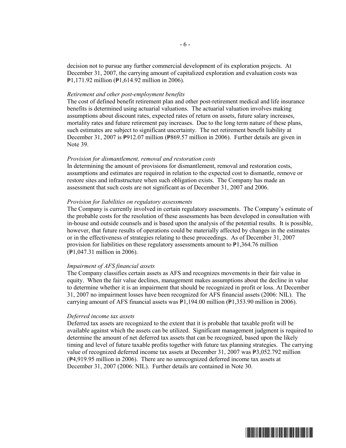decision not to pursue any further commercial development of its exploration projects. At December 31, 2007, the carrying amount of capitalized exploration and evaluation costs was  $P1,171.92$  million ( $P1,614.92$  million in 2006).

#### *Retirement and other post-employment benefits*

The cost of defined benefit retirement plan and other post-retirement medical and life insurance benefits is determined using actuarial valuations. The actuarial valuation involves making assumptions about discount rates, expected rates of return on assets, future salary increases, mortality rates and future retirement pay increases. Due to the long term nature of these plans, such estimates are subject to significant uncertainty. The net retirement benefit liability at December 31, 2007 is  $P912.07$  million (P869.57 million in 2006). Further details are given in Note 39.

## *Provision for dismantlement, removal and restoration costs*

In determining the amount of provisions for dismantlement, removal and restoration costs, assumptions and estimates are required in relation to the expected cost to dismantle, remove or restore sites and infrastructure when such obligation exists. The Company has made an assessment that such costs are not significant as of December 31, 2007 and 2006.

#### *Provision for liabilities on regulatory assessments*

The Company is currently involved in certain regulatory assessments. The Company's estimate of the probable costs for the resolution of these assessments has been developed in consultation with in-house and outside counsels and is based upon the analysis of the potential results. It is possible, however, that future results of operations could be materially affected by changes in the estimates or in the effectiveness of strategies relating to these proceedings. As of December 31, 2007 provision for liabilities on these regulatory assessments amount to  $P1,364.76$  million (P=1,047.31 million in 2006).

#### *Impairment of AFS financial assets*

The Company classifies certain assets as AFS and recognizes movements in their fair value in equity. When the fair value declines, management makes assumptions about the decline in value to determine whether it is an impairment that should be recognized in profit or loss. At December 31, 2007 no impairment losses have been recognized for AFS financial assets (2006: NIL). The carrying amount of AFS financial assets was  $P1,194.00$  million ( $P1,353.90$  million in 2006).

#### *Deferred income tax assets*

Deferred tax assets are recognized to the extent that it is probable that taxable profit will be available against which the assets can be utilized. Significant management judgment is required to determine the amount of net deferred tax assets that can be recognized, based upon the likely timing and level of future taxable profits together with future tax planning strategies. The carrying value of recognized deferred income tax assets at December 31, 2007 was  $P3,052.792$  million  $(124, 919.95)$  million in 2006). There are no unrecognized deferred income tax assets at December 31, 2007 (2006: NIL). Further details are contained in Note 30.

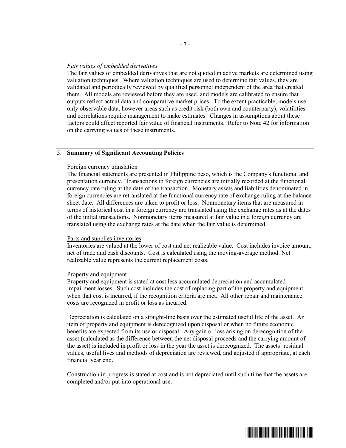#### *Fair values of embedded derivatives*

The fair values of embedded derivatives that are not quoted in active markets are determined using valuation techniques. Where valuation techniques are used to determine fair values, they are validated and periodically reviewed by qualified personnel independent of the area that created them. All models are reviewed before they are used, and models are calibrated to ensure that outputs reflect actual data and comparative market prices. To the extent practicable, models use only observable data, however areas such as credit risk (both own and counterparty), volatilities and correlations require management to make estimates. Changes in assumptions about these factors could affect reported fair value of financial instruments. Refer to Note 42 for information on the carrying values of these instruments.

## 5. **Summary of Significant Accounting Policies**

#### Foreign currency translation

The financial statements are presented in Philippine peso, which is the Company's functional and presentation currency. Transactions in foreign currencies are initially recorded at the functional currency rate ruling at the date of the transaction. Monetary assets and liabilities denominated in foreign currencies are retranslated at the functional currency rate of exchange ruling at the balance sheet date. All differences are taken to profit or loss. Nonmonetary items that are measured in terms of historical cost in a foreign currency are translated using the exchange rates as at the dates of the initial transactions. Nonmonetary items measured at fair value in a foreign currency are translated using the exchange rates at the date when the fair value is determined.

#### Parts and supplies inventories

Inventories are valued at the lower of cost and net realizable value. Cost includes invoice amount, net of trade and cash discounts. Cost is calculated using the moving-average method. Net realizable value represents the current replacement costs.

#### Property and equipment

Property and equipment is stated at cost less accumulated depreciation and accumulated impairment losses. Such cost includes the cost of replacing part of the property and equipment when that cost is incurred, if the recognition criteria are met. All other repair and maintenance costs are recognized in profit or loss as incurred.

Depreciation is calculated on a straight-line basis over the estimated useful life of the asset. An item of property and equipment is derecognized upon disposal or when no future economic benefits are expected from its use or disposal. Any gain or loss arising on derecognition of the asset (calculated as the difference between the net disposal proceeds and the carrying amount of the asset) is included in profit or loss in the year the asset is derecognized. The assets' residual values, useful lives and methods of depreciation are reviewed, and adjusted if appropriate, at each financial year end.

Construction in progress is stated at cost and is not depreciated until such time that the assets are completed and/or put into operational use.

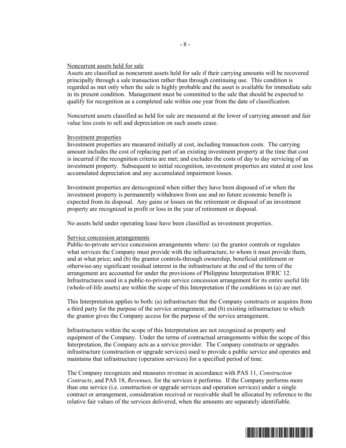#### Noncurrent assets held for sale

Assets are classified as noncurrent assets held for sale if their carrying amounts will be recovered principally through a sale transaction rather than through continuing use. This condition is regarded as met only when the sale is highly probable and the asset is available for immediate sale in its present condition. Management must be committed to the sale that should be expected to qualify for recognition as a completed sale within one year from the date of classification.

Noncurrent assets classified as held for sale are measured at the lower of carrying amount and fair value less costs to sell and depreciation on such assets cease.

#### Investment properties

Investment properties are measured initially at cost, including transaction costs. The carrying amount includes the cost of replacing part of an existing investment property at the time that cost is incurred if the recognition criteria are met; and excludes the costs of day to day servicing of an investment property. Subsequent to initial recognition, investment properties are stated at cost less accumulated depreciation and any accumulated impairment losses.

Investment properties are derecognized when either they have been disposed of or when the investment property is permanently withdrawn from use and no future economic benefit is expected from its disposal. Any gains or losses on the retirement or disposal of an investment property are recognized in profit or loss in the year of retirement or disposal.

No assets held under operating lease have been classified as investment properties.

## Service concession arrangements

Public-to-private service concession arrangements where: (a) the grantor controls or regulates what services the Company must provide with the infrastructure, to whom it must provide them, and at what price; and (b) the grantor controls-through ownership, beneficial entitlement or otherwise-any significant residual interest in the infrastructure at the end of the term of the arrangement are accounted for under the provisions of Philippine Interpretation IFRIC 12. Infrastructures used in a public-to-private service concession arrangement for its entire useful life (whole-of-life assets) are within the scope of this Interpretation if the conditions in (a) are met.

This Interpretation applies to both: (a) infrastructure that the Company constructs or acquires from a third party for the purpose of the service arrangement; and (b) existing infrastructure to which the grantor gives the Company access for the purpose of the service arrangement.

Infrastructures within the scope of this Interpretation are not recognized as property and equipment of the Company. Under the terms of contractual arrangements within the scope of this Interpretation, the Company acts as a service provider. The Company constructs or upgrades infrastructure (construction or upgrade services) used to provide a public service and operates and maintains that infrastructure (operation services) for a specified period of time.

The Company recognizes and measures revenue in accordance with PAS 11, *Construction Contracts*, and PAS 18, *Revenues,* for the services it performs. If the Company performs more than one service (i.e. construction or upgrade services and operation services) under a single contract or arrangement, consideration received or receivable shall be allocated by reference to the relative fair values of the services delivered, when the amounts are separately identifiable.

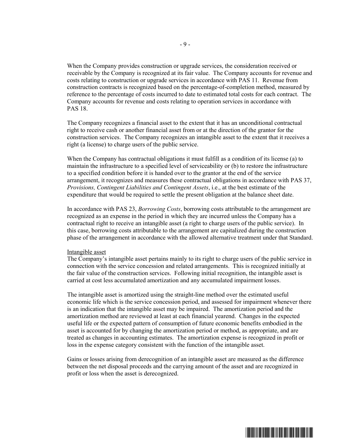When the Company provides construction or upgrade services, the consideration received or receivable by the Company is recognized at its fair value. The Company accounts for revenue and costs relating to construction or upgrade services in accordance with PAS 11. Revenue from construction contracts is recognized based on the percentage-of-completion method, measured by reference to the percentage of costs incurred to date to estimated total costs for each contract. The Company accounts for revenue and costs relating to operation services in accordance with PAS 18.

The Company recognizes a financial asset to the extent that it has an unconditional contractual right to receive cash or another financial asset from or at the direction of the grantor for the construction services. The Company recognizes an intangible asset to the extent that it receives a right (a license) to charge users of the public service.

When the Company has contractual obligations it must fulfill as a condition of its license (a) to maintain the infrastructure to a specified level of serviceability or (b) to restore the infrastructure to a specified condition before it is handed over to the grantor at the end of the service arrangement, it recognizes and measures these contractual obligations in accordance with PAS 37, *Provisions, Contingent Liabilities and Contingent Assets*, i.e., at the best estimate of the expenditure that would be required to settle the present obligation at the balance sheet date.

In accordance with PAS 23, *Borrowing Costs*, borrowing costs attributable to the arrangement are recognized as an expense in the period in which they are incurred unless the Company has a contractual right to receive an intangible asset (a right to charge users of the public service). In this case, borrowing costs attributable to the arrangement are capitalized during the construction phase of the arrangement in accordance with the allowed alternative treatment under that Standard.

#### Intangible asset

The Company's intangible asset pertains mainly to its right to charge users of the public service in connection with the service concession and related arrangements. This is recognized initially at the fair value of the construction services. Following initial recognition, the intangible asset is carried at cost less accumulated amortization and any accumulated impairment losses.

The intangible asset is amortized using the straight-line method over the estimated useful economic life which is the service concession period, and assessed for impairment whenever there is an indication that the intangible asset may be impaired. The amortization period and the amortization method are reviewed at least at each financial yearend. Changes in the expected useful life or the expected pattern of consumption of future economic benefits embodied in the asset is accounted for by changing the amortization period or method, as appropriate, and are treated as changes in accounting estimates. The amortization expense is recognized in profit or loss in the expense category consistent with the function of the intangible asset.

Gains or losses arising from derecognition of an intangible asset are measured as the difference between the net disposal proceeds and the carrying amount of the asset and are recognized in profit or loss when the asset is derecognized.

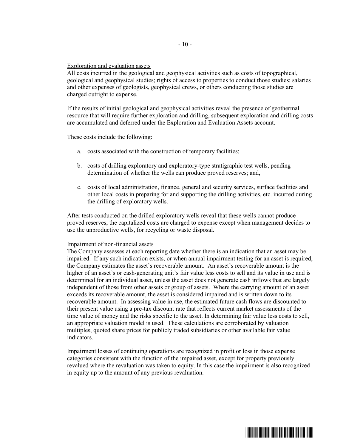### Exploration and evaluation assets

All costs incurred in the geological and geophysical activities such as costs of topographical, geological and geophysical studies; rights of access to properties to conduct those studies; salaries and other expenses of geologists, geophysical crews, or others conducting those studies are charged outright to expense.

If the results of initial geological and geophysical activities reveal the presence of geothermal resource that will require further exploration and drilling, subsequent exploration and drilling costs are accumulated and deferred under the Exploration and Evaluation Assets account.

These costs include the following:

- a. costs associated with the construction of temporary facilities;
- b. costs of drilling exploratory and exploratory-type stratigraphic test wells, pending determination of whether the wells can produce proved reserves; and,
- c. costs of local administration, finance, general and security services, surface facilities and other local costs in preparing for and supporting the drilling activities, etc. incurred during the drilling of exploratory wells.

After tests conducted on the drilled exploratory wells reveal that these wells cannot produce proved reserves, the capitalized costs are charged to expense except when management decides to use the unproductive wells, for recycling or waste disposal.

## Impairment of non-financial assets

The Company assesses at each reporting date whether there is an indication that an asset may be impaired. If any such indication exists, or when annual impairment testing for an asset is required, the Company estimates the asset's recoverable amount. An asset's recoverable amount is the higher of an asset's or cash-generating unit's fair value less costs to sell and its value in use and is determined for an individual asset, unless the asset does not generate cash inflows that are largely independent of those from other assets or group of assets. Where the carrying amount of an asset exceeds its recoverable amount, the asset is considered impaired and is written down to its recoverable amount. In assessing value in use, the estimated future cash flows are discounted to their present value using a pre-tax discount rate that reflects current market assessments of the time value of money and the risks specific to the asset. In determining fair value less costs to sell, an appropriate valuation model is used. These calculations are corroborated by valuation multiples, quoted share prices for publicly traded subsidiaries or other available fair value indicators.

Impairment losses of continuing operations are recognized in profit or loss in those expense categories consistent with the function of the impaired asset, except for property previously revalued where the revaluation was taken to equity. In this case the impairment is also recognized in equity up to the amount of any previous revaluation.

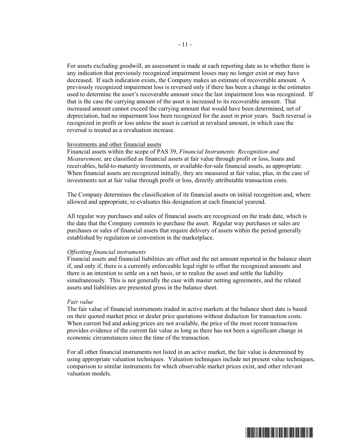For assets excluding goodwill, an assessment is made at each reporting date as to whether there is any indication that previously recognized impairment losses may no longer exist or may have decreased. If such indication exists, the Company makes an estimate of recoverable amount. A previously recognized impairment loss is reversed only if there has been a change in the estimates used to determine the asset's recoverable amount since the last impairment loss was recognized. If that is the case the carrying amount of the asset is increased to its recoverable amount. That increased amount cannot exceed the carrying amount that would have been determined, net of depreciation, had no impairment loss been recognized for the asset in prior years. Such reversal is recognized in profit or loss unless the asset is carried at revalued amount, in which case the reversal is treated as a revaluation increase.

#### Investments and other financial assets

Financial assets within the scope of PAS 39, *Financial Instruments: Recognition and Measurement,* are classified as financial assets at fair value through profit or loss, loans and receivables, held-to-maturity investments, or available-for-sale financial assets, as appropriate. When financial assets are recognized initially, they are measured at fair value, plus, in the case of investments not at fair value through profit or loss, directly attributable transaction costs.

The Company determines the classification of its financial assets on initial recognition and, where allowed and appropriate, re-evaluates this designation at each financial yearend.

All regular way purchases and sales of financial assets are recognized on the trade date, which is the date that the Company commits to purchase the asset. Regular way purchases or sales are purchases or sales of financial assets that require delivery of assets within the period generally established by regulation or convention in the marketplace.

#### *Offsetting financial instruments*

Financial assets and financial liabilities are offset and the net amount reported in the balance sheet if, and only if, there is a currently enforceable legal right to offset the recognized amounts and there is an intention to settle on a net basis, or to realize the asset and settle the liability simultaneously. This is not generally the case with master netting agreements, and the related assets and liabilities are presented gross in the balance sheet.

#### *Fair value*

The fair value of financial instruments traded in active markets at the balance sheet date is based on their quoted market price or dealer price quotations without deduction for transaction costs. When current bid and asking prices are not available, the price of the most recent transaction provides evidence of the current fair value as long as there has not been a significant change in economic circumstances since the time of the transaction.

For all other financial instruments not listed in an active market, the fair value is determined by using appropriate valuation techniques. Valuation techniques include net present value techniques, comparison to similar instruments for which observable market prices exist, and other relevant valuation models.

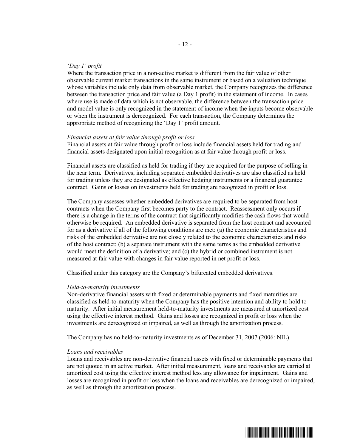#### *'Day 1' profit*

Where the transaction price in a non-active market is different from the fair value of other observable current market transactions in the same instrument or based on a valuation technique whose variables include only data from observable market, the Company recognizes the difference between the transaction price and fair value (a Day 1 profit) in the statement of income. In cases where use is made of data which is not observable, the difference between the transaction price and model value is only recognized in the statement of income when the inputs become observable or when the instrument is derecognized. For each transaction, the Company determines the appropriate method of recognizing the 'Day 1' profit amount.

#### *Financial assets at fair value through profit or loss*

Financial assets at fair value through profit or loss include financial assets held for trading and financial assets designated upon initial recognition as at fair value through profit or loss.

Financial assets are classified as held for trading if they are acquired for the purpose of selling in the near term. Derivatives, including separated embedded derivatives are also classified as held for trading unless they are designated as effective hedging instruments or a financial guarantee contract. Gains or losses on investments held for trading are recognized in profit or loss.

The Company assesses whether embedded derivatives are required to be separated from host contracts when the Company first becomes party to the contract. Reassessment only occurs if there is a change in the terms of the contract that significantly modifies the cash flows that would otherwise be required. An embedded derivative is separated from the host contract and accounted for as a derivative if all of the following conditions are met: (a) the economic characteristics and risks of the embedded derivative are not closely related to the economic characteristics and risks of the host contract; (b) a separate instrument with the same terms as the embedded derivative would meet the definition of a derivative; and (c) the hybrid or combined instrument is not measured at fair value with changes in fair value reported in net profit or loss.

Classified under this category are the Company's bifurcated embedded derivatives.

#### *Held-to-maturity investments*

Non-derivative financial assets with fixed or determinable payments and fixed maturities are classified as held-to-maturity when the Company has the positive intention and ability to hold to maturity. After initial measurement held-to-maturity investments are measured at amortized cost using the effective interest method. Gains and losses are recognized in profit or loss when the investments are derecognized or impaired, as well as through the amortization process.

The Company has no held-to-maturity investments as of December 31, 2007 (2006: NIL).

#### *Loans and receivables*

Loans and receivables are non-derivative financial assets with fixed or determinable payments that are not quoted in an active market. After initial measurement, loans and receivables are carried at amortized cost using the effective interest method less any allowance for impairment. Gains and losses are recognized in profit or loss when the loans and receivables are derecognized or impaired, as well as through the amortization process.

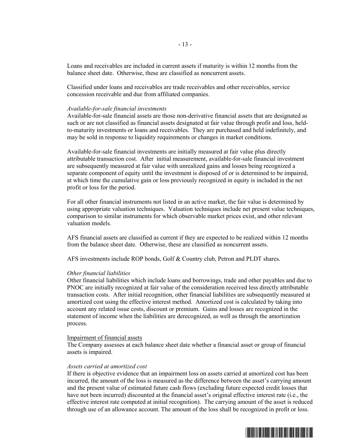Loans and receivables are included in current assets if maturity is within 12 months from the balance sheet date. Otherwise, these are classified as noncurrent assets.

Classified under loans and receivables are trade receivables and other receivables, service concession receivable and due from affiliated companies.

#### *Available-for-sale financial investments*

Available-for-sale financial assets are those non-derivative financial assets that are designated as such or are not classified as financial assets designated at fair value through profit and loss, heldto-maturity investments or loans and receivables. They are purchased and held indefinitely, and may be sold in response to liquidity requirements or changes in market conditions.

Available-for-sale financial investments are initially measured at fair value plus directly attributable transaction cost. After initial measurement, available-for-sale financial investment are subsequently measured at fair value with unrealized gains and losses being recognized a separate component of equity until the investment is disposed of or is determined to be impaired, at which time the cumulative gain or loss previously recognized in equity is included in the net profit or loss for the period.

For all other financial instruments not listed in an active market, the fair value is determined by using appropriate valuation techniques. Valuation techniques include net present value techniques, comparison to similar instruments for which observable market prices exist, and other relevant valuation models.

AFS financial assets are classified as current if they are expected to be realized within 12 months from the balance sheet date. Otherwise, these are classified as noncurrent assets.

AFS investments include ROP bonds, Golf & Country club, Petron and PLDT shares.

#### *Other financial liabilities*

Other financial liabilities which include loans and borrowings, trade and other payables and due to PNOC are initially recognized at fair value of the consideration received less directly attributable transaction costs. After initial recognition, other financial liabilities are subsequently measured at amortized cost using the effective interest method. Amortized cost is calculated by taking into account any related issue costs, discount or premium. Gains and losses are recognized in the statement of income when the liabilities are derecognized, as well as through the amortization process.

#### Impairment of financial assets

The Company assesses at each balance sheet date whether a financial asset or group of financial assets is impaired.

#### *Assets carried at amortized cost*

If there is objective evidence that an impairment loss on assets carried at amortized cost has been incurred, the amount of the loss is measured as the difference between the asset's carrying amount and the present value of estimated future cash flows (excluding future expected credit losses that have not been incurred) discounted at the financial asset's original effective interest rate (i.e., the effective interest rate computed at initial recognition). The carrying amount of the asset is reduced through use of an allowance account. The amount of the loss shall be recognized in profit or loss.

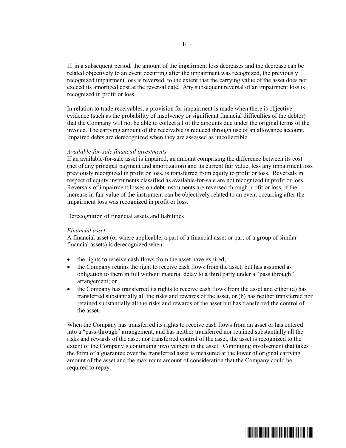If, in a subsequent period, the amount of the impairment loss decreases and the decrease can be related objectively to an event occurring after the impairment was recognized, the previously recognized impairment loss is reversed, to the extent that the carrying value of the asset does not exceed its amortized cost at the reversal date. Any subsequent reversal of an impairment loss is recognized in profit or loss.

In relation to trade receivables, a provision for impairment is made when there is objective evidence (such as the probability of insolvency or significant financial difficulties of the debtor) that the Company will not be able to collect all of the amounts due under the original terms of the invoice. The carrying amount of the receivable is reduced through use of an allowance account. Impaired debts are derecognized when they are assessed as uncollectible.

#### *Available-for-sale financial investments*

If an available-for-sale asset is impaired, an amount comprising the difference between its cost (net of any principal payment and amortization) and its current fair value, less any impairment loss previously recognized in profit or loss, is transferred from equity to profit or loss. Reversals in respect of equity instruments classified as available-for-sale are not recognized in profit or loss. Reversals of impairment losses on debt instruments are reversed through profit or loss, if the increase in fair value of the instrument can be objectively related to an event occurring after the impairment loss was recognized in profit or loss.

## Derecognition of financial assets and liabilities

#### *Financial asset*

A financial asset (or where applicable, a part of a financial asset or part of a group of similar financial assets) is derecognized when:

- the rights to receive cash flows from the asset have expired;
- · the Company retains the right to receive cash flows from the asset, but has assumed as obligation to them in full without material delay to a third party under a "pass through" arrangement; or
- the Company has transferred its rights to receive cash flows from the asset and either (a) has transferred substantially all the risks and rewards of the asset, or (b) has neither transferred nor retained substantially all the risks and rewards of the asset but has transferred the control of the asset.

When the Company has transferred its rights to receive cash flows from an asset or has entered into a "pass-through" arrangement, and has neither transferred nor retained substantially all the risks and rewards of the asset nor transferred control of the asset, the asset is recognized to the extent of the Company's continuing involvement in the asset. Continuing involvement that takes the form of a guarantee over the transferred asset is measured at the lower of original carrying amount of the asset and the maximum amount of consideration that the Company could be required to repay.

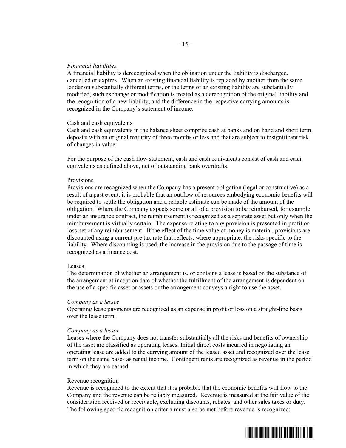## *Financial liabilities*

A financial liability is derecognized when the obligation under the liability is discharged, cancelled or expires. When an existing financial liability is replaced by another from the same lender on substantially different terms, or the terms of an existing liability are substantially modified, such exchange or modification is treated as a derecognition of the original liability and the recognition of a new liability, and the difference in the respective carrying amounts is recognized in the Company's statement of income.

#### Cash and cash equivalents

Cash and cash equivalents in the balance sheet comprise cash at banks and on hand and short term deposits with an original maturity of three months or less and that are subject to insignificant risk of changes in value.

For the purpose of the cash flow statement, cash and cash equivalents consist of cash and cash equivalents as defined above, net of outstanding bank overdrafts.

#### Provisions

Provisions are recognized when the Company has a present obligation (legal or constructive) as a result of a past event, it is probable that an outflow of resources embodying economic benefits will be required to settle the obligation and a reliable estimate can be made of the amount of the obligation. Where the Company expects some or all of a provision to be reimbursed, for example under an insurance contract, the reimbursement is recognized as a separate asset but only when the reimbursement is virtually certain. The expense relating to any provision is presented in profit or loss net of any reimbursement. If the effect of the time value of money is material, provisions are discounted using a current pre tax rate that reflects, where appropriate, the risks specific to the liability. Where discounting is used, the increase in the provision due to the passage of time is recognized as a finance cost.

#### Leases

The determination of whether an arrangement is, or contains a lease is based on the substance of the arrangement at inception date of whether the fulfillment of the arrangement is dependent on the use of a specific asset or assets or the arrangement conveys a right to use the asset.

#### *Company as a lessee*

Operating lease payments are recognized as an expense in profit or loss on a straight-line basis over the lease term.

#### *Company as a lessor*

Leases where the Company does not transfer substantially all the risks and benefits of ownership of the asset are classified as operating leases. Initial direct costs incurred in negotiating an operating lease are added to the carrying amount of the leased asset and recognized over the lease term on the same bases as rental income. Contingent rents are recognized as revenue in the period in which they are earned.

### Revenue recognition

Revenue is recognized to the extent that it is probable that the economic benefits will flow to the Company and the revenue can be reliably measured. Revenue is measured at the fair value of the consideration received or receivable, excluding discounts, rebates, and other sales taxes or duty. The following specific recognition criteria must also be met before revenue is recognized:

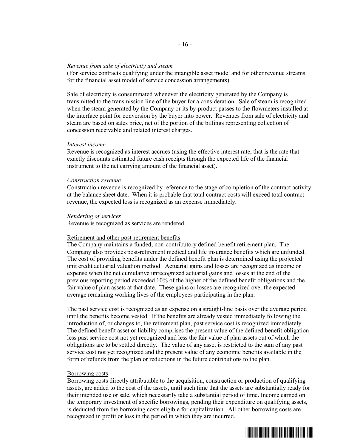#### *Revenue from sale of electricity and steam*

(For service contracts qualifying under the intangible asset model and for other revenue streams for the financial asset model of service concession arrangements)

Sale of electricity is consummated whenever the electricity generated by the Company is transmitted to the transmission line of the buyer for a consideration. Sale of steam is recognized when the steam generated by the Company or its by-product passes to the flowmeters installed at the interface point for conversion by the buyer into power. Revenues from sale of electricity and steam are based on sales price, net of the portion of the billings representing collection of concession receivable and related interest charges.

#### *Interest income*

Revenue is recognized as interest accrues (using the effective interest rate, that is the rate that exactly discounts estimated future cash receipts through the expected life of the financial instrument to the net carrying amount of the financial asset).

#### *Construction revenue*

Construction revenue is recognized by reference to the stage of completion of the contract activity at the balance sheet date. When it is probable that total contract costs will exceed total contract revenue, the expected loss is recognized as an expense immediately.

#### *Rendering of services*

Revenue is recognized as services are rendered.

#### Retirement and other post-retirement benefits

The Company maintains a funded, non-contributory defined benefit retirement plan. The Company also provides post-retirement medical and life insurance benefits which are unfunded. The cost of providing benefits under the defined benefit plan is determined using the projected unit credit actuarial valuation method. Actuarial gains and losses are recognized as income or expense when the net cumulative unrecognized actuarial gains and losses at the end of the previous reporting period exceeded 10% of the higher of the defined benefit obligations and the fair value of plan assets at that date. These gains or losses are recognized over the expected average remaining working lives of the employees participating in the plan.

The past service cost is recognized as an expense on a straight-line basis over the average period until the benefits become vested. If the benefits are already vested immediately following the introduction of, or changes to, the retirement plan, past service cost is recognized immediately. The defined benefit asset or liability comprises the present value of the defined benefit obligation less past service cost not yet recognized and less the fair value of plan assets out of which the obligations are to be settled directly. The value of any asset is restricted to the sum of any past service cost not yet recognized and the present value of any economic benefits available in the form of refunds from the plan or reductions in the future contributions to the plan.

## Borrowing costs

Borrowing costs directly attributable to the acquisition, construction or production of qualifying assets, are added to the cost of the assets, until such time that the assets are substantially ready for their intended use or sale, which necessarily take a substantial period of time. Income earned on the temporary investment of specific borrowings, pending their expenditure on qualifying assets, is deducted from the borrowing costs eligible for capitalization. All other borrowing costs are recognized in profit or loss in the period in which they are incurred.

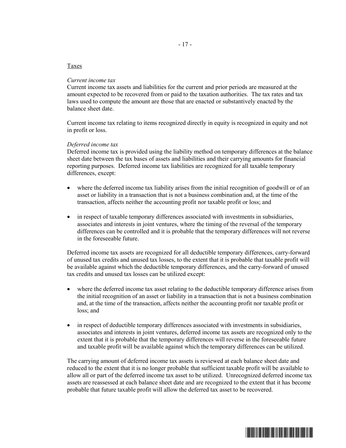## Taxes

## *Current income tax*

Current income tax assets and liabilities for the current and prior periods are measured at the amount expected to be recovered from or paid to the taxation authorities. The tax rates and tax laws used to compute the amount are those that are enacted or substantively enacted by the balance sheet date.

Current income tax relating to items recognized directly in equity is recognized in equity and not in profit or loss.

## *Deferred income tax*

Deferred income tax is provided using the liability method on temporary differences at the balance sheet date between the tax bases of assets and liabilities and their carrying amounts for financial reporting purposes. Deferred income tax liabilities are recognized for all taxable temporary differences, except:

- where the deferred income tax liability arises from the initial recognition of goodwill or of an asset or liability in a transaction that is not a business combination and, at the time of the transaction, affects neither the accounting profit nor taxable profit or loss; and
- in respect of taxable temporary differences associated with investments in subsidiaries, associates and interests in joint ventures, where the timing of the reversal of the temporary differences can be controlled and it is probable that the temporary differences will not reverse in the foreseeable future.

Deferred income tax assets are recognized for all deductible temporary differences, carry-forward of unused tax credits and unused tax losses, to the extent that it is probable that taxable profit will be available against which the deductible temporary differences, and the carry-forward of unused tax credits and unused tax losses can be utilized except:

- · where the deferred income tax asset relating to the deductible temporary difference arises from the initial recognition of an asset or liability in a transaction that is not a business combination and, at the time of the transaction, affects neither the accounting profit nor taxable profit or loss; and
- in respect of deductible temporary differences associated with investments in subsidiaries, associates and interests in joint ventures, deferred income tax assets are recognized only to the extent that it is probable that the temporary differences will reverse in the foreseeable future and taxable profit will be available against which the temporary differences can be utilized.

The carrying amount of deferred income tax assets is reviewed at each balance sheet date and reduced to the extent that it is no longer probable that sufficient taxable profit will be available to allow all or part of the deferred income tax asset to be utilized. Unrecognized deferred income tax assets are reassessed at each balance sheet date and are recognized to the extent that it has become probable that future taxable profit will allow the deferred tax asset to be recovered.

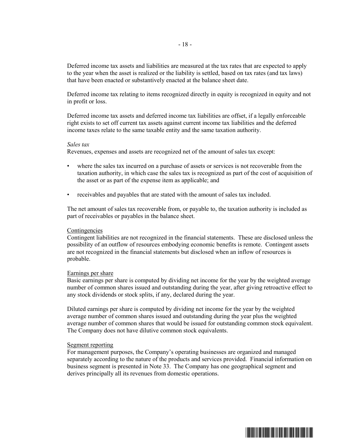Deferred income tax assets and liabilities are measured at the tax rates that are expected to apply to the year when the asset is realized or the liability is settled, based on tax rates (and tax laws) that have been enacted or substantively enacted at the balance sheet date.

Deferred income tax relating to items recognized directly in equity is recognized in equity and not in profit or loss.

Deferred income tax assets and deferred income tax liabilities are offset, if a legally enforceable right exists to set off current tax assets against current income tax liabilities and the deferred income taxes relate to the same taxable entity and the same taxation authority.

#### *Sales tax*

Revenues, expenses and assets are recognized net of the amount of sales tax except:

- where the sales tax incurred on a purchase of assets or services is not recoverable from the taxation authority, in which case the sales tax is recognized as part of the cost of acquisition of the asset or as part of the expense item as applicable; and
- receivables and payables that are stated with the amount of sales tax included.

The net amount of sales tax recoverable from, or payable to, the taxation authority is included as part of receivables or payables in the balance sheet.

## **Contingencies**

Contingent liabilities are not recognized in the financial statements. These are disclosed unless the possibility of an outflow of resources embodying economic benefits is remote. Contingent assets are not recognized in the financial statements but disclosed when an inflow of resources is probable.

#### Earnings per share

Basic earnings per share is computed by dividing net income for the year by the weighted average number of common shares issued and outstanding during the year, after giving retroactive effect to any stock dividends or stock splits, if any, declared during the year.

Diluted earnings per share is computed by dividing net income for the year by the weighted average number of common shares issued and outstanding during the year plus the weighted average number of common shares that would be issued for outstanding common stock equivalent. The Company does not have dilutive common stock equivalents.

#### Segment reporting

For management purposes, the Company's operating businesses are organized and managed separately according to the nature of the products and services provided. Financial information on business segment is presented in Note 33. The Company has one geographical segment and derives principally all its revenues from domestic operations.

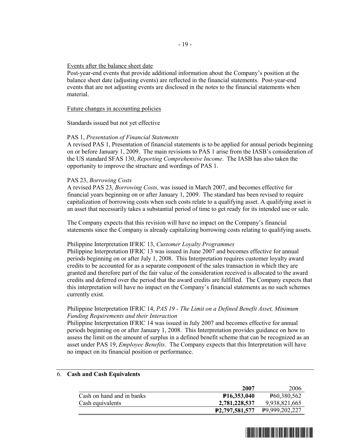## Events after the balance sheet date

Post-year-end events that provide additional information about the Company's position at the balance sheet date (adjusting events) are reflected in the financial statements. Post-year-end events that are not adjusting events are disclosed in the notes to the financial statements when material.

## Future changes in accounting policies

Standards issued but not yet effective

## PAS 1, *Presentation of Financial Statements*

A revised PAS 1, Presentation of financial statements is to be applied for annual periods beginning on or before January 1, 2009. The main revisions to PAS 1 arise from the IASB's consideration of the US standard SFAS 130, *Reporting Comprehensive Income*. The IASB has also taken the opportunity to improve the structure and wordings of PAS 1.

## PAS 23, *Borrowing Costs*

A revised PAS 23, *Borrowing Costs,* was issued in March 2007, and becomes effective for financial years beginning on or after January 1, 2009. The standard has been revised to require capitalization of borrowing costs when such costs relate to a qualifying asset. A qualifying asset is an asset that necessarily takes a substantial period of time to get ready for its intended use or sale.

The Company expects that this revision will have no impact on the Company's financial statements since the Company is already capitalizing borrowing costs relating to qualifying assets.

### Philippine Interpretation IFRIC 13, *Customer Loyalty Programmes*

Philippine Interpretation IFRIC 13 was issued in June 2007 and becomes effective for annual periods beginning on or after July 1, 2008. This Interpretation requires customer loyalty award credits to be accounted for as a separate component of the sales transaction in which they are granted and therefore part of the fair value of the consideration received is allocated to the award credits and deferred over the period that the award credits are fulfilled. The Company expects that this interpretation will have no impact on the Company's financial statements as no such schemes currently exist.

## Philippine Interpretation IFRIC 14, *PAS 19 - The Limit on a Defined Benefit Asset, Minimum Funding Requirements and their Interaction*

Philippine Interpretation IFRIC 14 was issued in July 2007 and becomes effective for annual periods beginning on or after January 1, 2008. This Interpretation provides guidance on how to assess the limit on the amount of surplus in a defined benefit scheme that can be recognized as an asset under PAS 19, *Employee Benefits*. The Company expects that this Interpretation will have no impact on its financial position or performance.

## 6. **Cash and Cash Equivalents**

|                           | 2007                  | 2006                        |
|---------------------------|-----------------------|-----------------------------|
| Cash on hand and in banks | <b>P16.353.040</b>    | P <sub>60,380,562</sub>     |
| Cash equivalents          | 2.781.228.537         | 9,938,821,665               |
|                           | <b>P2,797,581,577</b> | P <sub>9</sub> ,999,202,227 |

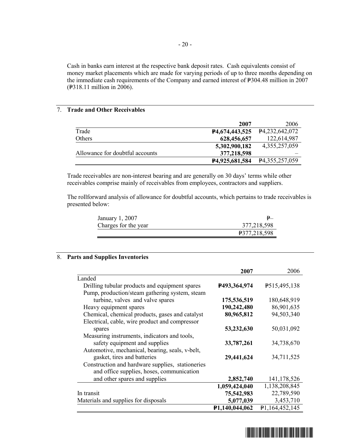Cash in banks earn interest at the respective bank deposit rates. Cash equivalents consist of money market placements which are made for varying periods of up to three months depending on the immediate cash requirements of the Company and earned interest of P304.48 million in 2007  $(P318.11 \text{ million in } 2006)$ .

## 7. **Trade and Other Receivables**

|                                 | 2007                  | 2006                        |
|---------------------------------|-----------------------|-----------------------------|
| Trade                           | P4,674,443,525        | P <sub>4</sub> ,232,642,072 |
| Others                          | 628,456,657           | 122,614,987                 |
|                                 | 5,302,900,182         | 4,355,257,059               |
| Allowance for doubtful accounts | 377,218,598           |                             |
|                                 | <b>P4,925,681,584</b> | P4,355,257,059              |

Trade receivables are non-interest bearing and are generally on 30 days' terms while other receivables comprise mainly of receivables from employees, contractors and suppliers.

The rollforward analysis of allowance for doubtful accounts, which pertains to trade receivables is presented below:

| January 1, 2007      |              |
|----------------------|--------------|
| Charges for the year | 377,218,598  |
|                      | P377,218,598 |

## 8. **Parts and Supplies Inventories**

|                                                  | 2007           | 2006           |
|--------------------------------------------------|----------------|----------------|
| Landed                                           |                |                |
| Drilling tubular products and equipment spares   | P493,364,974   | P515,495,138   |
| Pump, production/steam gathering system, steam   |                |                |
| turbine, valves and valve spares                 | 175,536,519    | 180,648,919    |
| Heavy equipment spares                           | 190,242,480    | 86,901,635     |
| Chemical, chemical products, gases and catalyst  | 80,965,812     | 94,503,340     |
| Electrical, cable, wire product and compressor   |                |                |
| spares                                           | 53,232,630     | 50,031,092     |
| Measuring instruments, indicators and tools,     |                |                |
| safety equipment and supplies                    | 33,787,261     | 34,738,670     |
| Automotive, mechanical, bearing, seals, v-belt,  |                |                |
| gasket, tires and batteries                      | 29,441,624     | 34,711,525     |
| Construction and hardware supplies, stationeries |                |                |
| and office supplies, hoses, communication        |                |                |
| and other spares and supplies                    | 2,852,740      | 141, 178, 526  |
|                                                  | 1,059,424,040  | 1,138,208,845  |
| In transit                                       | 75,542,983     | 22,789,590     |
| Materials and supplies for disposals             | 5,077,039      | 3,453,710      |
|                                                  | P1,140,044,062 | P1,164,452,145 |

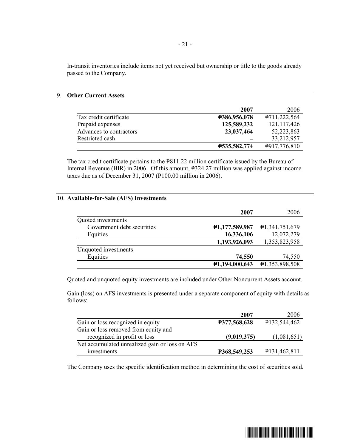In-transit inventories include items not yet received but ownership or title to the goods already passed to the Company.

## 9. **Other Current Assets**

|                         | 2007                | 2006          |
|-------------------------|---------------------|---------------|
| Tax credit certificate  | <b>P386,956,078</b> | P711,222,564  |
| Prepaid expenses        | 125,589,232         | 121, 117, 426 |
| Advances to contractors | 23,037,464          | 52,223,863    |
| Restricted cash         |                     | 33,212,957    |
|                         | P535,582,774        | P917,776,810  |

The tax credit certificate pertains to the  $P_{811.22}$  million certificate issued by the Bureau of Internal Revenue (BIR) in 2006. Of this amount,  $P324.27$  million was applied against income taxes due as of December 31, 2007 ( $P100.00$  million in 2006).

## 10. **Available-for-Sale (AFS) Investments**

|                            | 2007           | 2006                           |
|----------------------------|----------------|--------------------------------|
| Quoted investments         |                |                                |
| Government debt securities | P1,177,589,987 | P <sub>1</sub> , 341, 751, 679 |
| Equities                   | 16,336,106     | 12,072,279                     |
|                            | 1,193,926,093  | 1,353,823,958                  |
| Unquoted investments       |                |                                |
| Equities                   | 74,550         | 74,550                         |
|                            | P1,194,000,643 | P1,353,898,508                 |

Quoted and unquoted equity investments are included under Other Noncurrent Assets account.

Gain (loss) on AFS investments is presented under a separate component of equity with details as follows:

|                                                | 2007         | 2006                     |
|------------------------------------------------|--------------|--------------------------|
| Gain or loss recognized in equity              | P377,568,628 | P132,544,462             |
| Gain or loss removed from equity and           |              |                          |
| recognized in profit or loss                   | (9,019,375)  | (1,081,651)              |
| Net accumulated unrealized gain or loss on AFS |              |                          |
| investments                                    | P368,549,253 | P <sub>131,462,811</sub> |

The Company uses the specific identification method in determining the cost of securities sold.

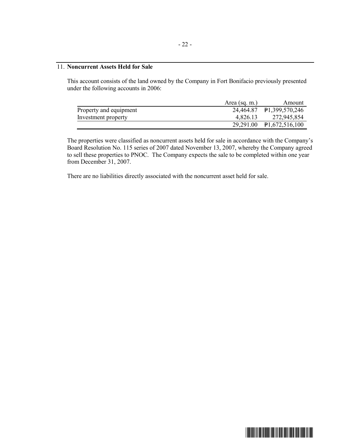## 11. **Noncurrent Assets Held for Sale**

This account consists of the land owned by the Company in Fort Bonifacio previously presented under the following accounts in 2006:

|                        | Area (sq. m.) | Amount                   |
|------------------------|---------------|--------------------------|
| Property and equipment |               | 24,464.87 P1,399,570,246 |
| Investment property    | 4.826.13      | 272,945,854              |
|                        |               | 29,291.00 P1,672,516,100 |

The properties were classified as noncurrent assets held for sale in accordance with the Company's Board Resolution No. 115 series of 2007 dated November 13, 2007, whereby the Company agreed to sell these properties to PNOC. The Company expects the sale to be completed within one year from December 31, 2007.

There are no liabilities directly associated with the noncurrent asset held for sale.

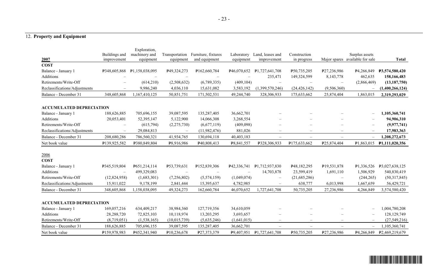# 12. **Property and Equipment**

| 2007                                           | Buildings and<br>improvement | Exploration,<br>machinery and<br>equipment | equipment                  | Transportation Furniture, fixtures<br>and equipment | Laboratory<br>equipment   | Land, leases and<br>improvement | Construction<br>in progress |                          | Surplus assets<br>Major spares available for sale | <b>Total</b>                    |
|------------------------------------------------|------------------------------|--------------------------------------------|----------------------------|-----------------------------------------------------|---------------------------|---------------------------------|-----------------------------|--------------------------|---------------------------------------------------|---------------------------------|
| <b>COST</b>                                    |                              |                                            |                            |                                                     |                           |                                 |                             |                          |                                                   |                                 |
| Balance - January 1                            |                              | P348,605,868 P1,158,038,095                | P49,324,273                | P162,660,784                                        |                           | P46,070,652 P1,727,641,708      | P50,735,205                 | P27,236,986              | P <sub>4</sub> ,266,849                           | P3,574,580,420                  |
| Additions                                      |                              | $\overline{\phantom{a}}$                   | $\overline{\phantom{m}}$   |                                                     | $\overline{\phantom{m}}$  | 235,471                         | 149,324,599                 | 8,143,778                | 462,635                                           | 158,166,483                     |
| Retirements/Write-Off                          |                              | (614,210)                                  | (2,508,632)                | (6,789,335)                                         | (409, 104)                | $\overline{\phantom{m}}$        | $\overline{\phantom{a}}$    | $\overline{\phantom{a}}$ | (2,866,469)                                       | (13, 187, 750)                  |
| Reclassifications/Adjustments                  |                              | 9,986,240                                  | 4,036,110                  | 15,631,082                                          | 3,583,192                 | (1,399,570,246)                 | (24, 426, 142)              | (9,506,360)              |                                                   | (1,400,266,124)                 |
| Balance - December 31                          | 348,605,868                  | 1,167,410,125                              | 50,851,751                 | 171,502,531                                         | 49,244,740                | 328,306,933                     | 175,633,662                 | 25,874,404               | 1,863,015                                         | 2,319,293,029                   |
| <b>ACCUMULATED DEPRECIATION</b>                |                              |                                            |                            |                                                     |                           |                                 |                             |                          |                                                   |                                 |
| Balance - January 1                            | 188,626,885                  | 705,696,155                                | 39,087,595                 | 135,287,405                                         | 36,662,701                |                                 |                             |                          |                                                   | 1,105,360,741                   |
| Additions                                      | 20,053,401                   | 52,395,147                                 | 5,122,900                  | 14,066,308                                          | 3,268,554                 |                                 | $\overline{\phantom{0}}$    |                          |                                                   | 94,906,310                      |
| Retirements/Write-Off                          | $\overline{\phantom{m}}$     | (615, 794)                                 | (2,275,730)                | (6,677,119)                                         | (409,098)                 |                                 | $\equiv$                    |                          | $\overline{\phantom{m}}$                          | (9,977,741)                     |
| Reclassifications/Adjustments                  | $\overline{\phantom{m}}$     | 29,084,813                                 | $\overline{\phantom{m}}$   | (11,982,476)                                        | 881,026                   | $\overline{\phantom{m}}$        | $\overline{\phantom{m}}$    | $\overline{\phantom{m}}$ | $\overline{\phantom{0}}$                          | 17,983,363                      |
| Balance - December 31                          | 208,680,286                  | 786,560,321                                | 41,934,765                 | 130,694,118                                         | 40,403,183                | $\overline{\phantom{m}}$        | $\overline{\phantom{m}}$    | $\overline{\phantom{a}}$ | $\qquad \qquad -$                                 | 1,208,272,673                   |
| Net book value                                 | P139,925,582                 | P380,849,804                               | P8,916,986                 | P40,808,413                                         | P8,841,557                | P328,306,933                    | P175,633,662                | P25,874,404              |                                                   | P1,863,015 P1,111,020,356       |
|                                                |                              |                                            |                            |                                                     |                           |                                 |                             |                          |                                                   |                                 |
| 2006<br><b>COST</b>                            |                              |                                            |                            |                                                     |                           |                                 |                             |                          |                                                   |                                 |
| Balance - January 1                            | P345,519,804                 | P651,214,114                               | P53,739,631                | P152,839,306                                        | P42,336,741               | P1,712,937,830                  | P48,182,295                 | P19,531,878              | P <sub>1</sub> ,336,526                           | P3,027,638,125                  |
| Additions                                      | $\overline{\phantom{m}}$     | 499,329,083                                | $\overline{\phantom{m}}$   | $\overline{\phantom{a}}$                            | $\overline{\phantom{m}}$  | 14,703,878                      | 23,599,419                  | 1,691,110                | 1,506,929                                         | 540,830,419                     |
| Retirements/Write-Off                          | (12,824,958)                 | (1,683,301)                                | (7,256,802)                | (5,574,159)                                         | (1,049,074)               | $\overline{\phantom{0}}$        | (21,685,286)                | $\overline{\phantom{a}}$ | (244, 265)                                        | (50,317,845)                    |
| Reclassifications/Adjustments                  | 15,911,022                   | 9,178,199                                  | 2,841,444                  | 15,395,637                                          | 4,782,985                 |                                 | 638,777                     | 6,013,998                | 1,667,659                                         | 56,429,721                      |
| Balance - December 31                          | 348,605,868                  | 1,158,038,095                              | 49,324,273                 | 162,660,784                                         | 46,070,652                | 1,727,641,708                   | 50,735,205                  | 27,236,986               | 4,266,849                                         | 3,574,580,420                   |
| <b>ACCUMULATED DEPRECIATION</b>                |                              |                                            |                            |                                                     |                           |                                 |                             |                          |                                                   |                                 |
| Balance - January 1                            | 169,057,216                  | 634,409,217                                | 38,984,360                 | 127,719,356                                         | 34,610,059                |                                 |                             |                          |                                                   | 1,004,780,208                   |
| Additions                                      | 28,288,720                   | 72,825,103                                 | 10,118,974                 | 13,203,295                                          | 3,693,657                 |                                 |                             |                          |                                                   | 128, 129, 749                   |
|                                                |                              |                                            |                            |                                                     |                           |                                 |                             |                          |                                                   |                                 |
|                                                |                              |                                            |                            |                                                     |                           | $\overline{\phantom{m}}$        | $\overline{\phantom{a}}$    | $\overline{\phantom{m}}$ | $-$                                               |                                 |
| Retirements/Write-Off<br>Balance - December 31 | (8,719,051)<br>188,626,885   | (1,538,165)<br>705,696,155                 | (10,015,739)<br>39,087,595 | (5,635,246)<br>135,287,405                          | (1,641,015)<br>36,662,701 | $\overline{\phantom{m}}$        | $\overline{\phantom{m}}$    | $\overline{\phantom{m}}$ | $-$                                               | (27, 549, 216)<br>1,105,360,741 |

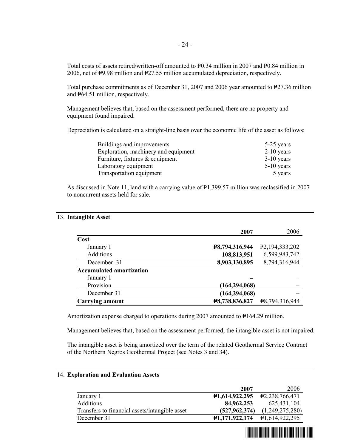Total costs of assets retired/written-off amounted to  $P_{0.34}$  million in 2007 and  $P_{0.84}$  million in 2006, net of  $P9.98$  million and  $P27.55$  million accumulated depreciation, respectively.

Total purchase commitments as of December 31, 2007 and 2006 year amounted to  $P27.36$  million and  $E$ 64.51 million, respectively.

Management believes that, based on the assessment performed, there are no property and equipment found impaired.

Depreciation is calculated on a straight-line basis over the economic life of the asset as follows:

| Buildings and improvements           | 5-25 years   |
|--------------------------------------|--------------|
| Exploration, machinery and equipment | $2-10$ years |
| Furniture, fixtures $\&$ equipment   | $3-10$ years |
| Laboratory equipment                 | $5-10$ years |
| Transportation equipment             | 5 years      |

As discussed in Note 11, land with a carrying value of  $P1,399.57$  million was reclassified in 2007 to noncurrent assets held for sale.

## 13. **Intangible Asset**

|                                 | 2007            | 2006                           |
|---------------------------------|-----------------|--------------------------------|
| Cost                            |                 |                                |
| January 1                       | P8,794,316,944  | P <sub>2</sub> , 194, 333, 202 |
| <b>Additions</b>                | 108,813,951     | 6,599,983,742                  |
| December 31                     | 8,903,130,895   | 8,794,316,944                  |
| <b>Accumulated amortization</b> |                 |                                |
| January 1                       |                 |                                |
| Provision                       | (164, 294, 068) |                                |
| December 31                     | (164, 294, 068) |                                |
| <b>Carrying amount</b>          | P8,738,836,827  | P8,794,316,944                 |

Amortization expense charged to operations during  $2007$  amounted to  $P164.29$  million.

Management believes that, based on the assessment performed, the intangible asset is not impaired.

The intangible asset is being amortized over the term of the related Geothermal Service Contract of the Northern Negros Geothermal Project (see Notes 3 and 34).

## 14. **Exploration and Evaluation Assets**

|                                                | 2007                        | 2006                        |
|------------------------------------------------|-----------------------------|-----------------------------|
| January 1                                      | P <sub>1</sub> ,614,922,295 | P <sub>2</sub> ,238,766,471 |
| <b>Additions</b>                               | 84,962,253                  | 625,431,104                 |
| Transfers to financial assets/intangible asset | (527.962.374)               | (1,249,275,280)             |
| December 31                                    | <b>P1,171,922,174</b>       | P <sub>1</sub> ,614,922,295 |

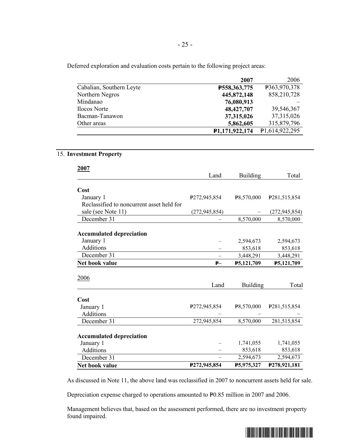| Deferred exploration and evaluation costs pertain to the following project areas: |  |  |  |
|-----------------------------------------------------------------------------------|--|--|--|
|                                                                                   |  |  |  |

|                          | 2007           | 2006           |
|--------------------------|----------------|----------------|
| Cabalian, Southern Leyte | P558,363,775   | P363,970,378   |
| Northern Negros          | 445,872,148    | 858,210,728    |
| Mindanao                 | 76,080,913     |                |
| <b>Ilocos</b> Norte      | 48, 427, 707   | 39,546,367     |
| Bacman-Tanawon           | 37,315,026     | 37, 315, 026   |
| Other areas              | 5,862,605      | 315,879,796    |
|                          | P1,171,922,174 | P1,614,922,295 |

## 15. **Investment Property**

| 2007                                      |                          |                 |                 |
|-------------------------------------------|--------------------------|-----------------|-----------------|
|                                           | Land                     | <b>Building</b> | Total           |
|                                           |                          |                 |                 |
| Cost                                      |                          |                 |                 |
| January 1                                 | P <sub>272,945,854</sub> | P8,570,000      | P281,515,854    |
| Reclassified to noncurrent asset held for |                          |                 |                 |
| sale (see Note 11)                        | (272, 945, 854)          |                 | (272, 945, 854) |
| December 31                               |                          | 8,570,000       | 8,570,000       |
| <b>Accumulated depreciation</b>           |                          |                 |                 |
| January 1                                 |                          | 2,594,673       | 2,594,673       |
| Additions                                 |                          | 853,618         | 853,618         |
| December 31                               | $\qquad \qquad -$        | 3,448,291       | 3,448,291       |
| Net book value                            | $P-$                     | P5,121,709      | P5,121,709      |
|                                           |                          |                 |                 |
| 2006                                      |                          |                 |                 |
|                                           | Land                     | <b>Building</b> | Total           |
| Cost                                      |                          |                 |                 |
| January 1                                 | P272,945,854             | P8,570,000      | P281,515,854    |
| Additions                                 |                          |                 |                 |
| December 31                               | 272,945,854              | 8,570,000       | 281,515,854     |
| <b>Accumulated depreciation</b>           |                          |                 |                 |
| January 1                                 |                          | 1,741,055       | 1,741,055       |
| Additions                                 | $\overline{\phantom{0}}$ | 853,618         | 853,618         |
| December 31                               |                          | 2,594,673       | 2,594,673       |
| Net book value                            | P272,945,854             | P5,975,327      | P278,921,181    |

As discussed in Note 11, the above land was reclassified in 2007 to noncurrent assets held for sale.

Depreciation expense charged to operations amounted to P0.85 million in 2007 and 2006.

Management believes that, based on the assessment performed, there are no investment property found impaired.

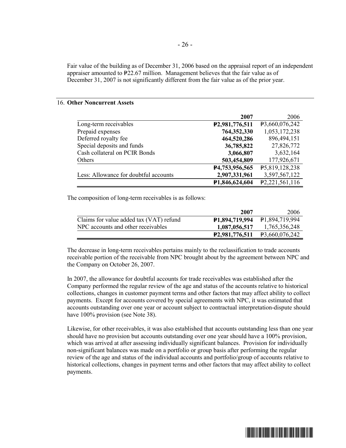Fair value of the building as of December 31, 2006 based on the appraisal report of an independent appraiser amounted to  $P22.67$  million. Management believes that the fair value as of December 31, 2007 is not significantly different from the fair value as of the prior year.

|                                       | 2007                        | 2006                        |
|---------------------------------------|-----------------------------|-----------------------------|
| Long-term receivables                 | P <sub>2</sub> ,981,776,511 | P3,660,076,242              |
| Prepaid expenses                      | 764,352,330                 | 1,053,172,238               |
| Deferred royalty fee                  | 464,520,286                 | 896,494,151                 |
| Special deposits and funds            | 36,785,822                  | 27,826,772                  |
| Cash collateral on PCIR Bonds         | 3,066,807                   | 3,632,164                   |
| Others                                | 503,454,809                 | 177,926,671                 |
|                                       | P4,753,956,565              | P5,819,128,238              |
| Less: Allowance for doubtful accounts | 2,907,331,961               | 3,597,567,122               |
|                                       | P1,846,624,604              | P <sub>2</sub> ,221,561,116 |

## 16. **Other Noncurrent Assets**

The composition of long-term receivables is as follows:

|                                         | 2007                  | 2006                        |
|-----------------------------------------|-----------------------|-----------------------------|
| Claims for value added tax (VAT) refund | <b>P1,894,719,994</b> | P <sub>1</sub> ,894,719,994 |
| NPC accounts and other receivables      | 1,087,056,517         | 1,765,356,248               |
|                                         | <b>P2,981,776,511</b> | <b>P3,660,076,242</b>       |

The decrease in long-term receivables pertains mainly to the reclassification to trade accounts receivable portion of the receivable from NPC brought about by the agreement between NPC and the Company on October 26, 2007.

In 2007, the allowance for doubtful accounts for trade receivables was established after the Company performed the regular review of the age and status of the accounts relative to historical collections, changes in customer payment terms and other factors that may affect ability to collect payments. Except for accounts covered by special agreements with NPC, it was estimated that accounts outstanding over one year or account subject to contractual interpretation-dispute should have 100% provision (see Note 38).

Likewise, for other receivables, it was also established that accounts outstanding less than one year should have no provision but accounts outstanding over one year should have a 100% provision, which was arrived at after assessing individually significant balances. Provision for individually non-significant balances was made on a portfolio or group basis after performing the regular review of the age and status of the individual accounts and portfolio/group of accounts relative to historical collections, changes in payment terms and other factors that may affect ability to collect payments.

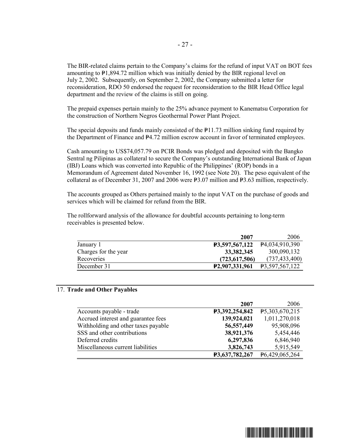The BIR-related claims pertain to the Company's claims for the refund of input VAT on BOT fees amounting to  $P1,894.72$  million which was initially denied by the BIR regional level on July 2, 2002. Subsequently, on September 2, 2002, the Company submitted a letter for reconsideration, RDO 50 endorsed the request for reconsideration to the BIR Head Office legal department and the review of the claims is still on going.

The prepaid expenses pertain mainly to the 25% advance payment to Kanematsu Corporation for the construction of Northern Negros Geothermal Power Plant Project.

The special deposits and funds mainly consisted of the  $P11.73$  million sinking fund required by the Department of Finance and P4.72 million escrow account in favor of terminated employees.

Cash amounting to US\$74,057.79 on PCIR Bonds was pledged and deposited with the Bangko Sentral ng Pilipinas as collateral to secure the Company's outstanding International Bank of Japan (IBJ) Loans which was converted into Republic of the Philippines' (ROP) bonds in a Memorandum of Agreement dated November 16, 1992 (see Note 20). The peso equivalent of the collateral as of December 31, 2007 and 2006 were P3.07 million and P3.63 million, respectively.

The accounts grouped as Others pertained mainly to the input VAT on the purchase of goods and services which will be claimed for refund from the BIR.

The rollforward analysis of the allowance for doubtful accounts pertaining to long-term receivables is presented below.

|                      | 2007                        | 2006                        |
|----------------------|-----------------------------|-----------------------------|
| January 1            | <b>P3,597,567,122</b>       | P <sub>4</sub> ,034,910,390 |
| Charges for the year | 33,382,345                  | 300,090,132                 |
| Recoveries           | (723, 617, 506)             | (737, 433, 400)             |
| December 31          | P <sub>2</sub> ,907,331,961 | <b>P3.597.567.122</b>       |

## 17. **Trade and Other Payables**

|                                     | 2007           | 2006           |
|-------------------------------------|----------------|----------------|
| Accounts payable - trade            | P3,392,254,842 | P5,303,670,215 |
| Accrued interest and guarantee fees | 139,924,021    | 1,011,270,018  |
| Withholding and other taxes payable | 56,557,449     | 95,908,096     |
| SSS and other contributions         | 38,921,376     | 5,454,446      |
| Deferred credits                    | 6,297,836      | 6,846,940      |
| Miscellaneous current liabilities   | 3,826,743      | 5,915,549      |
|                                     | P3,637,782,267 | P6,429,065,264 |

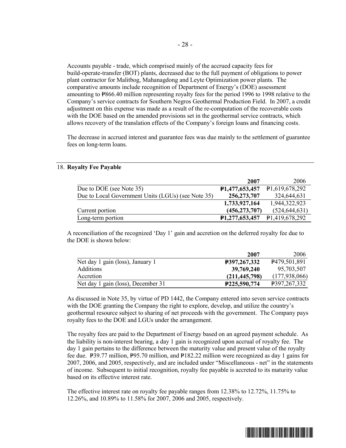Accounts payable - trade, which comprised mainly of the accrued capacity fees for build-operate-transfer (BOT) plants, decreased due to the full payment of obligations to power plant contractor for Malitbog, Mahanagdong and Leyte Optimization power plants. The comparative amounts include recognition of Department of Energy's (DOE) assessment amounting to P866.40 million representing royalty fees for the period 1996 to 1998 relative to the Company's service contracts for Southern Negros Geothermal Production Field. In 2007, a credit adjustment on this expense was made as a result of the re-computation of the recoverable costs with the DOE based on the amended provisions set in the geothermal service contracts, which allows recovery of the translation effects of the Company's foreign loans and financing costs.

The decrease in accrued interest and guarantee fees was due mainly to the settlement of guarantee fees on long-term loans.

|                                                    | 2007                        | 2006                        |
|----------------------------------------------------|-----------------------------|-----------------------------|
| Due to DOE (see Note 35)                           | P <sub>1</sub> ,477,653,457 | P <sub>1</sub> ,619,678,292 |
| Due to Local Government Units (LGUs) (see Note 35) | 256, 273, 707               | 324,644,631                 |
|                                                    | 1,733,927,164               | 1,944,322,923               |
| Current portion                                    | (456, 273, 707)             | (524, 644, 631)             |
| Long-term portion                                  | P1,277,653,457              | P <sub>1</sub> ,419,678,292 |

### 18. **Royalty Fee Payable**

A reconciliation of the recognized 'Day 1' gain and accretion on the deferred royalty fee due to the DOE is shown below:

|                                    | 2007                | 2006                     |
|------------------------------------|---------------------|--------------------------|
| Net day 1 gain (loss), January 1   | <b>P397,267,332</b> | P <sub>479,501,891</sub> |
| <b>Additions</b>                   | 39,769,240          | 95,703,507               |
| Accretion                          | (211, 445, 798)     | (177,938,066)            |
| Net day 1 gain (loss), December 31 | P225,590,774        | <b>P397,267,332</b>      |

As discussed in Note 35, by virtue of PD 1442, the Company entered into seven service contracts with the DOE granting the Company the right to explore, develop, and utilize the country's geothermal resource subject to sharing of net proceeds with the government. The Company pays royalty fees to the DOE and LGUs under the arrangement.

The royalty fees are paid to the Department of Energy based on an agreed payment schedule. As the liability is non-interest bearing, a day 1 gain is recognized upon accrual of royalty fee. The day 1 gain pertains to the difference between the maturity value and present value of the royalty fee due.  $\text{\texttt{P39.77}}$  million,  $\text{\texttt{P95.70}}$  million, and  $\text{\texttt{P182.22}}$  million were recognized as day 1 gains for 2007, 2006, and 2005, respectively, and are included under "Miscellaneous - net" in the statements of income. Subsequent to initial recognition, royalty fee payable is accreted to its maturity value based on its effective interest rate.

The effective interest rate on royalty fee payable ranges from 12.38% to 12.72%, 11.75% to 12.26%, and 10.89% to 11.58% for 2007, 2006 and 2005, respectively.

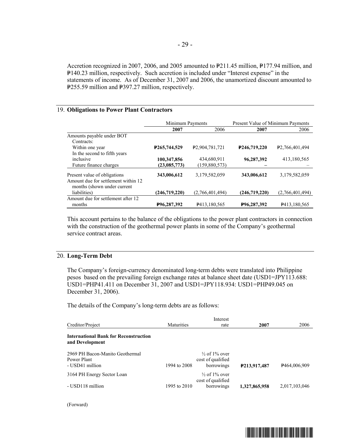Accretion recognized in 2007, 2006, and 2005 amounted to P211.45 million, P177.94 million, and P140.23 million, respectively. Such accretion is included under "Interest expense" in the statements of income. As of December 31, 2007 and 2006, the unamortized discount amounted to P255.59 million and P397.27 million, respectively.

## 19. **Obligations to Power Plant Contractors**

|                                                                    | Minimum Payments |                             | Present Value of Minimum Payments |                                |
|--------------------------------------------------------------------|------------------|-----------------------------|-----------------------------------|--------------------------------|
|                                                                    | 2007             | 2006                        | 2007                              | 2006                           |
| Amounts payable under BOT                                          |                  |                             |                                   |                                |
| Contracts:                                                         |                  |                             |                                   |                                |
| Within one year                                                    | P265,744,529     | P <sub>2</sub> ,904,781,721 | P246.719.220                      | P <sub>2</sub> , 766, 401, 494 |
| In the second to fifth years                                       |                  |                             |                                   |                                |
| inclusive                                                          | 100,347,856      | 434,680,911                 | 96,287,392                        | 413,180,565                    |
| Future finance charges                                             | (23,085,773)     | (159,880,573)               |                                   |                                |
| Present value of obligations                                       | 343,006,612      | 3,179,582,059               | 343,006,612                       | 3,179,582,059                  |
| Amount due for settlement within 12<br>months (shown under current |                  |                             |                                   |                                |
| liabilities)                                                       | (246,719,220)    | (2,766,401,494)             | (246,719,220)                     | (2,766,401,494)                |
| Amount due for settlement after 12                                 |                  |                             |                                   |                                |
| months                                                             | P96,287,392      | P413,180,565                | P96,287,392                       | P413,180,565                   |

This account pertains to the balance of the obligations to the power plant contractors in connection with the construction of the geothermal power plants in some of the Company's geothermal service contract areas.

## 20. **Long-Term Debt**

The Company's foreign-currency denominated long-term debts were translated into Philippine pesos based on the prevailing foreign exchange rates at balance sheet date (USD1=JPY113.688: USD1=PHP41.411 on December 31, 2007 and USD1=JPY118.934: USD1=PHP49.045 on December 31, 2006).

The details of the Company's long-term debts are as follows:

|                                                                   |                   | Interest                                                    |               |               |
|-------------------------------------------------------------------|-------------------|-------------------------------------------------------------|---------------|---------------|
| Creditor/Project                                                  | <b>Maturities</b> | rate                                                        | 2007          | 2006          |
| <b>International Bank for Reconstruction</b><br>and Development   |                   |                                                             |               |               |
| 2969 PH Bacon-Manito Geothermal<br>Power Plant<br>- USD41 million | 1994 to 2008      | $\frac{1}{2}$ of 1% over<br>cost of qualified<br>borrowings | P213,917,487  | P464,006,909  |
| 3164 PH Energy Sector Loan                                        |                   | $\frac{1}{2}$ of 1% over<br>cost of qualified               |               |               |
| - USD118 million                                                  | 1995 to 2010      | borrowings                                                  | 1,327,865,958 | 2,017,103,046 |

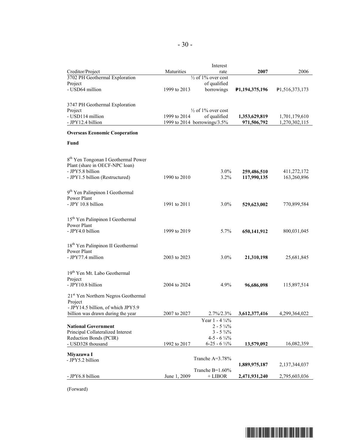|                                                            |              | Interest                                     |                             |                |
|------------------------------------------------------------|--------------|----------------------------------------------|-----------------------------|----------------|
| Creditor/Project                                           | Maturities   | rate                                         | 2007                        | 2006           |
| 3702 PH Geothermal Exploration                             |              | $\frac{1}{2}$ of 1% over cost                |                             |                |
| Project                                                    |              | of qualified                                 |                             |                |
| - USD64 million                                            | 1999 to 2013 | borrowings                                   | P <sub>1</sub> ,194,375,196 | P1,516,373,173 |
| 3747 PH Geothermal Exploration                             |              |                                              |                             |                |
| Project                                                    |              | $\frac{1}{2}$ of 1% over cost                |                             |                |
| - USD114 million                                           | 1999 to 2014 | of qualified                                 | 1,353,629,819               | 1,701,179,610  |
| - JPY12.4 billion                                          |              | 1999 to 2014 borrowings/3.5%                 | 971,506,792                 | 1,270,302,115  |
| <b>Overseas Economic Cooperation</b>                       |              |                                              |                             |                |
| Fund                                                       |              |                                              |                             |                |
| 8 <sup>th</sup> Yen Tongonan I Geothermal Power            |              |                                              |                             |                |
| Plant (share in OECF-NPC loan)                             |              |                                              |                             |                |
| - JPY5.8 billion                                           |              | $3.0\%$                                      | 259,486,510                 | 411,272,172    |
| - JPY1.5 billion (Restructured)                            | 1990 to 2010 | 3.2%                                         | 117,990,135                 | 163,260,896    |
|                                                            |              |                                              |                             |                |
| 9 <sup>th</sup> Yen Palinpinon I Geothermal<br>Power Plant |              |                                              |                             |                |
| - JPY 10.8 billion                                         | 1991 to 2011 | $3.0\%$                                      |                             |                |
|                                                            |              |                                              | 529,623,002                 | 770,899,584    |
| 15 <sup>th</sup> Yen Palinpinon I Geothermal               |              |                                              |                             |                |
| Power Plant                                                |              |                                              |                             |                |
| - JPY4.0 billion                                           | 1999 to 2019 | 5.7%                                         | 650,141,912                 | 800,031,045    |
|                                                            |              |                                              |                             |                |
| 18 <sup>th</sup> Yen Palinpinon II Geothermal              |              |                                              |                             |                |
| Power Plant<br>- JPY77.4 million                           |              | $3.0\%$                                      |                             |                |
|                                                            | 2003 to 2023 |                                              | 21,310,198                  | 25,681,845     |
| 19 <sup>th</sup> Yen Mt. Labo Geothermal                   |              |                                              |                             |                |
| Project                                                    |              |                                              |                             |                |
| - JPY10.8 billion                                          | 2004 to 2024 | 4.9%                                         | 96,686,098                  | 115,897,514    |
|                                                            |              |                                              |                             |                |
| 21 <sup>st</sup> Yen Northern Negros Geothermal            |              |                                              |                             |                |
| Project                                                    |              |                                              |                             |                |
| - JPY14.5 billion, of which JPY5.9                         |              |                                              |                             |                |
| billion was drawn during the year                          | 2007 to 2027 | $2.7\%/2.3\%$                                | 3,612,377,416               | 4,299,364,022  |
| <b>National Government</b>                                 |              | Year $1 - 4\frac{1}{4}\%$                    |                             |                |
| Principal Collateralized Interest                          |              | $2 - 5\frac{1}{4}\%$<br>$3 - 5\frac{3}{4}\%$ |                             |                |
| Reduction Bonds (PCIR)                                     |              | $4 - 5 - 6\frac{1}{4}\%$                     |                             |                |
| - USD328 thousand                                          | 1992 to 2017 | $6 - 25 - 6 \frac{1}{2}\%$                   | 13,579,092                  | 16,082,359     |
|                                                            |              |                                              |                             |                |
| Miyazawa I<br>- JPY5.2 billion                             |              | Tranche A=3.78%                              |                             |                |
|                                                            |              |                                              | 1,889,975,187               | 2,137,344,037  |
|                                                            |              | Tranche $B=1.60\%$                           |                             |                |
| - JPY6.8 billion                                           | June 1, 2009 | $+ LIBOR$                                    | 2,471,931,240               | 2,795,603,036  |
|                                                            |              |                                              |                             |                |

(Forward)

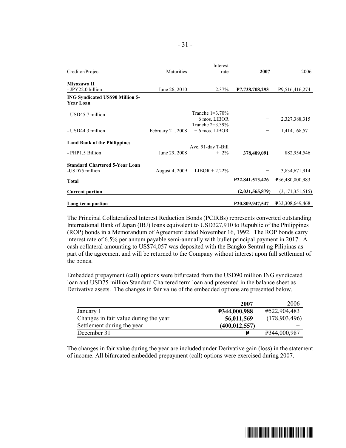|                                       |                   | Interest           |                              |                             |
|---------------------------------------|-------------------|--------------------|------------------------------|-----------------------------|
| Creditor/Project                      | Maturities        | rate               | 2007                         | 2006                        |
|                                       |                   |                    |                              |                             |
| Miyazawa II                           |                   |                    |                              |                             |
| - JPY22.0 billion                     | June 26, 2010     | 2.37%              | P7,738,708,293               | P <sub>9</sub> .516,416,274 |
| ING Syndicated US\$90 Million 5-      |                   |                    |                              |                             |
| <b>Year Loan</b>                      |                   |                    |                              |                             |
|                                       |                   | Tranche $1=3.70\%$ |                              |                             |
| - USD45.7 million                     |                   | $+6$ mos. LIBOR    |                              |                             |
|                                       |                   |                    |                              | 2,327,388,315               |
|                                       |                   | Tranche $2=3.39\%$ |                              |                             |
| - USD44.3 million                     | February 21, 2008 | $+6$ mos. LIBOR    |                              | 1,414,168,571               |
|                                       |                   |                    |                              |                             |
| <b>Land Bank of the Philippines</b>   |                   |                    |                              |                             |
|                                       |                   | Ave. 91-day T-Bill |                              |                             |
| - PHP1.5 Billion                      | June 29, 2008     | $+2\%$             | 378,409,091                  | 882,954,546                 |
| <b>Standard Chartered 5-Year Loan</b> |                   |                    |                              |                             |
|                                       |                   |                    |                              |                             |
| -USD75 million                        | August 4, 2009    | $LIBOR + 2.22\%$   |                              | 3,834,671,914               |
| <b>Total</b>                          |                   |                    | P <sub>22</sub> ,841,513,426 | P36,480,000,983             |
|                                       |                   |                    |                              |                             |
| <b>Current portion</b>                |                   |                    | (2,031,565,879)              | (3,171,351,515)             |
|                                       |                   |                    |                              |                             |
| Long-term portion                     |                   |                    | P20,809,947,547              | <b>P33,308,649,468</b>      |

The Principal Collateralized Interest Reduction Bonds (PCIRBs) represents converted outstanding International Bank of Japan (IBJ) loans equivalent to USD327,910 to Republic of the Philippines (ROP) bonds in a Memorandum of Agreement dated November 16, 1992. The ROP bonds carry interest rate of 6.5% per annum payable semi-annually with bullet principal payment in 2017. A cash collateral amounting to US\$74,057 was deposited with the Bangko Sentral ng Pilipinas as part of the agreement and will be returned to the Company without interest upon full settlement of the bonds.

Embedded prepayment (call) options were bifurcated from the USD90 million ING syndicated loan and USD75 million Standard Chartered term loan and presented in the balance sheet as Derivative assets. The changes in fair value of the embedded options are presented below.

|                                       | 2007                | 2006          |
|---------------------------------------|---------------------|---------------|
| January 1                             | <b>P344,000,988</b> | P522,904,483  |
| Changes in fair value during the year | 56,011,569          | (178,903,496) |
| Settlement during the year            | (400, 012, 557)     |               |
| December 31                           | $P-$                | P344,000,987  |

The changes in fair value during the year are included under Derivative gain (loss) in the statement of income. All bifurcated embedded prepayment (call) options were exercised during 2007.

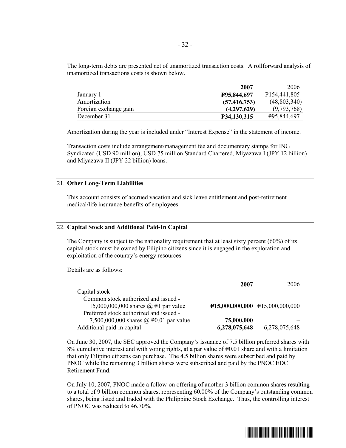The long-term debts are presented net of unamortized transaction costs. A rollforward analysis of unamortized transactions costs is shown below.

|                       | 2007               | 2006                     |
|-----------------------|--------------------|--------------------------|
| January 1             | <b>P95,844,697</b> | P <sub>154,441,805</sub> |
| Amortization          | (57, 416, 753)     | (48, 803, 340)           |
| Foreign exchange gain | (4,297,629)        | (9,793,768)              |
| December 31           | <b>P34,130,315</b> | P <sub>95</sub> ,844,697 |

Amortization during the year is included under "Interest Expense" in the statement of income.

Transaction costs include arrangement/management fee and documentary stamps for ING Syndicated (USD 90 million), USD 75 million Standard Chartered, Miyazawa I (JPY 12 billion) and Miyazawa II (JPY 22 billion) loans.

## 21. **Other Long-Term Liabilities**

This account consists of accrued vacation and sick leave entitlement and post-retirement medical/life insurance benefits of employees.

## 22. **Capital Stock and Additional Paid-In Capital**

The Company is subject to the nationality requirement that at least sixty percent (60%) of its capital stock must be owned by Filipino citizens since it is engaged in the exploration and exploitation of the country's energy resources.

Details are as follows:

|                                               | 2007          | 2006                            |
|-----------------------------------------------|---------------|---------------------------------|
| Capital stock                                 |               |                                 |
| Common stock authorized and issued -          |               |                                 |
| 15,000,000,000 shares $\omega$ PP1 par value  |               | P15,000,000,000 P15,000,000,000 |
| Preferred stock authorized and issued -       |               |                                 |
| 7,500,000,000 shares $\omega$ P0.01 par value | 75,000,000    |                                 |
| Additional paid-in capital                    | 6,278,075,648 | 6,278,075,648                   |

On June 30, 2007, the SEC approved the Company's issuance of 7.5 billion preferred shares with  $8\%$  cumulative interest and with voting rights, at a par value of  $\text{P}0.01$  share and with a limitation that only Filipino citizens can purchase. The 4.5 billion shares were subscribed and paid by PNOC while the remaining 3 billion shares were subscribed and paid by the PNOC EDC Retirement Fund.

On July 10, 2007, PNOC made a follow-on offering of another 3 billion common shares resulting to a total of 9 billion common shares, representing 60.00% of the Company's outstanding common shares, being listed and traded with the Philippine Stock Exchange. Thus, the controlling interest of PNOC was reduced to 46.70%.

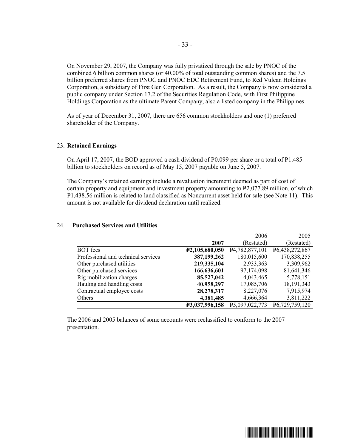On November 29, 2007, the Company was fully privatized through the sale by PNOC of the combined 6 billion common shares (or 40.00% of total outstanding common shares) and the 7.5 billion preferred shares from PNOC and PNOC EDC Retirement Fund, to Red Vulcan Holdings Corporation, a subsidiary of First Gen Corporation. As a result, the Company is now considered a public company under Section 17.2 of the Securities Regulation Code, with First Philippine Holdings Corporation as the ultimate Parent Company, also a listed company in the Philippines.

As of year of December 31, 2007, there are 656 common stockholders and one (1) preferred shareholder of the Company.

#### 23. **Retained Earnings**

On April 17, 2007, the BOD approved a cash dividend of  $P_{0.099}$  per share or a total of  $P_{1.485}$ billion to stockholders on record as of May 15, 2007 payable on June 5, 2007.

The Company's retained earnings include a revaluation increment deemed as part of cost of certain property and equipment and investment property amounting to  $P2,077.89$  million, of which  $P1,438.56$  million is related to land classified as Noncurrent asset held for sale (see Note 11). This amount is not available for dividend declaration until realized.

|                                     |                | 2006                        | 2005           |
|-------------------------------------|----------------|-----------------------------|----------------|
|                                     | 2007           | (Restated)                  | (Restated)     |
| <b>BOT</b> fees                     | P2,105,680,050 | P <sub>4</sub> ,782,877,101 | P6,438,272,867 |
| Professional and technical services | 387,199,262    | 180,015,600                 | 170,838,255    |
| Other purchased utilities           | 219,335,104    | 2,933,363                   | 3,309,962      |
| Other purchased services            | 166,636,601    | 97,174,098                  | 81,641,346     |
| Rig mobilization charges            | 85,527,042     | 4,043,465                   | 5,778,151      |
| Hauling and handling costs          | 40,958,297     | 17,085,706                  | 18, 191, 343   |
| Contractual employee costs          | 28,278,317     | 8,227,076                   | 7,915,974      |
| Others                              | 4,381,485      | 4,666,364                   | 3,811,222      |
|                                     | P3,037,996,158 | P5,097,022,773              | P6,729,759,120 |

## 24. **Purchased Services and Utilities**

The 2006 and 2005 balances of some accounts were reclassified to conform to the 2007 presentation.

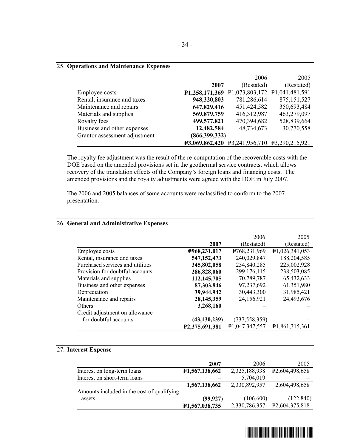| Operations and maintenance expenses |                             |                               |                               |
|-------------------------------------|-----------------------------|-------------------------------|-------------------------------|
|                                     |                             | 2006                          | 2005                          |
|                                     | 2007                        | (Restated)                    | (Restated)                    |
| Employee costs                      | P <sub>1</sub> ,258,171,369 |                               | P1,073,803,172 P1,041,481,591 |
| Rental, insurance and taxes         | 948,320,803                 | 781,286,614                   | 875, 151, 527                 |
| Maintenance and repairs             | 647,829,416                 | 451,424,582                   | 350,693,484                   |
| Materials and supplies              | 569,879,759                 | 416,312,987                   | 463,279,097                   |
| Royalty fees                        | 499,577,821                 | 470,394,682                   | 528,839,664                   |
| Business and other expenses         | 12,482,584                  | 48,734,673                    | 30,770,558                    |
| Grantor assessment adjustment       | (866, 399, 332)             |                               |                               |
|                                     | P3,069,862,420              | P3,241,956,710 P3,290,215,921 |                               |

## 25. **Operations and Maintenance Expenses**

The royalty fee adjustment was the result of the re-computation of the recoverable costs with the DOE based on the amended provisions set in the geothermal service contracts, which allows recovery of the translation effects of the Company's foreign loans and financing costs. The amended provisions and the royalty adjustments were agreed with the DOE in July 2007.

The 2006 and 2005 balances of some accounts were reclassified to conform to the 2007 presentation.

# 26. **General and Administrative Expenses**

|                                  |                | 2006            | 2005                        |
|----------------------------------|----------------|-----------------|-----------------------------|
|                                  | 2007           | (Restated)      | (Restated)                  |
| Employee costs                   | P968,231,017   | P768,231,969    | P1,026,341,053              |
| Rental, insurance and taxes      | 547,152,473    | 240,029,847     | 188,204,585                 |
| Purchased services and utilities | 345,802,058    | 254,840,285     | 225,002,928                 |
| Provision for doubtful accounts  | 286,828,060    | 299,176,115     | 238,503,085                 |
| Materials and supplies           | 112,145,705    | 70,789,787      | 65,432,633                  |
| Business and other expenses      | 87,303,846     | 97,237,692      | 61,351,980                  |
| Depreciation                     | 39,944,942     | 30,443,300      | 31,985,421                  |
| Maintenance and repairs          | 28,145,359     | 24,156,921      | 24,493,676                  |
| Others                           | 3,268,160      |                 |                             |
| Credit adjustment on allowance   |                |                 |                             |
| for doubtful accounts            | (43, 130, 239) | (737, 558, 359) |                             |
|                                  | P2,375,691,381 | P1,047,347,557  | P <sub>1</sub> ,861,315,361 |

# 27. **Interest Expense**

|                                            | 2007           | 2006          | 2005                        |
|--------------------------------------------|----------------|---------------|-----------------------------|
| Interest on long-term loans                | P1,567,138,662 | 2,325,188,938 | P <sub>2</sub> ,604,498,658 |
| Interest on short-term loans               |                | 5,704,019     |                             |
|                                            | 1,567,138,662  | 2,330,892,957 | 2,604,498,658               |
| Amounts included in the cost of qualifying |                |               |                             |
| assets                                     | (99.927)       | (106, 600)    | (122, 840)                  |
|                                            | P1,567,038,735 | 2,330,786,357 | P <sub>2</sub> ,604,375,818 |

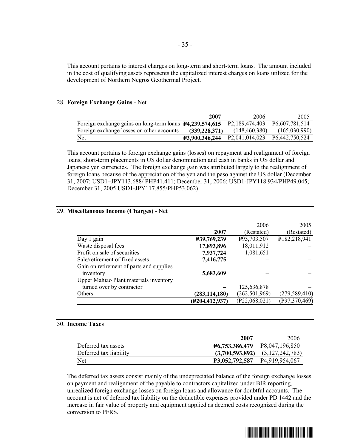This account pertains to interest charges on long-term and short-term loans. The amount included in the cost of qualifying assets represents the capitalized interest charges on loans utilized for the development of Northern Negros Geothermal Project.

## 28. **Foreign Exchange Gains** - Net

|                                                                                               | 2007                  | 2006                        | 2005                       |
|-----------------------------------------------------------------------------------------------|-----------------------|-----------------------------|----------------------------|
| Foreign exchange gains on long-term loans $\textbf{P4,239,574,615}$ $\textbf{P2,189,474,403}$ |                       |                             | P <sub>6.607.781.514</sub> |
| Foreign exchange losses on other accounts                                                     | (339, 228, 371)       | (148, 460, 380)             | (165,030,990)              |
| Net                                                                                           | <b>P3.900.346.244</b> | P <sub>2</sub> ,041,014,023 | <b>P6,442,750,524</b>      |

This account pertains to foreign exchange gains (losses) on repayment and realignment of foreign loans, short-term placements in US dollar denomination and cash in banks in US dollar and Japanese yen currencies. The foreign exchange gain was attributed largely to the realignment of foreign loans because of the appreciation of the yen and the peso against the US dollar (December 31, 2007: USD1=JPY113.688/ PHP41.411; December 31, 2006: USD1-JPY118.934/PHP49.045; December 31, 2005 USD1-JPY117.855/PHP53.062).

## 29. **Miscellaneous Income (Charges)** - Net

|                                          |                 | 2006            | 2005            |
|------------------------------------------|-----------------|-----------------|-----------------|
|                                          | 2007            | (Restated)      | (Restated)      |
| Day 1 gain                               | P39,769,239     | P95,703,507     | P182,218,941    |
| Waste disposal fees                      | 17,893,896      | 18,011,912      |                 |
| Profit on sale of securities             | 7,937,724       | 1,081,651       |                 |
| Sale/retirement of fixed assets          | 7,416,775       |                 |                 |
| Gain on retirement of parts and supplies |                 |                 |                 |
| inventory                                | 5,683,609       |                 |                 |
| Upper Mahiao Plant materials inventory   |                 |                 |                 |
| turned over by contractor                |                 | 125,636,878     |                 |
| Others                                   | (283, 114, 180) | (262, 501, 969) | (279, 589, 410) |
|                                          | (P204,412,937)  | (P22,068,021)   | (P97, 370, 469) |

#### 30. **Income Taxes**

|                        | 2007                              | 2006                       |
|------------------------|-----------------------------------|----------------------------|
| Deferred tax assets    | $P6,753,386,479$ $P8,047,196,850$ |                            |
| Deferred tax liability | (3,700,593,892)                   | (3,127,242,783)            |
| Net                    | <b>P3,052,792,587</b>             | P <sub>4,919,954,067</sub> |

The deferred tax assets consist mainly of the undepreciated balance of the foreign exchange losses on payment and realignment of the payable to contractors capitalized under BIR reporting, unrealized foreign exchange losses on foreign loans and allowance for doubtful accounts. The account is net of deferred tax liability on the deductible expenses provided under PD 1442 and the increase in fair value of property and equipment applied as deemed costs recognized during the conversion to PFRS.

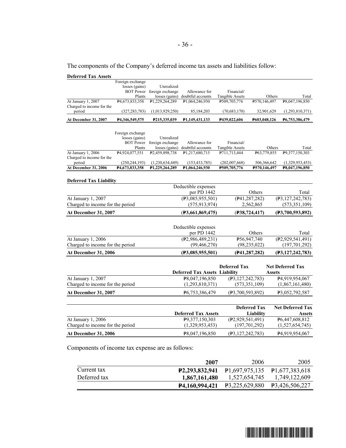# The components of the Company's deferred income tax assets and liabilities follow:

| <b>Deferred Tax Assets</b>                                                        |                                                                                                                         |                                                                                                         |                                                                                           |                                                                                       |                                                      |                                                              |
|-----------------------------------------------------------------------------------|-------------------------------------------------------------------------------------------------------------------------|---------------------------------------------------------------------------------------------------------|-------------------------------------------------------------------------------------------|---------------------------------------------------------------------------------------|------------------------------------------------------|--------------------------------------------------------------|
|                                                                                   | Foreign exchange<br>losses (gains)<br>Plants                                                                            | Unrealized<br>BOT Power foreign exchange<br>losses (gains)                                              | Allowance for<br>doubtful accounts                                                        | Financial/<br><b>Tangible Assets</b>                                                  | Others                                               | Total                                                        |
| At January 1, 2007                                                                | P4,673,833,358                                                                                                          | P1,229,264,289                                                                                          | P1,064,246,930                                                                            | P509,705,776                                                                          | P570.146.497                                         | P8,047,196,850                                               |
| Charged to income for the<br>period                                               | (327, 283, 783)                                                                                                         | (1,013,929,250)                                                                                         | 85,184,203                                                                                | (70,683,170)                                                                          | 32,901,629                                           | (1,293,810,371)                                              |
| At December 31, 2007                                                              | P4,346,549,575                                                                                                          | P215,335,039                                                                                            | P1,149,431,133                                                                            | P439,022,606                                                                          | P603,048,126                                         | P6,753,386,479                                               |
| At January 1, 2006<br>Charged to income for the<br>period<br>At December 31, 2006 | Foreign exchange<br>losses (gains)<br><b>BOT</b> Power<br>Plants<br>P4,924,077,551<br>(250, 244, 193)<br>P4,673,833,358 | Unrealized<br>foreign exchange<br>losses (gains)<br>P2,459,898,738<br>(1,230,634,449)<br>P1,229,264,289 | Allowance for<br>doubtful accounts<br>P1,217,680,715<br>(153, 433, 785)<br>P1,064,246,930 | Financial/<br><b>Tangible Assets</b><br>P711,713,444<br>(202,007,668)<br>P509,705,776 | Others<br>P63.779.855<br>506,366,642<br>P570,146,497 | Total<br>P9,377,150,303<br>(1,329,953,453)<br>P8,047,196,850 |
|                                                                                   |                                                                                                                         |                                                                                                         |                                                                                           |                                                                                       |                                                      |                                                              |
| <b>Deferred Tax Liability</b>                                                     |                                                                                                                         |                                                                                                         | Deductible expenses                                                                       |                                                                                       |                                                      |                                                              |
|                                                                                   |                                                                                                                         |                                                                                                         | per PD 1442                                                                               |                                                                                       | Others                                               | Total                                                        |
| At January 1, 2007                                                                |                                                                                                                         |                                                                                                         | $(\text{P}3,085,955,501)$                                                                 |                                                                                       | (P41, 287, 282)                                      | (P3, 127, 242, 783)                                          |
| Charged to income for the period                                                  |                                                                                                                         |                                                                                                         | (575, 913, 974)                                                                           |                                                                                       | 2,562,865                                            | (573, 351, 109)                                              |
| At December 31, 2007                                                              |                                                                                                                         |                                                                                                         | (F3,661,869,475)                                                                          |                                                                                       | (F38, 724, 417)                                      | (F3,700,593,892)                                             |
| At January 1, 2006<br>Charged to income for the period                            |                                                                                                                         |                                                                                                         | Deductible expenses<br>per PD 1442<br>(P2,986,489,231)<br>(99, 466, 270)                  |                                                                                       | Others<br>P56,947,740<br>(98, 235, 022)              | Total<br>(P2, 929, 541, 491)<br>(197, 701, 292)              |
| At December 31, 2006                                                              |                                                                                                                         |                                                                                                         | (F3,085,955,501)                                                                          |                                                                                       | (F41, 287, 282)                                      | (F3, 127, 242, 783)                                          |
|                                                                                   |                                                                                                                         |                                                                                                         | <b>Deferred Tax Assets Liability</b>                                                      | <b>Deferred Tax</b>                                                                   | <b>Assets</b>                                        | <b>Net Deferred Tax</b>                                      |
| At January 1, 2007                                                                |                                                                                                                         |                                                                                                         | P8,047,196,850                                                                            | (P3, 127, 242, 783)                                                                   |                                                      | P4,919,954,067                                               |
| Charged to income for the period                                                  |                                                                                                                         |                                                                                                         | (1,293,810,371)                                                                           |                                                                                       | (573, 351, 109)                                      | (1,867,161,480)                                              |
| At December 31, 2007                                                              |                                                                                                                         |                                                                                                         | P6,753,386,479                                                                            | (P3,700,593,892)                                                                      |                                                      | P3,052,792,587                                               |
|                                                                                   |                                                                                                                         |                                                                                                         | <b>Deferred Tax Assets</b>                                                                |                                                                                       | <b>Deferred Tax</b><br>Liability                     | <b>Net Deferred Tax</b><br><b>Assets</b>                     |
| At January 1, 2006<br>Charged to income for the period                            |                                                                                                                         |                                                                                                         | P9,377,150,303<br>(1,329,953,453)                                                         | (P2, 929, 541, 491)                                                                   | (197, 701, 292)                                      | P6,447,608,812<br>(1,527,654,745)                            |
| At December 31, 2006                                                              |                                                                                                                         |                                                                                                         | P8,047,196,850                                                                            | (P3, 127, 242, 783)                                                                   |                                                      | P4,919,954,067                                               |
|                                                                                   |                                                                                                                         |                                                                                                         |                                                                                           |                                                                                       |                                                      |                                                              |
|                                                                                   |                                                                                                                         |                                                                                                         |                                                                                           |                                                                                       |                                                      |                                                              |

Components of income tax expense are as follows:

|              | 2007                  | 2006                                                | 2005          |
|--------------|-----------------------|-----------------------------------------------------|---------------|
| Current tax  |                       | <b>P2,293,832,941</b> P1,697,975,135 P1,677,383,618 |               |
| Deferred tax | 1,867,161,480         | 1,527,654,745                                       | 1,749,122,609 |
|              | <b>P4,160,994,421</b> | <b>P3,225,629,880 P3,426,506,227</b>                |               |

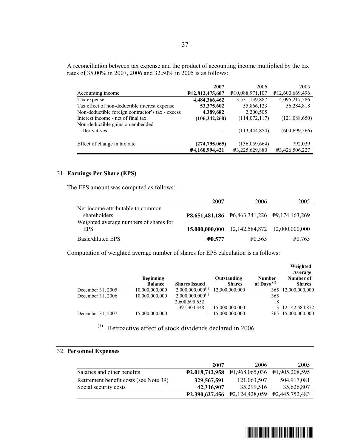A reconciliation between tax expense and the product of accounting income multiplied by the tax rates of 35.00% in 2007, 2006 and 32.50% in 2005 is as follows:

|                                                  | 2007                         | 2006            | 2005                         |
|--------------------------------------------------|------------------------------|-----------------|------------------------------|
| Accounting income                                | P <sub>12</sub> ,812,475,607 | P10,088,971,107 | P <sub>12</sub> ,600,669,496 |
| Tax expense                                      | 4,484,366,462                | 3,531,139,887   | 4,095,217,586                |
| Tax effect of non-deductible interest expense    | 53,375,602                   | 55,866,123      | 56,284,818                   |
| Non-deductible foreign contractor's tax - excess | 4,389,682                    | 2,200,505       |                              |
| Interest income - net of final tax               | (106, 342, 260)              | (114, 072, 117) | (121,088,650)                |
| Non-deductible gains on embedded                 |                              |                 |                              |
| Derivatives                                      |                              | (113, 444, 854) | (604, 699, 566)              |
|                                                  |                              |                 |                              |
| Effect of change in tax rate                     | (274, 795, 065)              | (136, 059, 664) | 792,039                      |
|                                                  | P4,160,994,421               | P3,225,629,880  | P3,426,506,227               |

# 31. **Earnings Per Share (EPS)**

The EPS amount was computed as follows:

|                                                      | 2007          | 2006                                                | 2005   |
|------------------------------------------------------|---------------|-----------------------------------------------------|--------|
| Net income attributable to common<br>shareholders    |               | <b>P8,651,481,186</b> P6,863,341,226 P9,174,163,269 |        |
| Weighted average numbers of shares for<br><b>EPS</b> |               | 15,000,000,000 12,142,584,872 12,000,000,000        |        |
| Basic/diluted EPS                                    | <b>PO.577</b> | 40.565                                              | 40.765 |

Computation of weighted average number of shares for EPS calculation is as follows:

|                   | <b>Beginning</b><br><b>Balance</b> | <b>Shares Issued</b>     | Outstanding<br><b>Shares</b> | <b>Number</b><br>of Days $(1)$ | Weighted<br>Average<br>Number of<br><b>Shares</b> |
|-------------------|------------------------------------|--------------------------|------------------------------|--------------------------------|---------------------------------------------------|
| December 31, 2005 | 10,000,000,000                     | $2,000,000,000^{(1)}$    | 12.000.000.000               | 365                            | 12,000,000,000                                    |
| December 31, 2006 | 10,000,000,000                     | $2,000,000,000^{(1)}$    |                              | 365                            |                                                   |
|                   |                                    | 2,608,695,652            |                              | 18                             |                                                   |
|                   |                                    | 391, 304, 348            | 15,000,000,000               | 13                             | 12,142,584,872                                    |
| December 31, 2007 | 15,000,000,000                     | $\overline{\phantom{0}}$ | 15,000,000,000               |                                | 365 15,000,000,000                                |

(1) Retroactive effect of stock dividends declared in 2006

# 32. **Personnel Expenses**

|                                        | 2007        | 2006                                                | 2005        |
|----------------------------------------|-------------|-----------------------------------------------------|-------------|
| Salaries and other benefits            |             | <b>P2,018,742,958</b> P1,968,065,036 P1,905,208,595 |             |
| Retirement benefit costs (see Note 39) | 329,567,591 | 121,063,507                                         | 504.917.081 |
| Social security costs                  | 42,316,907  | 35,299,516                                          | 35,626,807  |
|                                        |             | <b>P2,390,627,456</b> P2,124,428,059 P2,445,752,483 |             |

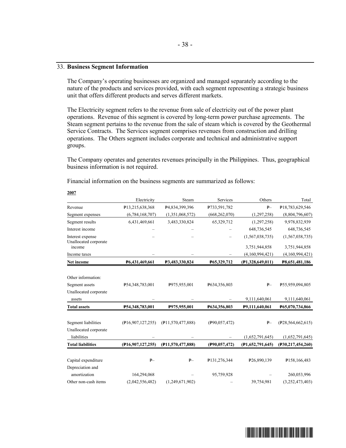# 33. **Business Segment Information**

The Company's operating businesses are organized and managed separately according to the nature of the products and services provided, with each segment representing a strategic business unit that offers different products and serves different markets.

The Electricity segment refers to the revenue from sale of electricity out of the power plant operations. Revenue of this segment is covered by long-term power purchase agreements. The Steam segment pertains to the revenue from the sale of steam which is covered by the Geothermal Service Contracts. The Services segment comprises revenues from construction and drilling operations. The Others segment includes corporate and technical and administrative support groups.

The Company operates and generates revenues principally in the Philippines. Thus, geographical business information is not required.

Financial information on the business segments are summarized as follows:

|                                           | Electricity          | Steam             | Services                 | Others                              | Total                |
|-------------------------------------------|----------------------|-------------------|--------------------------|-------------------------------------|----------------------|
| Revenue                                   | P13,215,638,368      | P4,834,399,396    | P733,591,782             | $P -$                               | P18,783,629,546      |
| Segment expenses                          | (6,784,168,707)      | (1,351,068,572)   | (668, 262, 070)          | (1,297,258)                         | (8,804,796,607)      |
| Segment results                           | 6,431,469,661        | 3,483,330,824     | 65,329,712               | (1, 297, 258)                       | 9,978,832,939        |
| Interest income                           |                      |                   |                          | 648,736,545                         | 648,736,545          |
| Interest expense<br>Unallocated corporate |                      |                   | $\overline{\phantom{0}}$ | (1, 567, 038, 735)<br>3,751,944,858 | (1, 567, 038, 735)   |
| income                                    |                      |                   |                          |                                     | 3,751,944,858        |
| Income taxes                              |                      |                   |                          | (4,160,994,421)                     | (4,160,994,421)      |
| Net income                                | P6,431,469,661       | P3,483,330,824    | P65,329,712              | (F1,328,649,011)                    | P8,651,481,186       |
|                                           |                      |                   |                          |                                     |                      |
| Other information:                        |                      |                   |                          |                                     |                      |
| Segment assets                            | P54,348,783,001      | P975,955,001      | P634,356,803             | $P-$                                | P55,959,094,805      |
| Unallocated corporate                     |                      |                   |                          |                                     |                      |
| assets                                    |                      |                   |                          | 9,111,640,061                       | 9,111,640,061        |
| <b>Total assets</b>                       | P54,348,783,001      | P975,955,001      | P634,356,803             | P9,111,640,061                      | P65,070,734,866      |
|                                           |                      |                   |                          |                                     |                      |
| Segment liabilities                       | $($ P16,907,127,255) | (P11,570,477,888) | (P90,057,472)            | $P -$                               | (P28, 564, 662, 615) |
| Unallocated corporate                     |                      |                   |                          |                                     |                      |
| liabilities                               |                      |                   |                          | (1,652,791,645)                     | (1,652,791,645)      |
| <b>Total liabilities</b>                  | (F16,907,127,255)    | (P11,570,477,888) | (P90,057,472)            | (F1, 652, 791, 645)                 | (F30, 217, 454, 260) |
|                                           |                      |                   |                          |                                     |                      |
| Capital expenditure                       | $P -$                | $P -$             | P131,276,344             | P <sub>26,890,139</sub>             | P158,166,483         |
| Depreciation and                          |                      |                   |                          |                                     |                      |
| amortization                              | 164,294,068          |                   | 95,759,928               |                                     | 260,053,996          |
| Other non-cash items                      | (2,042,556,482)      | (1,249,671,902)   |                          | 39,754,981                          | (3,252,473,403)      |

**2007**

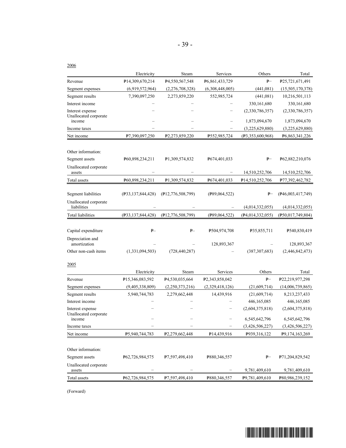|                                                     | Electricity          | Steam                       | Services                    | Others                           | Total                            |
|-----------------------------------------------------|----------------------|-----------------------------|-----------------------------|----------------------------------|----------------------------------|
| Revenue                                             | P14,309,670,214      | P4,550,567,548              | P6,861,433,729              | $P-$                             | P25,721,671,491                  |
| Segment expenses                                    | (6,919,572,964)      | (2,276,708,328)             | (6,308,448,005)             | (441, 081)                       | (15,505,170,378)                 |
| Segment results                                     | 7,390,097,250        | 2,273,859,220               | 552,985,724                 | (441, 081)                       | 10,216,501,113                   |
| Interest income                                     |                      |                             |                             | 330,161,680                      | 330, 161, 680                    |
| Interest expense<br>Unallocated corporate<br>income |                      |                             |                             | (2,330,786,357)<br>1,873,094,670 | (2,330,786,357)<br>1,873,094,670 |
| Income taxes                                        |                      |                             |                             | (3,225,629,880)                  | (3,225,629,880)                  |
| Net income                                          | P7,390,097,250       | P <sub>2</sub> ,273,859,220 | P552,985,724                | $(\text{P}3, 353, 600, 968)$     | P6,863,341,226                   |
|                                                     |                      |                             |                             |                                  |                                  |
| Other information:                                  |                      |                             |                             |                                  |                                  |
| Segment assets                                      | P60,898,234,211      | P1,309,574,832              | P674,401,033                | ₽–                               | P62,882,210,076                  |
|                                                     |                      |                             |                             |                                  |                                  |
| Unallocated corporate<br>assets                     |                      |                             |                             | 14,510,252,706                   | 14,510,252,706                   |
| Total assets                                        | P60,898,234,211      | P1,309,574,832              | P674,401,033                | P14,510,252,706                  | P77,392,462,782                  |
|                                                     |                      |                             |                             |                                  |                                  |
| Segment liabilities                                 | (P33, 137, 844, 428) | (P12,776,508,799)           | $($ P89,064,522)            | ₽−                               | $($ P46,003,417,749)             |
| Unallocated corporate<br>liabilities                |                      |                             |                             | (4,014,332,055)                  | (4,014,332,055)                  |
| Total liabilities                                   | (P33, 137, 844, 428) | (P12,776,508,799)           | $(\text{P89}, 064, 522)$    | (P4, 014, 332, 055)              | (F50, 017, 749, 804)             |
|                                                     |                      |                             |                             |                                  |                                  |
| Capital expenditure                                 | $P-$                 | $P-$                        | P504,974,708                | P35,855,711                      | P540,830,419                     |
| Depreciation and<br>amortization                    |                      |                             | 128,893,367                 |                                  | 128,893,367                      |
| Other non-cash items                                | (1,331,094,503)      | (728, 440, 287)             |                             | (387, 307, 683)                  | (2,446,842,473)                  |
|                                                     |                      |                             |                             |                                  |                                  |
| 2005                                                |                      |                             |                             |                                  |                                  |
|                                                     | Electricity          | Steam                       | Services                    | Others                           | Total                            |
| Revenue                                             | P15,346,083,592      | P4,530,035,664              | P <sub>2</sub> ,343,858,042 | $P-$                             | P22,219,977,298                  |
| Segment expenses                                    | (9,405,338,809)      | (2,250,373,216)             | (2,329,418,126)             | (21,609,714)                     | (14,006,739,865)                 |
| Segment results                                     | 5,940,744,783        | 2,279,662,448               | 14,439,916                  | (21,609,714)                     | 8,213,237,433                    |
| Interest income                                     |                      |                             |                             | 446,165,085                      | 446,165,085                      |
| Interest expense<br>Unallocated corporate           |                      |                             |                             | (2,604,375,818)                  | (2,604,375,818)                  |
| income                                              |                      |                             |                             | 6,545,642,796                    | 6,545,642,796                    |
| Income taxes                                        |                      |                             |                             | (3,426,506,227)                  | (3,426,506,227)                  |
| Net income                                          | P5.940,744,783       | P <sub>2</sub> ,279,662,448 | P <sub>14</sub> ,439,916    | P939,316,122                     | P9,174,163,269                   |
|                                                     |                      |                             |                             |                                  |                                  |
| Other information:                                  |                      |                             |                             |                                  |                                  |
| Segment assets                                      | P62,726,984,575      | P7,597,498,410              | P880,346,557                | $P-$                             | P71,204,829,542                  |
| Unallocated corporate<br>assets                     |                      |                             |                             | 9,781,409,610                    | 9,781,409,610                    |
| Total assets                                        | P62,726,984,575      | P7,597,498,410              | P880,346,557                | P <sub>9</sub> ,781,409,610      | P80,986,239,152                  |
|                                                     |                      |                             |                             |                                  |                                  |

(Forward)

2006

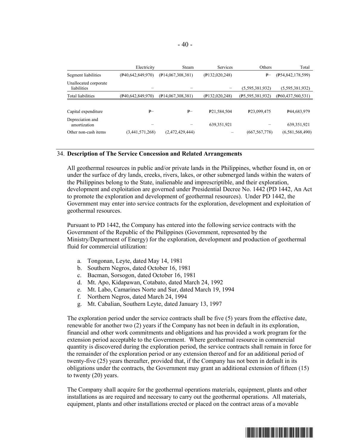|                                      | Electricity                   | Steam                             | Services          | Others                   | Total                |
|--------------------------------------|-------------------------------|-----------------------------------|-------------------|--------------------------|----------------------|
| Segment liabilities                  | (P40, 642, 849, 970)          | $($ P <sub>14</sub> ,067,308,381) | $($ P132,020,248) | ₽–                       | (P54, 842, 178, 599) |
| Unallocated corporate<br>liabilities |                               |                                   |                   | (5,595,381,932)          | (5,595,381,932)      |
| Total liabilities                    | $(\text{P}40, 642, 849, 970)$ | (P14,067,308,381)                 | (P132,020,248)    | (F5, 595, 381, 932)      | (P60,437,560,531)    |
|                                      |                               |                                   |                   |                          |                      |
| Capital expenditure                  | $P-$                          | $P-$                              | P21,584,504       | P <sub>23</sub> ,099,475 | P44,683,979          |
| Depreciation and<br>amortization     |                               |                                   | 639, 351, 921     |                          | 639, 351, 921        |
| Other non-cash items                 | (3,441,571,268)               | (2,472,429,444)                   | -                 | (667, 567, 778)          | (6,581,568,490)      |

## 34. **Description of The Service Concession and Related Arrangements**

All geothermal resources in public and/or private lands in the Philippines, whether found in, on or under the surface of dry lands, creeks, rivers, lakes, or other submerged lands within the waters of the Philippines belong to the State, inalienable and imprescriptible, and their exploration, development and exploitation are governed under Presidential Decree No. 1442 (PD 1442, An Act to promote the exploration and development of geothermal resources). Under PD 1442, the Government may enter into service contracts for the exploration, development and exploitation of geothermal resources.

Pursuant to PD 1442, the Company has entered into the following service contracts with the Government of the Republic of the Philippines (Government, represented by the Ministry/Department of Energy) for the exploration, development and production of geothermal fluid for commercial utilization:

- a. Tongonan, Leyte, dated May 14, 1981
- b. Southern Negros, dated October 16, 1981
- c. Bacman, Sorsogon, dated October 16, 1981
- d. Mt. Apo, Kidapawan, Cotabato, dated March 24, 1992
- e. Mt. Labo, Camarines Norte and Sur, dated March 19, 1994
- f. Northern Negros, dated March 24, 1994
- g. Mt. Cabalian, Southern Leyte, dated January 13, 1997

The exploration period under the service contracts shall be five (5) years from the effective date, renewable for another two (2) years if the Company has not been in default in its exploration, financial and other work commitments and obligations and has provided a work program for the extension period acceptable to the Government. Where geothermal resource in commercial quantity is discovered during the exploration period, the service contracts shall remain in force for the remainder of the exploration period or any extension thereof and for an additional period of twenty-five (25) years thereafter, provided that, if the Company has not been in default in its obligations under the contracts, the Government may grant an additional extension of fifteen (15) to twenty (20) years.

The Company shall acquire for the geothermal operations materials, equipment, plants and other installations as are required and necessary to carry out the geothermal operations. All materials, equipment, plants and other installations erected or placed on the contract areas of a movable

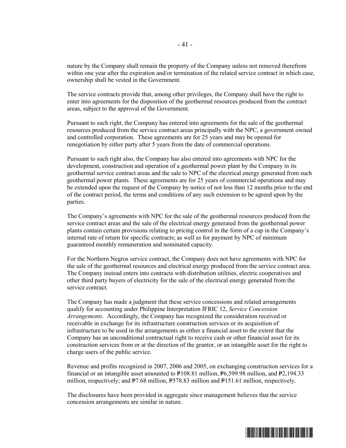nature by the Company shall remain the property of the Company unless not removed therefrom within one year after the expiration and/or termination of the related service contract in which case, ownership shall be vested in the Government.

The service contracts provide that, among other privileges, the Company shall have the right to enter into agreements for the disposition of the geothermal resources produced from the contract areas, subject to the approval of the Government.

Pursuant to such right, the Company has entered into agreements for the sale of the geothermal resources produced from the service contract areas principally with the NPC, a government owned and controlled corporation. These agreements are for 25 years and may be opened for renegotiation by either party after 5 years from the date of commercial operations.

Pursuant to such right also, the Company has also entered into agreements with NPC for the development, construction and operation of a geothermal power plant by the Company in its geothermal service contract areas and the sale to NPC of the electrical energy generated from such geothermal power plants. These agreements are for 25 years of commercial operations and may be extended upon the request of the Company by notice of not less than 12 months prior to the end of the contract period, the terms and conditions of any such extension to be agreed upon by the parties.

The Company's agreements with NPC for the sale of the geothermal resources produced from the service contract areas and the sale of the electrical energy generated from the geothermal power plants contain certain provisions relating to pricing control in the form of a cap in the Company's internal rate of return for specific contracts; as well as for payment by NPC of minimum guaranteed monthly remuneration and nominated capacity.

For the Northern Negros service contract, the Company does not have agreements with NPC for the sale of the geothermal resources and electrical energy produced from the service contract area. The Company instead enters into contracts with distribution utilities, electric cooperatives and other third party buyers of electricity for the sale of the electrical energy generated from the service contract.

The Company has made a judgment that these service concessions and related arrangements qualify for accounting under Philippine Interpretation IFRIC 12, *Service Concession Arrangements*. Accordingly, the Company has recognized the consideration received or receivable in exchange for its infrastructure construction services or its acquisition of infrastructure to be used in the arrangements as either a financial asset to the extent that the Company has an unconditional contractual right to receive cash or other financial asset for its construction services from or at the direction of the grantor, or an intangible asset for the right to charge users of the public service.

Revenue and profits recognized in 2007, 2006 and 2005, on exchanging construction services for a financial or an intangible asset amounted to  $P108.81$  million,  $P6,599.98$  million, and  $P2,194.33$ million, respectively; and  $\overline{P7.68}$  million,  $\overline{P578.83}$  million and  $\overline{P151.61}$  million, respectively.

The disclosures have been provided in aggregate since management believes that the service concession arrangements are similar in nature.

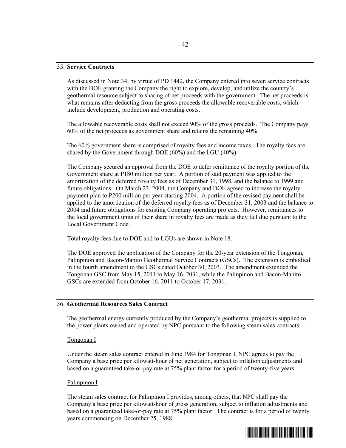## 35. **Service Contracts**

As discussed in Note 34, by virtue of PD 1442, the Company entered into seven service contracts with the DOE granting the Company the right to explore, develop, and utilize the country's geothermal resource subject to sharing of net proceeds with the government. The net proceeds is what remains after deducting from the gross proceeds the allowable recoverable costs, which include development, production and operating costs.

The allowable recoverable costs shall not exceed 90% of the gross proceeds. The Company pays 60% of the net proceeds as government share and retains the remaining 40%.

The 60% government share is comprised of royalty fees and income taxes. The royalty fees are shared by the Government through DOE (60%) and the LGU (40%).

The Company secured an approval from the DOE to defer remittance of the royalty portion of the Government share at P180 million per year. A portion of said payment was applied to the amortization of the deferred royalty fees as of December 31, 1998, and the balance to 1999 and future obligations. On March 23, 2004, the Company and DOE agreed to increase the royalty payment plan to P200 million per year starting 2004. A portion of the revised payment shall be applied to the amortization of the deferred royalty fees as of December 31, 2003 and the balance to 2004 and future obligations for existing Company operating projects. However, remittances to the local government units of their share in royalty fees are made as they fall due pursuant to the Local Government Code.

Total royalty fees due to DOE and to LGUs are shown in Note 18.

The DOE approved the application of the Company for the 20-year extension of the Tongonan, Palinpinon and Bacon-Manito Geothermal Service Contracts (GSCs). The extension is embodied in the fourth amendment to the GSCs dated October 30, 2003. The amendment extended the Tongonan GSC from May 15, 2011 to May 16, 2031, while the Palinpinon and Bacon-Manito GSCs are extended from October 16, 2011 to October 17, 2031.

### 36. **Geothermal Resources Sales Contract**

The geothermal energy currently produced by the Company's geothermal projects is supplied to the power plants owned and operated by NPC pursuant to the following steam sales contracts:

#### Tongonan I

Under the steam sales contract entered in June 1984 for Tongonan I, NPC agrees to pay the Company a base price per kilowatt-hour of net generation, subject to inflation adjustments and based on a guaranteed take-or-pay rate at 75% plant factor for a period of twenty-five years.

## Palinpinon I

The steam sales contract for Palinpinon I provides, among others, that NPC shall pay the Company a base price per kilowatt-hour of gross generation, subject to inflation adjustments and based on a guaranteed take-or-pay rate at 75% plant factor. The contract is for a period of twenty years commencing on December 25, 1988.

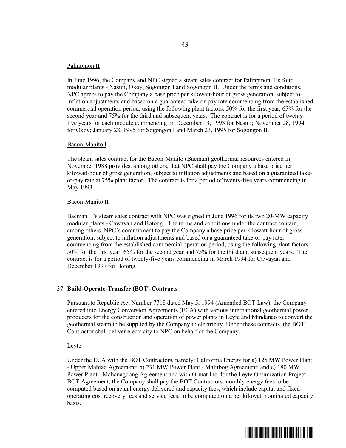## Palinpinon II

In June 1996, the Company and NPC signed a steam sales contract for Palinpinon II's four modular plants - Nasuji, Okoy, Sogongon I and Sogongon II. Under the terms and conditions, NPC agrees to pay the Company a base price per kilowatt-hour of gross generation, subject to inflation adjustments and based on a guaranteed take-or-pay rate commencing from the established commercial operation period, using the following plant factors: 50% for the first year, 65% for the second year and 75% for the third and subsequent years. The contract is for a period of twentyfive years for each module commencing on December 13, 1993 for Nasuji; November 28, 1994 for Okoy; January 28, 1995 for Sogongon I and March 23, 1995 for Sogongon II.

#### Bacon-Manito I

The steam sales contract for the Bacon-Manito (Bacman) geothermal resources entered in November 1988 provides, among others, that NPC shall pay the Company a base price per kilowatt-hour of gross generation, subject to inflation adjustments and based on a guaranteed takeor-pay rate at 75% plant factor. The contract is for a period of twenty-five years commencing in May 1993.

#### Bacon-Manito II

Bacman II's steam sales contract with NPC was signed in June 1996 for its two 20-MW capacity modular plants - Cawayan and Botong. The terms and conditions under the contract contain, among others, NPC's commitment to pay the Company a base price per kilowatt-hour of gross generation, subject to inflation adjustments and based on a guaranteed take-or-pay rate, commencing from the established commercial operation period, using the following plant factors: 50% for the first year, 65% for the second year and 75% for the third and subsequent years. The contract is for a period of twenty-five years commencing in March 1994 for Cawayan and December 1997 for Botong.

## 37. **Build-Operate-Transfer (BOT) Contracts**

Pursuant to Republic Act Number 7718 dated May 5, 1994 (Amended BOT Law), the Company entered into Energy Conversion Agreements (ECA) with various international geothermal power producers for the construction and operation of power plants in Leyte and Mindanao to convert the geothermal steam to be supplied by the Company to electricity. Under these contracts, the BOT Contractor shall deliver electricity to NPC on behalf of the Company.

### Leyte

Under the ECA with the BOT Contractors, namely: California Energy for a) 125 MW Power Plant - Upper Mahiao Agreement; b) 231 MW Power Plant - Malitbog Agreement; and c) 180 MW Power Plant - Mahanagdong Agreement and with Ormat Inc. for the Leyte Optimization Project BOT Agreement, the Company shall pay the BOT Contractors monthly energy fees to be computed based on actual energy delivered and capacity fees, which include capital and fixed operating cost recovery fees and service fees, to be computed on a per kilowatt nominated capacity basis.

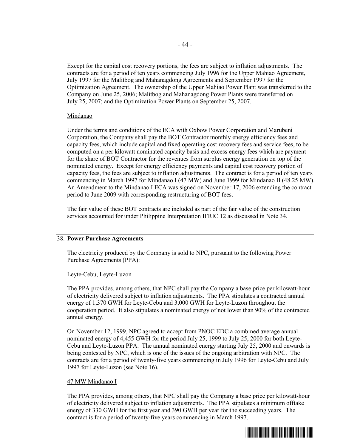Except for the capital cost recovery portions, the fees are subject to inflation adjustments. The contracts are for a period of ten years commencing July 1996 for the Upper Mahiao Agreement, July 1997 for the Malitbog and Mahanagdong Agreements and September 1997 for the Optimization Agreement. The ownership of the Upper Mahiao Power Plant was transferred to the Company on June 25, 2006; Malitbog and Mahanagdong Power Plants were transferred on July 25, 2007; and the Optimization Power Plants on September 25, 2007.

## Mindanao

Under the terms and conditions of the ECA with Oxbow Power Corporation and Marubeni Corporation, the Company shall pay the BOT Contractor monthly energy efficiency fees and capacity fees, which include capital and fixed operating cost recovery fees and service fees, to be computed on a per kilowatt nominated capacity basis and excess energy fees which are payment for the share of BOT Contractor for the revenues from surplus energy generation on top of the nominated energy. Except for energy efficiency payments and capital cost recovery portion of capacity fees, the fees are subject to inflation adjustments. The contract is for a period of ten years commencing in March 1997 for Mindanao I (47 MW) and June 1999 for Mindanao II (48.25 MW). An Amendment to the Mindanao I ECA was signed on November 17, 2006 extending the contract period to June 2009 with corresponding restructuring of BOT fees.

The fair value of these BOT contracts are included as part of the fair value of the construction services accounted for under Philippine Interpretation IFRIC 12 as discussed in Note 34.

## 38. **Power Purchase Agreements**

The electricity produced by the Company is sold to NPC, pursuant to the following Power Purchase Agreements (PPA):

### Leyte-Cebu, Leyte-Luzon

The PPA provides, among others, that NPC shall pay the Company a base price per kilowatt-hour of electricity delivered subject to inflation adjustments. The PPA stipulates a contracted annual energy of 1,370 GWH for Leyte-Cebu and 3,000 GWH for Leyte-Luzon throughout the cooperation period. It also stipulates a nominated energy of not lower than 90% of the contracted annual energy.

On November 12, 1999, NPC agreed to accept from PNOC EDC a combined average annual nominated energy of 4,455 GWH for the period July 25, 1999 to July 25, 2000 for both Leyte-Cebu and Leyte-Luzon PPA. The annual nominated energy starting July 25, 2000 and onwards is being contested by NPC, which is one of the issues of the ongoing arbitration with NPC. The contracts are for a period of twenty-five years commencing in July 1996 for Leyte-Cebu and July 1997 for Leyte-Luzon (see Note 16).

## 47 MW Mindanao I

The PPA provides, among others, that NPC shall pay the Company a base price per kilowatt-hour of electricity delivered subject to inflation adjustments. The PPA stipulates a minimum offtake energy of 330 GWH for the first year and 390 GWH per year for the succeeding years. The contract is for a period of twenty-five years commencing in March 1997.

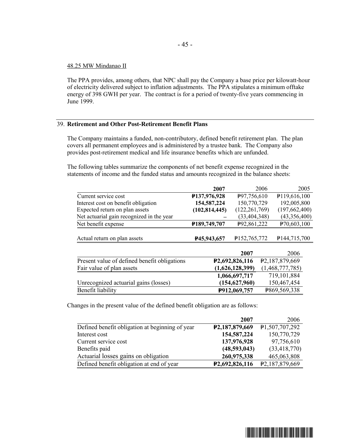#### 48.25 MW Mindanao II

The PPA provides, among others, that NPC shall pay the Company a base price per kilowatt-hour of electricity delivered subject to inflation adjustments. The PPA stipulates a minimum offtake energy of 398 GWH per year. The contract is for a period of twenty-five years commencing in June 1999.

#### 39. **Retirement and Other Post-Retirement Benefit Plans**

The Company maintains a funded, non-contributory, defined benefit retirement plan. The plan covers all permanent employees and is administered by a trustee bank. The Company also provides post-retirement medical and life insurance benefits which are unfunded.

The following tables summarize the components of net benefit expense recognized in the statements of income and the funded status and amounts recognized in the balance sheets:

|                                              | 2007            |                 | 2006 | 2005                        |
|----------------------------------------------|-----------------|-----------------|------|-----------------------------|
| Current service cost                         | P137,976,928    | P97,756,610     |      | P119,616,100                |
| Interest cost on benefit obligation          | 154,587,224     | 150,770,729     |      | 192,005,800                 |
| Expected return on plan assets               | (102, 814, 445) | (122, 261, 769) |      | (197, 662, 400)             |
| Net actuarial gain recognized in the year    |                 | (33, 404, 348)  |      | (43,356,400)                |
| Net benefit expense                          | P189,749,707    | P92,861,222     |      | P70,603,100                 |
| Actual return on plan assets                 | P45,943,657     | P152,765,772    |      | P144,715,700                |
|                                              |                 | 2007            |      | 2006                        |
| Present value of defined benefit obligations |                 | P2,692,826,116  |      | P <sub>2</sub> ,187,879,669 |
| Fair value of plan assets                    |                 | (1,626,128,399) |      | (1,468,777,785)             |
|                                              |                 | 1,066,697,717   |      | 719,101,884                 |
| Unrecognized actuarial gains (losses)        |                 | (154, 627, 960) |      | 150,467,454                 |
| Benefit liability                            |                 | P912,069,757    |      | P869,569,338                |

Changes in the present value of the defined benefit obligation are as follows:

|                                                 | 2007                        | 2006                           |
|-------------------------------------------------|-----------------------------|--------------------------------|
| Defined benefit obligation at beginning of year | P <sub>2</sub> ,187,879,669 | P1,507,707,292                 |
| Interest cost                                   | 154,587,224                 | 150,770,729                    |
| Current service cost                            | 137,976,928                 | 97,756,610                     |
| Benefits paid                                   | (48,593,043)                | (33, 418, 770)                 |
| Actuarial losses gains on obligation            | 260,975,338                 | 465,063,808                    |
| Defined benefit obligation at end of year       | P <sub>2</sub> ,692,826,116 | P <sub>2</sub> , 187, 879, 669 |

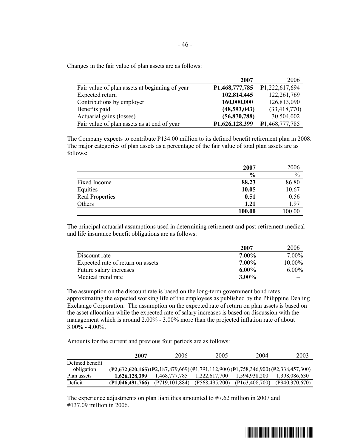Changes in the fair value of plan assets are as follows:

|                                                | 2007                        | 2006                        |
|------------------------------------------------|-----------------------------|-----------------------------|
| Fair value of plan assets at beginning of year | P <sub>1</sub> ,468,777,785 | P1,222,617,694              |
| Expected return                                | 102,814,445                 | 122,261,769                 |
| Contributions by employer                      | 160,000,000                 | 126,813,090                 |
| Benefits paid                                  | (48,593,043)                | (33, 418, 770)              |
| Actuarial gains (losses)                       | (56,870,788)                | 30,504,002                  |
| Fair value of plan assets as at end of year    | P <sub>1</sub> ,626,128,399 | P <sub>1</sub> ,468,777,785 |

The Company expects to contribute P134.00 million to its defined benefit retirement plan in 2008. The major categories of plan assets as a percentage of the fair value of total plan assets are as follows:

|                        | 2007          | 2006   |
|------------------------|---------------|--------|
|                        | $\frac{6}{6}$ | $\%$   |
| Fixed Income           | 88.23         | 86.80  |
| Equities               | 10.05         | 10.67  |
| <b>Real Properties</b> | 0.51          | 0.56   |
| Others                 | 1.21          | 1.97   |
|                        | 100.00        | 100.00 |

The principal actuarial assumptions used in determining retirement and post-retirement medical and life insurance benefit obligations are as follows:

|                                   | 2007     | 2006      |
|-----------------------------------|----------|-----------|
| Discount rate                     | 7.00%    | $7.00\%$  |
| Expected rate of return on assets | 7.00%    | $10.00\%$ |
| Future salary increases           | $6.00\%$ | $6.00\%$  |
| Medical trend rate                | $3.00\%$ |           |

The assumption on the discount rate is based on the long-term government bond rates approximating the expected working life of the employees as published by the Philippine Dealing Exchange Corporation. The assumption on the expected rate of return on plan assets is based on the asset allocation while the expected rate of salary increases is based on discussion with the management which is around 2.00% - 3.00% more than the projected inflation rate of about 3.00% - 4.00%.

Amounts for the current and previous four periods are as follows:

|                 | 2007                                                                                                                                               | 2006             | 2005             | 2004           | 2003           |
|-----------------|----------------------------------------------------------------------------------------------------------------------------------------------------|------------------|------------------|----------------|----------------|
| Defined benefit |                                                                                                                                                    |                  |                  |                |                |
| obligation      | $(\mathbf{P2}, 672, 620, 165) (\mathbf{P2}, 187, 879, 669) (\mathbf{P1}, 791, 112, 900) (\mathbf{P1}, 758, 346, 900) (\mathbf{P2}, 338, 457, 300)$ |                  |                  |                |                |
| Plan assets     | 1,626,128,399                                                                                                                                      | 1.468.777.785    | 1,222,617,700    | 1.594.938.200  | 1.398.086.630  |
| Deficit         | (P1,046,491,766)                                                                                                                                   | (P719, 101, 884) | (F568, 495, 200) | (P163,408,700) | (P940.370.670) |

The experience adjustments on plan liabilities amounted to  $\texttt{P7.62}$  million in 2007 and  $P$ 137.09 million in 2006.

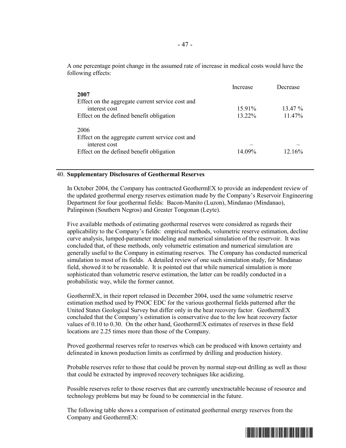A one percentage point change in the assumed rate of increase in medical costs would have the following effects:

|                                                           | Increase  | Decrease  |
|-----------------------------------------------------------|-----------|-----------|
| 2007                                                      |           |           |
| Effect on the aggregate current service cost and          |           |           |
| interest cost                                             | $15.91\%$ | $13.47\%$ |
| Effect on the defined benefit obligation                  | 13.22%    | 11.47%    |
| 2006<br>Effect on the aggregate current service cost and  |           |           |
| interest cost<br>Effect on the defined benefit obligation | 14.09%    | 12.16%    |

## 40. **Supplementary Disclosures of Geothermal Reserves**

In October 2004, the Company has contracted GeothermEX to provide an independent review of the updated geothermal energy reserves estimation made by the Company's Reservoir Engineering Department for four geothermal fields: Bacon-Manito (Luzon), Mindanao (Mindanao), Palinpinon (Southern Negros) and Greater Tongonan (Leyte).

Five available methods of estimating geothermal reserves were considered as regards their applicability to the Company's fields: empirical methods, volumetric reserve estimation, decline curve analysis, lumped-parameter modeling and numerical simulation of the reservoir. It was concluded that, of these methods, only volumetric estimation and numerical simulation are generally useful to the Company in estimating reserves. The Company has conducted numerical simulation to most of its fields. A detailed review of one such simulation study, for Mindanao field, showed it to be reasonable. It is pointed out that while numerical simulation is more sophisticated than volumetric reserve estimation, the latter can be readily conducted in a probabilistic way, while the former cannot.

GeothermEX, in their report released in December 2004, used the same volumetric reserve estimation method used by PNOC EDC for the various geothermal fields patterned after the United States Geological Survey but differ only in the heat recovery factor. GeothermEX concluded that the Company's estimation is conservative due to the low heat recovery factor values of 0.10 to 0.30. On the other hand, GeothermEX estimates of reserves in these field locations are 2.25 times more than those of the Company.

Proved geothermal reserves refer to reserves which can be produced with known certainty and delineated in known production limits as confirmed by drilling and production history.

Probable reserves refer to those that could be proven by normal step-out drilling as well as those that could be extracted by improved recovery techniques like acidizing.

Possible reserves refer to those reserves that are currently unextractable because of resource and technology problems but may be found to be commercial in the future.

The following table shows a comparison of estimated geothermal energy reserves from the Company and GeothermEX:

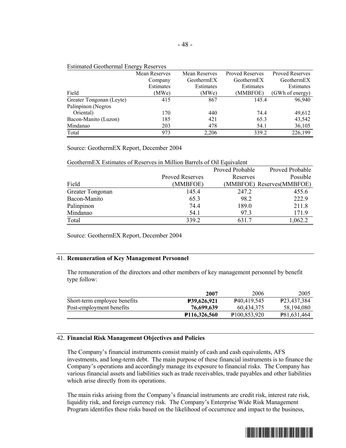|                          | <b>Mean Reserves</b> | <b>Mean Reserves</b> | <b>Proved Reserves</b> | <b>Proved Reserves</b> |
|--------------------------|----------------------|----------------------|------------------------|------------------------|
|                          | Company              | GeothermEX           | GeothermEX             | GeothermEX             |
|                          | Estimates            | Estimates            | Estimates              | Estimates              |
| Field                    | (MWe)                | (MWe)                | (MMBFOE)               | (GWh of energy)        |
| Greater Tongonan (Leyte) | 415                  | 867                  | 145.4                  | 96.940                 |
| Palinpinon (Negros       |                      |                      |                        |                        |
| Oriental)                | 170                  | 440                  | 74.4                   | 49,612                 |
| Bacon-Manito (Luzon)     | 185                  | 421                  | 65.3                   | 43,542                 |
| Mindanao                 | 203                  | 478                  | 54.1                   | 36,105                 |
| Total                    | 973                  | 2,206                | 339.2                  | 226,199                |

Source: GeothermEX Report, December 2004

| Geotherm EX Estimates of Reserves in Million Barrels of Oil Equivalent |                        |                 |                           |  |
|------------------------------------------------------------------------|------------------------|-----------------|---------------------------|--|
|                                                                        |                        | Proved Probable | Proved Probable           |  |
|                                                                        | <b>Proved Reserves</b> | Reserves        | Possible                  |  |
| Field                                                                  | (MMBFOE)               |                 | (MMBFOE) Reserves(MMBFOE) |  |
| Greater Tongonan                                                       | 145.4                  | 247.2           | 455.6                     |  |
| Bacon-Manito                                                           | 65.3                   | 98.2            | 222.9                     |  |
| Palinpinon                                                             | 74.4                   | 189.0           | 211.8                     |  |
| Mindanao                                                               | 54.1                   | 97.3            | 171.9                     |  |
| Total                                                                  | 339.2                  | 631.7           | 1,062.2                   |  |

Source: GeothermEX Report, December 2004

## 41. **Remuneration of Key Management Personnel**

The remuneration of the directors and other members of key management personnel by benefit type follow:

|                              | 2007                        | 2006                      | 2005                       |
|------------------------------|-----------------------------|---------------------------|----------------------------|
| Short-term employee benefits | <b>P39,626,921</b>          | P <sub>40</sub> 419,545   | P <sub>23</sub> , 437, 384 |
| Post-employment benefits     | 76,699,639                  | 60,434,375                | 58,194,080                 |
|                              | P <sub>116</sub> , 326, 560 | P <sub>100</sub> ,853,920 | P81,631,464                |

## 42. **Financial Risk Management Objectives and Policies**

The Company's financial instruments consist mainly of cash and cash equivalents, AFS investments, and long-term debt. The main purpose of these financial instruments is to finance the Company's operations and accordingly manage its exposure to financial risks. The Company has various financial assets and liabilities such as trade receivables, trade payables and other liabilities which arise directly from its operations.

The main risks arising from the Company's financial instruments are credit risk, interest rate risk, liquidity risk, and foreign currency risk. The Company's Enterprise Wide Risk Management Program identifies these risks based on the likelihood of occurrence and impact to the business,

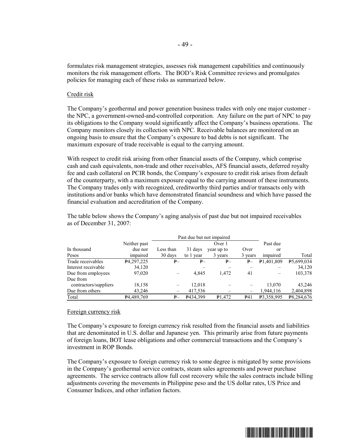formulates risk management strategies, assesses risk management capabilities and continuously monitors the risk management efforts. The BOD's Risk Committee reviews and promulgates policies for managing each of these risks as summarized below.

## Credit risk

The Company's geothermal and power generation business trades with only one major customer the NPC, a government-owned-and-controlled corporation. Any failure on the part of NPC to pay its obligations to the Company would significantly affect the Company's business operations. The Company monitors closely its collection with NPC. Receivable balances are monitored on an ongoing basis to ensure that the Company's exposure to bad debts is not significant. The maximum exposure of trade receivable is equal to the carrying amount.

With respect to credit risk arising from other financial assets of the Company, which comprise cash and cash equivalents, non-trade and other receivables, AFS financial assets, deferred royalty fee and cash collateral on PCIR bonds, the Company's exposure to credit risk arises from default of the counterparty, with a maximum exposure equal to the carrying amount of these instruments. The Company trades only with recognized, creditworthy third parties and/or transacts only with institutions and/or banks which have demonstrated financial soundness and which have passed the financial evaluation and accreditation of the Company.

The table below shows the Company's aging analysis of past due but not impaired receivables as of December 31, 2007:

|                       |                           |           | Past due but not impaired |                     |                   |                         |                         |
|-----------------------|---------------------------|-----------|---------------------------|---------------------|-------------------|-------------------------|-------------------------|
|                       | Neither past              |           |                           | Over 1              |                   | Past due                |                         |
| In thousand           | due nor                   | Less than | 31 days                   | year up to          | Over              | or                      |                         |
| Pesos                 | impaired                  | 30 days   | to 1 year                 | 3 years             | 3 years           | impaired                | Total                   |
| Trade receivables     | P <sub>4</sub> , 297, 225 | P         | ₽                         | P                   | ₽—                | P <sub>1</sub> ,401,809 | P <sub>5</sub> ,699,034 |
| Interest receivable   | 34,120                    |           |                           |                     |                   |                         | 34,120                  |
| Due from employees    | 97,020                    |           | 4,845                     | 1,472               | 41                |                         | 103,378                 |
| Due from              |                           |           |                           |                     |                   |                         |                         |
| contractors/suppliers | 18,158                    |           | 12,018                    |                     |                   | 13,070                  | 43.246                  |
| Due from others       | 43,246                    |           | 417,536                   |                     | $\qquad \qquad -$ | 1,944,116               | 2,404,898               |
| Total                 | P <sub>4</sub> 489,769    | ₽         | P434,399                  | P <sub>1</sub> ,472 | $P_{41}$          | P3,358,995              | P8,284,676              |

## Foreign currency risk

The Company's exposure to foreign currency risk resulted from the financial assets and liabilities that are denominated in U.S. dollar and Japanese yen. This primarily arise from future payments of foreign loans, BOT lease obligations and other commercial transactions and the Company's investment in ROP Bonds.

The Company's exposure to foreign currency risk to some degree is mitigated by some provisions in the Company's geothermal service contracts, steam sales agreements and power purchase agreements. The service contracts allow full cost recovery while the sales contracts include billing adjustments covering the movements in Philippine peso and the US dollar rates, US Price and Consumer Indices, and other inflation factors.

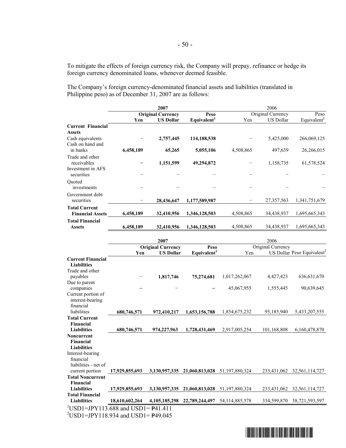To mitigate the effects of foreign currency risk, the Company will prepay, refinance or hedge its foreign currency denominated loans, whenever deemed feasible.

The Company's foreign currency-denominated financial assets and liabilities (translated in Philippine peso) as of December 31, 2007 are as follows:

|                                                | 2007      |                          |                         | 2006              |                   |                                        |
|------------------------------------------------|-----------|--------------------------|-------------------------|-------------------|-------------------|----------------------------------------|
|                                                |           | <b>Original Currency</b> | Peso                    | Original Currency |                   | Peso                                   |
|                                                | Yen       | <b>US Dollar</b>         | Equivalent <sup>1</sup> | Yen               | <b>US Dollar</b>  | Equivalent <sup>2</sup>                |
| <b>Current Financial</b>                       |           |                          |                         |                   |                   |                                        |
| <b>Assets</b>                                  |           |                          |                         |                   |                   |                                        |
| Cash equivalents                               |           | 2,757,445                | 114,188,538             |                   | 5,425,000         | 266,069,125                            |
| Cash on hand and                               |           |                          |                         |                   |                   |                                        |
| in banks                                       | 6,458,189 | 65,265                   | 5,055,106               | 4,508,865         | 497,639           | 26,266,015                             |
| Trade and other                                |           |                          |                         |                   |                   |                                        |
| receivables                                    |           | 1,151,599                | 49,294,872              |                   | 1,158,735         | 61,578,524                             |
| Investment in AFS                              |           |                          |                         |                   |                   |                                        |
| securities                                     |           |                          |                         |                   |                   |                                        |
| Quoted                                         |           |                          |                         |                   |                   |                                        |
| investments                                    |           |                          |                         |                   |                   |                                        |
| Government debt                                |           |                          |                         |                   |                   |                                        |
| securities                                     |           | 28,436,647               | 1,177,589,987           |                   | 27, 357, 563      | 1,341,751,679                          |
| <b>Total Current</b>                           |           |                          |                         |                   |                   |                                        |
| <b>Financial Assets</b>                        | 6,458,189 | 32,410,956               | 1,346,128,503           | 4,508,865         | 34,438,937        | 1,695,665,343                          |
| <b>Total Financial</b>                         |           |                          |                         |                   |                   |                                        |
| <b>Assets</b>                                  | 6,458,189 | 32,410,956               | 1,346,128,503           | 4,508,865         | 34,438,937        | 1,695,665,343                          |
|                                                |           |                          |                         |                   |                   |                                        |
|                                                |           | 2007                     |                         |                   | 2006              |                                        |
|                                                |           | <b>Original Currency</b> | Peso                    |                   | Original Currency |                                        |
|                                                | Yen       | <b>US Dollar</b>         | Equivalent <sup>1</sup> | Yen               |                   | US Dollar Peso Equivalent <sup>2</sup> |
| <b>Current Financial</b><br><b>Liabilities</b> |           |                          |                         |                   |                   |                                        |
| Trade and other                                |           |                          |                         |                   |                   |                                        |
| payables                                       |           | 1,817,746                | 75,274,681              | 1,017,262,067     | 4,427,423         | 636, 631, 670                          |
| Due to parent                                  |           |                          |                         |                   |                   |                                        |
| companies                                      |           |                          |                         | 45,067,955        | 1,555,445         | 90,639,645                             |
| Curront portion of                             |           |                          |                         |                   |                   |                                        |

| companies                                                            |                |                  |                | 45,067,955        | 1,555,445   | 90,639,645     |
|----------------------------------------------------------------------|----------------|------------------|----------------|-------------------|-------------|----------------|
| Current portion of                                                   |                |                  |                |                   |             |                |
| interest-bearing                                                     |                |                  |                |                   |             |                |
| financial                                                            |                |                  |                |                   |             |                |
| liabilities                                                          | 680,746,571    | 972,410,217      | 1,653,156,788  | 1,854,675,232     | 95,185,940  | 5,433,207,555  |
| <b>Total Current</b>                                                 |                |                  |                |                   |             |                |
| Financial                                                            |                |                  |                |                   |             |                |
| <b>Liabilities</b>                                                   | 680,746,571    | 974,227,963      | 1,728,431,469  | 2,917,005,254     | 101,168,808 | 6,160,478,870  |
| Noncurrent                                                           |                |                  |                |                   |             |                |
| Financial                                                            |                |                  |                |                   |             |                |
| <b>Liabilities</b>                                                   |                |                  |                |                   |             |                |
| Interest-bearing                                                     |                |                  |                |                   |             |                |
| financial                                                            |                |                  |                |                   |             |                |
| liabilities - net of                                                 |                |                  |                |                   |             |                |
| current portion                                                      | 17,929,855,693 | 3,130,957,335    | 21,060,813,028 | 51,197,880,324    | 233,431,062 | 32,561,114,727 |
| <b>Total Noncurrent</b>                                              |                |                  |                |                   |             |                |
| Financial                                                            |                |                  |                |                   |             |                |
| <b>Liabilities</b>                                                   | 17,929,855,693 | 3,130,957,335    | 21,060,813,028 | 51,197,880,324    | 233,431,062 | 32,561,114,727 |
| <b>Total Financial</b>                                               |                |                  |                |                   |             |                |
| <b>Liabilities</b>                                                   | 18,610,602,264 | 4, 105, 185, 298 | 22,789,244,497 | 54, 114, 885, 578 | 334,599,870 | 38,721,593,597 |
| $\text{USD1} = \text{JPY113.688}$ and $\text{USD1} = \text{P41.411}$ |                |                  |                |                   |             |                |

 $^{2}$ USD1=JPY118.934 and USD1= P49.045

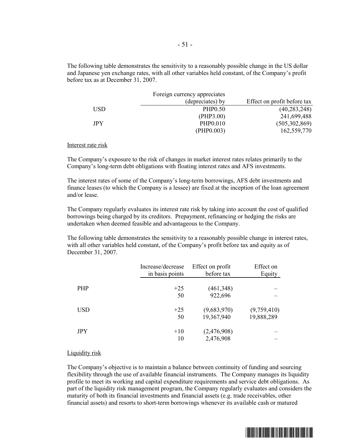The following table demonstrates the sensitivity to a reasonably possible change in the US dollar and Japanese yen exchange rates, with all other variables held constant, of the Company's profit before tax as at December 31, 2007.

|            | Foreign currency appreciates |                             |
|------------|------------------------------|-----------------------------|
|            | (depreciates) by             | Effect on profit before tax |
| USD.       | PHP0.50                      | (40, 283, 248)              |
|            | (PHP3.00)                    | 241,699,488                 |
| <b>JPY</b> | PHP0.010                     | (505, 302, 869)             |
|            | (PHP0.003)                   | 162,559,770                 |

#### Interest rate risk

The Company's exposure to the risk of changes in market interest rates relates primarily to the Company's long-term debt obligations with floating interest rates and AFS investments.

The interest rates of some of the Company's long-term borrowings, AFS debt investments and finance leases (to which the Company is a lessee) are fixed at the inception of the loan agreement and/or lease.

The Company regularly evaluates its interest rate risk by taking into account the cost of qualified borrowings being charged by its creditors. Prepayment, refinancing or hedging the risks are undertaken when deemed feasible and advantageous to the Company.

The following table demonstrates the sensitivity to a reasonably possible change in interest rates, with all other variables held constant, of the Company's profit before tax and equity as of December 31, 2007.

|            | Increase/decrease | Effect on profit         | Effect on   |
|------------|-------------------|--------------------------|-------------|
|            | in basis points   | before tax               | Equity      |
| <b>PHP</b> | $+25$<br>50       | (461, 348)<br>922,696    |             |
| USD        | $+25$             | (9,683,970)              | (9,759,410) |
|            | 50                | 19,367,940               | 19,888,289  |
| <b>JPY</b> | $+10$<br>10       | (2,476,908)<br>2,476,908 |             |

#### Liquidity risk

The Company's objective is to maintain a balance between continuity of funding and sourcing flexibility through the use of available financial instruments. The Company manages its liquidity profile to meet its working and capital expenditure requirements and service debt obligations. As part of the liquidity risk management program, the Company regularly evaluates and considers the maturity of both its financial investments and financial assets (e.g. trade receivables, other financial assets) and resorts to short-term borrowings whenever its available cash or matured

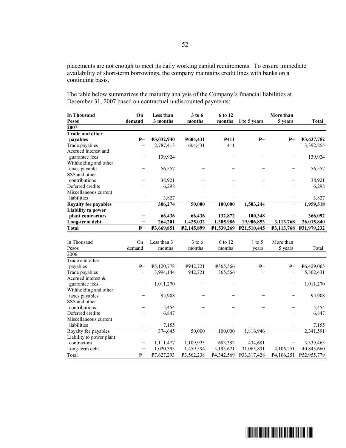placements are not enough to meet its daily working capital requirements. To ensure immediate availability of short-term borrowings, the company maintains credit lines with banks on a continuing basis.

The table below summarizes the maturity analysis of the Company's financial liabilities at December 31, 2007 based on contractual undiscounted payments:

| <b>In Thousand</b><br><b>Pesos</b> | On<br>demand | Less than<br>3 months | $3$ to $6$<br>months | 6 to 12<br>months         | 1 to 5 years | More than<br>5 years     | <b>Total</b>      |
|------------------------------------|--------------|-----------------------|----------------------|---------------------------|--------------|--------------------------|-------------------|
| $\frac{1}{2007}$                   |              |                       |                      |                           |              |                          |                   |
| <b>Trade and other</b>             |              |                       |                      |                           |              |                          |                   |
| payables                           | ₽–           | P3,032,940            | P604,431             | <b>P411</b>               | ₽–           | $P-$                     | <b>P3,637,782</b> |
| Trade payables                     |              | 2,787,413             | 604,431              | 411                       |              |                          | 3,392,255         |
| Accrued interest and               |              |                       |                      |                           |              |                          |                   |
| guarantee fees                     |              | 139,924               |                      |                           |              |                          | 139,924           |
| Withholding and other              |              |                       |                      |                           |              |                          |                   |
| taxes payable                      |              | 56,557                |                      |                           |              |                          | 56,557            |
| SSS and other                      |              |                       |                      |                           |              |                          |                   |
| contributions                      |              | 38,921                |                      |                           |              |                          | 38,921            |
| Deferred credits                   |              | 6,298                 |                      |                           |              |                          | 6,298             |
| Miscellaneous current              |              |                       |                      |                           |              |                          |                   |
| liabilities                        |              | 3,827                 |                      |                           |              |                          | 3,827             |
| <b>Royalty fee payables</b>        | $=$          | 306,274               | 50,000               | 100,000                   | 1,503,244    | $\overline{\phantom{0}}$ | 1,959,518         |
| <b>Liability to power</b>          |              |                       |                      |                           |              |                          |                   |
| plant contractors                  |              | 66,436                | 66,436               | 132,872                   | 100,348      |                          | 366,092           |
| Long-term debt                     |              | 264,201               | 1,425,032            | 1,305,986                 | 19,906,853   | 3,113,768                | 26,015,840        |
| Total                              | $P -$        | P3,669,851            | P2,145,899           | P1,539,269                | P21,510,445  | P3,113,768               | P31,979,232       |
|                                    |              |                       |                      |                           |              |                          |                   |
| In Thousand                        | On           | Less than 3           | $3$ to $6$           | 6 to 12                   | $1$ to 5     | More than                |                   |
| Pesos                              | demand       | months                | months               | months                    | years        | 5 years                  | Total             |
| 2006                               |              |                       |                      |                           |              |                          |                   |
| Trade and other                    |              |                       |                      |                           |              |                          |                   |
| payables                           | $P-$         | P5,120,778            | P942,721             | P365,566                  | ₽–           | ₽–                       | P6,429,065        |
| Trade payables                     |              | 3,994,144             | 942,721              | 365,566                   |              |                          | 5,302,431         |
| Accrued interest &                 |              |                       |                      |                           |              |                          |                   |
| guarantee fees                     |              | 1,011,270             |                      |                           |              |                          | 1,011,270         |
| Withholding and other              |              |                       |                      |                           |              |                          |                   |
| taxes payables                     |              | 95,908                |                      |                           |              |                          | 95,908            |
| SSS and other                      |              |                       |                      |                           |              |                          |                   |
| contributions                      |              | 5,454                 |                      |                           |              |                          | 5,454             |
| Deferred credits                   |              | 6,847                 |                      |                           |              |                          | 6,847             |
| Miscellaneous current              |              |                       |                      |                           |              |                          |                   |
| liabilities                        |              | 7,155                 |                      |                           |              |                          | 7,155             |
| Royalty fee payables               | $\equiv$     | 374,645               | 50,000               | 100,000                   | 1,816,946    |                          | 2,341,591         |
| Liability to power plant           |              |                       |                      |                           |              |                          |                   |
| contractors                        | -            | 1,111,477             | 1,109,923            | 683,382                   | 434,681      |                          | 3,339,463         |
| Long-term debt                     |              | 1,020,393             | 1,459,594            | 3,193,621                 | 31,065,801   | 4,106,251                | 40,845,660        |
| Total                              | $P-$         | P7,627,293            | P3,562,238           | P <sub>4</sub> , 342, 569 | P33,317,428  | P <sub>4</sub> ,106,251  | P52,955,779       |

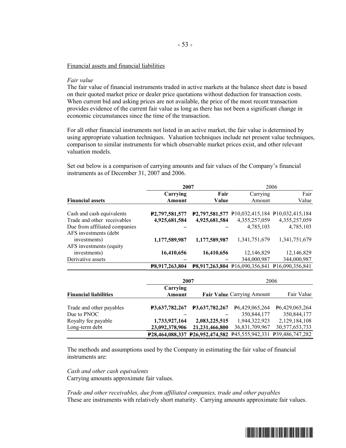## Financial assets and financial liabilities

### *Fair value*

The fair value of financial instruments traded in active markets at the balance sheet date is based on their quoted market price or dealer price quotations without deduction for transaction costs. When current bid and asking prices are not available, the price of the most recent transaction provides evidence of the current fair value as long as there has not been a significant change in economic circumstances since the time of the transaction.

For all other financial instruments not listed in an active market, the fair value is determined by using appropriate valuation techniques. Valuation techniques include net present value techniques, comparison to similar instruments for which observable market prices exist, and other relevant valuation models.

Set out below is a comparison of carrying amounts and fair values of the Company's financial instruments as of December 31, 2007 and 2006.

|                               | 2007                            |                       | 2006                                           |                                 |  |
|-------------------------------|---------------------------------|-----------------------|------------------------------------------------|---------------------------------|--|
|                               | Carrying                        | Fair                  | Carrying                                       | Fair                            |  |
| <b>Financial assets</b>       | Amount                          | Value                 | Amount                                         | Value                           |  |
|                               |                                 |                       |                                                |                                 |  |
| Cash and cash equivalents     | P <sub>2</sub> ,797,581,577     | <b>P2,797,581,577</b> |                                                | P10,032,415,184 P10,032,415,184 |  |
| Trade and other receivables   | 4,925,681,584                   | 4,925,681,584         | 4,355,257,059                                  | 4,355,257,059                   |  |
| Due from affiliated companies |                                 |                       | 4,785,103                                      | 4,785,103                       |  |
| AFS investments (debt         |                                 |                       |                                                |                                 |  |
| investments)                  | 1,177,589,987                   | 1,177,589,987         | 1,341,751,679                                  | 1,341,751,679                   |  |
| AFS investments (equity       |                                 |                       |                                                |                                 |  |
| investments)                  | 16,410,656                      | 16,410,656            | 12,146,829                                     | 12,146,829                      |  |
| Derivative assets             |                                 |                       | 344,000,987                                    | 344,000,987                     |  |
|                               | P8,917,263,804                  |                       | P8,917,263,804 P16,090,356,841 P16,090,356,841 |                                 |  |
|                               |                                 |                       |                                                |                                 |  |
|                               | 2007                            |                       |                                                | 2006                            |  |
|                               | Carrying                        |                       |                                                |                                 |  |
| <b>Financial liabilities</b>  | Amount                          |                       | Fair Value Carrying Amount                     | Fair Value                      |  |
|                               |                                 |                       |                                                |                                 |  |
| Trade and other payables      | P3,637,782,267                  | P3,637,782,267        | P6,429,065,264                                 | P6,429,065,264                  |  |
| Due to PNOC                   |                                 |                       | 350,844,177                                    | 350,844,177                     |  |
| Royalty fee payable           | 1,733,927,164                   | 2,083,225,515         | 1,944,322,923                                  | 2,129,184,108                   |  |
| Long-term debt                | 23,092,378,906                  | 21,231,466,800        | 36,831,709,967                                 | 30,577,653,733                  |  |
|                               | P28,464,088,337 P26,952,474,582 |                       | P45,555,942,331                                | <b>P39,486,747,282</b>          |  |

The methods and assumptions used by the Company in estimating the fair value of financial instruments are:

*Cash and other cash equivalents*  Carrying amounts approximate fair values.

*Trade and other receivables, due from affiliated companies, trade and other payables*  These are instruments with relatively short maturity. Carrying amounts approximate fair values.

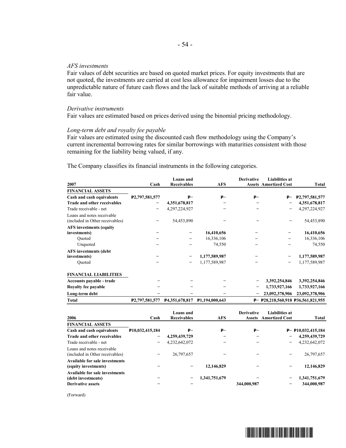## *AFS investments*

Fair values of debt securities are based on quoted market prices. For equity investments that are not quoted, the investments are carried at cost less allowance for impairment losses due to the unpredictable nature of future cash flows and the lack of suitable methods of arriving at a reliable fair value.

#### *Derivative instruments*

Fair values are estimated based on prices derived using the binomial pricing methodology.

## *Long-term debt and royalty fee payable*

Fair values are estimated using the discounted cash flow methodology using the Company's current incremental borrowing rates for similar borrowings with maturities consistent with those remaining for the liability being valued, if any.

The Company classifies its financial instruments in the following categories.

|                                                               |                             | <b>Loans</b> and   |                             | <b>Derivative</b> | <b>Liabilities at</b>                 |                                |
|---------------------------------------------------------------|-----------------------------|--------------------|-----------------------------|-------------------|---------------------------------------|--------------------------------|
| 2007                                                          | Cash                        | <b>Receivables</b> | <b>AFS</b>                  |                   | <b>Assets Amortized Cost</b>          | Total                          |
| <b>FINANCIAL ASSETS</b>                                       |                             |                    |                             |                   |                                       |                                |
| Cash and cash equivalents                                     | P <sub>2</sub> ,797,581,577 | $P-$               | $P-$                        | $P-$              | $P-$                                  | P <sub>2</sub> , 797, 581, 577 |
| <b>Trade and other receivables</b>                            |                             | 4,351,678,817      |                             |                   | -                                     | 4,351,678,817                  |
| Trade receivable - net                                        |                             | 4,297,224,927      |                             |                   | -                                     | 4,297,224,927                  |
| Loans and notes receivable<br>(included in Other receivables) |                             | 54,453,890         |                             |                   |                                       | 54,453,890                     |
| <b>AFS</b> investments (equity                                |                             |                    |                             |                   |                                       |                                |
| investments)                                                  |                             |                    | 16,410,656                  |                   |                                       | 16,410,656                     |
| Quoted                                                        |                             |                    | 16,336,106                  |                   |                                       | 16,336,106                     |
| Unquoted                                                      |                             |                    | 74,550                      |                   |                                       | 74,550                         |
| <b>AFS</b> investments (debt                                  |                             |                    |                             |                   |                                       |                                |
| investments)                                                  |                             |                    | 1,177,589,987               |                   |                                       | 1,177,589,987                  |
| Quoted                                                        |                             |                    | 1,177,589,987               |                   |                                       | 1,177,589,987                  |
| <b>FINANCIAL LIABILITIES</b>                                  |                             |                    |                             |                   |                                       |                                |
| Accounts payable - trade                                      |                             |                    |                             |                   | 3,392,254,846                         | 3,392,254,846                  |
| Royalty fee payable                                           |                             |                    |                             |                   | 1,733,927,166                         | 1,733,927,166                  |
| Long-term debt                                                |                             |                    |                             |                   | 23,092,378,906                        | 23,092,378,906                 |
| Total                                                         | <b>P2,797,581,577</b>       | P4,351,678,817     | P <sub>1</sub> ,194,000,643 |                   | $P - P28,218,560,918 P36,561,821,955$ |                                |

| 2006                                                                                    | Cash              | Loans and<br><b>Receivables</b> | <b>AFS</b>    | <b>Derivative</b><br><b>Assets</b> | <b>Liabilities at</b><br><b>Amortized Cost</b> | Total                        |
|-----------------------------------------------------------------------------------------|-------------------|---------------------------------|---------------|------------------------------------|------------------------------------------------|------------------------------|
| <b>FINANCIAL ASSETS</b>                                                                 |                   |                                 |               |                                    |                                                |                              |
| Cash and cash equivalents                                                               | P10,032,415,184   | ₽–                              | ₽–            | ₽–                                 |                                                | $P - P10,032,415,184$        |
| Trade and other receivables                                                             |                   | 4,259,439,729                   |               |                                    | $\qquad \qquad$                                | 4,259,439,729                |
| Trade receivable - net                                                                  | $\qquad \qquad -$ | 4,232,642,072                   |               |                                    | $\qquad \qquad -$                              | 4,232,642,072                |
| Loans and notes receivable<br>(included in Other receivables)                           | -                 | 26,797,657                      |               |                                    | -                                              | 26,797,657                   |
| <b>Available for sale investments</b><br>(equity investments)                           |                   | -                               | 12,146,829    |                                    | -                                              | 12,146,829                   |
| <b>Available for sale investments</b><br>(debt investments)<br><b>Derivative assets</b> |                   | -                               | 1,341,751,679 | 344,000,987                        | $\qquad \qquad -$<br>-                         | 1,341,751,679<br>344,000,987 |

(Forward)

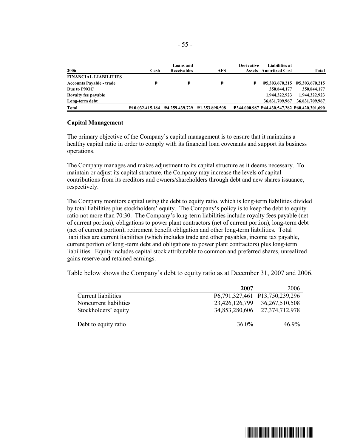|                                 |                              | Loans and                            |     | <b>Derivative</b> | Liabilities at               |                                              |
|---------------------------------|------------------------------|--------------------------------------|-----|-------------------|------------------------------|----------------------------------------------|
| 2006                            | Cash                         | <b>Receivables</b>                   | AFS |                   | <b>Assets</b> Amortized Cost | <b>Total</b>                                 |
| <b>FINANCIAL LIABILITIES</b>    |                              |                                      |     |                   |                              |                                              |
| <b>Accounts Payable - trade</b> | ₽—                           | $P-$                                 | ₽–  |                   |                              | $P- P5,303,670,215 P5,303,670,215$           |
| Due to PNOC                     |                              |                                      |     |                   | 350,844,177                  | 350,844,177                                  |
| Royalty fee payable             |                              |                                      |     |                   | 1,944,322,923                | 1,944,322,923                                |
| Long-term debt                  | -                            |                                      |     |                   | 36,831,709,967               | 36,831,709,967                               |
| <b>Total</b>                    | P <sub>10</sub> ,032,415,184 | <b>P4,259,439,729 P1,353,898,508</b> |     |                   |                              | P344,000,987 P44,430,547,282 P60,420,301,690 |

#### **Capital Management**

The primary objective of the Company's capital management is to ensure that it maintains a healthy capital ratio in order to comply with its financial loan covenants and support its business operations.

The Company manages and makes adjustment to its capital structure as it deems necessary. To maintain or adjust its capital structure, the Company may increase the levels of capital contributions from its creditors and owners/shareholders through debt and new shares issuance, respectively.

The Company monitors capital using the debt to equity ratio, which is long-term liabilities divided by total liabilities plus stockholders' equity. The Company's policy is to keep the debt to equity ratio not more than 70:30. The Company's long-term liabilities include royalty fees payable (net of current portion), obligations to power plant contractors (net of current portion), long-term debt (net of current portion), retirement benefit obligation and other long-term liabilities. Total liabilities are current liabilities (which includes trade and other payables, income tax payable, current portion of long -term debt and obligations to power plant contractors) plus long-term liabilities. Equity includes capital stock attributable to common and preferred shares, unrealized gains reserve and retained earnings.

Table below shows the Company's debt to equity ratio as at December 31, 2007 and 2006.

|                        | 2007           | 2006                           |
|------------------------|----------------|--------------------------------|
| Current liabilities    |                | P6,791,327,461 P13,750,239,296 |
| Noncurrent liabilities | 23,426,126,799 | 36,267,510,508                 |
| Stockholders' equity   | 34,853,280,606 | 27,374,712,978                 |
| Debt to equity ratio   | $36.0\%$       | 469%                           |